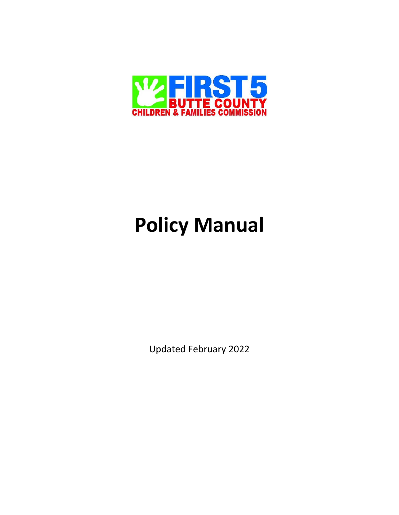

# **Policy Manual**

Updated February 2022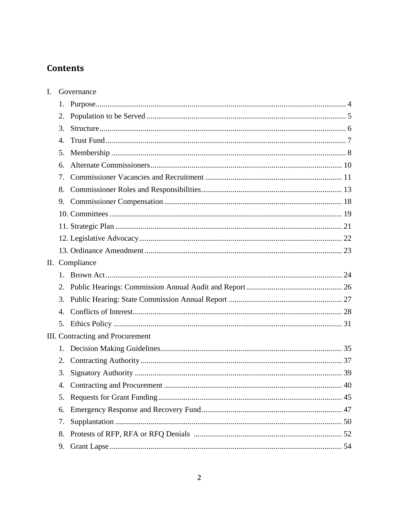### **Contents**

| I. |                | Governance                       |
|----|----------------|----------------------------------|
|    | 1.             |                                  |
|    | 2.             |                                  |
|    | 3.             |                                  |
|    | $\mathbf{4}$ . |                                  |
|    | 5.             |                                  |
|    | б.             |                                  |
|    | 7.             |                                  |
|    | 8.             |                                  |
|    | 9.             |                                  |
|    |                |                                  |
|    |                |                                  |
|    |                |                                  |
|    |                |                                  |
|    |                | II. Compliance                   |
|    | $1_{\cdot}$    |                                  |
|    | 2.             |                                  |
|    | 3.             |                                  |
|    | 4.             |                                  |
|    | 5.             |                                  |
|    |                | III. Contracting and Procurement |
|    | 1.             |                                  |
|    | 2.             |                                  |
|    | 3.             |                                  |
|    | 4.             |                                  |
|    | 5.             |                                  |
|    | 6.             |                                  |
|    | 7.             |                                  |
|    | 8.             |                                  |
|    | 9.             |                                  |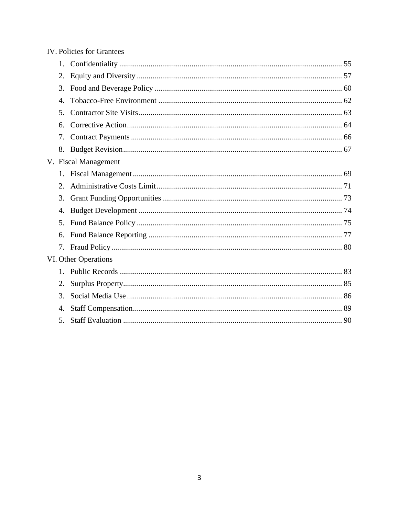| <b>IV. Policies for Grantees</b> |                      |  |
|----------------------------------|----------------------|--|
| 1.                               |                      |  |
| 2.                               |                      |  |
| 3.                               |                      |  |
| $\mathbf{4}$ .                   |                      |  |
| 5.                               |                      |  |
| 6.                               |                      |  |
| 7.                               |                      |  |
| 8.                               |                      |  |
|                                  | V. Fiscal Management |  |
|                                  |                      |  |
| 2.                               |                      |  |
| 3.                               |                      |  |
| 4.                               |                      |  |
| 5.                               |                      |  |
| 6.                               |                      |  |
|                                  |                      |  |
|                                  | VI. Other Operations |  |
|                                  |                      |  |
| 2.                               |                      |  |
| 3.                               |                      |  |
| 4.                               |                      |  |
| 5.                               |                      |  |

#### $\overline{3}$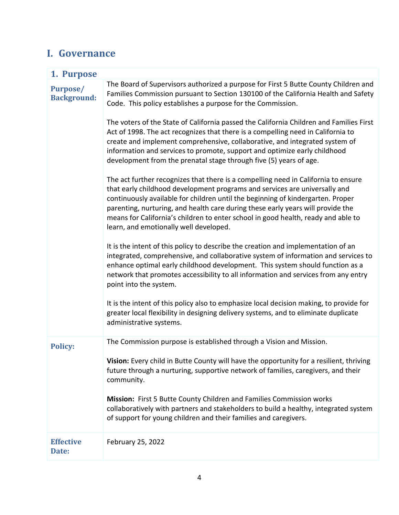## **I. Governance**

| 1. Purpose                            |                                                                                                                                                                                                                                                                                                                                                                                                                                                                       |  |
|---------------------------------------|-----------------------------------------------------------------------------------------------------------------------------------------------------------------------------------------------------------------------------------------------------------------------------------------------------------------------------------------------------------------------------------------------------------------------------------------------------------------------|--|
| <b>Purpose/</b><br><b>Background:</b> | The Board of Supervisors authorized a purpose for First 5 Butte County Children and<br>Families Commission pursuant to Section 130100 of the California Health and Safety<br>Code. This policy establishes a purpose for the Commission.                                                                                                                                                                                                                              |  |
|                                       | The voters of the State of California passed the California Children and Families First<br>Act of 1998. The act recognizes that there is a compelling need in California to<br>create and implement comprehensive, collaborative, and integrated system of<br>information and services to promote, support and optimize early childhood<br>development from the prenatal stage through five (5) years of age.                                                         |  |
|                                       | The act further recognizes that there is a compelling need in California to ensure<br>that early childhood development programs and services are universally and<br>continuously available for children until the beginning of kindergarten. Proper<br>parenting, nurturing, and health care during these early years will provide the<br>means for California's children to enter school in good health, ready and able to<br>learn, and emotionally well developed. |  |
|                                       | It is the intent of this policy to describe the creation and implementation of an<br>integrated, comprehensive, and collaborative system of information and services to<br>enhance optimal early childhood development. This system should function as a<br>network that promotes accessibility to all information and services from any entry<br>point into the system.                                                                                              |  |
|                                       | It is the intent of this policy also to emphasize local decision making, to provide for<br>greater local flexibility in designing delivery systems, and to eliminate duplicate<br>administrative systems.                                                                                                                                                                                                                                                             |  |
| <b>Policy:</b>                        | The Commission purpose is established through a Vision and Mission.                                                                                                                                                                                                                                                                                                                                                                                                   |  |
|                                       | Vision: Every child in Butte County will have the opportunity for a resilient, thriving<br>future through a nurturing, supportive network of families, caregivers, and their<br>community.                                                                                                                                                                                                                                                                            |  |
|                                       | Mission: First 5 Butte County Children and Families Commission works<br>collaboratively with partners and stakeholders to build a healthy, integrated system<br>of support for young children and their families and caregivers.                                                                                                                                                                                                                                      |  |
| <b>Effective</b><br>Date:             | February 25, 2022                                                                                                                                                                                                                                                                                                                                                                                                                                                     |  |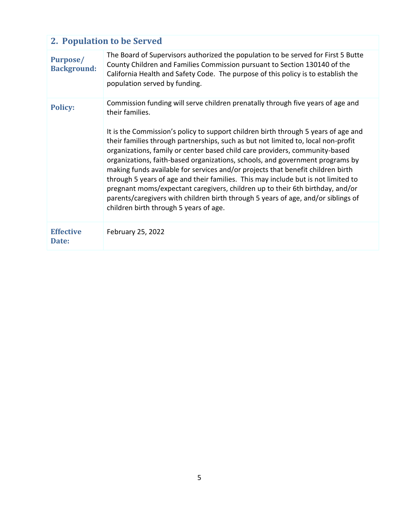| 2. Population to be Served            |                                                                                                                                                                                                                                                                                                                                                                                                                                                                                                                                                                                                                                                                                                                                                                                                                                       |  |
|---------------------------------------|---------------------------------------------------------------------------------------------------------------------------------------------------------------------------------------------------------------------------------------------------------------------------------------------------------------------------------------------------------------------------------------------------------------------------------------------------------------------------------------------------------------------------------------------------------------------------------------------------------------------------------------------------------------------------------------------------------------------------------------------------------------------------------------------------------------------------------------|--|
| <b>Purpose/</b><br><b>Background:</b> | The Board of Supervisors authorized the population to be served for First 5 Butte<br>County Children and Families Commission pursuant to Section 130140 of the<br>California Health and Safety Code. The purpose of this policy is to establish the<br>population served by funding.                                                                                                                                                                                                                                                                                                                                                                                                                                                                                                                                                  |  |
| <b>Policy:</b>                        | Commission funding will serve children prenatally through five years of age and<br>their families.<br>It is the Commission's policy to support children birth through 5 years of age and<br>their families through partnerships, such as but not limited to, local non-profit<br>organizations, family or center based child care providers, community-based<br>organizations, faith-based organizations, schools, and government programs by<br>making funds available for services and/or projects that benefit children birth<br>through 5 years of age and their families. This may include but is not limited to<br>pregnant moms/expectant caregivers, children up to their 6th birthday, and/or<br>parents/caregivers with children birth through 5 years of age, and/or siblings of<br>children birth through 5 years of age. |  |
| <b>Effective</b><br>Date:             | February 25, 2022                                                                                                                                                                                                                                                                                                                                                                                                                                                                                                                                                                                                                                                                                                                                                                                                                     |  |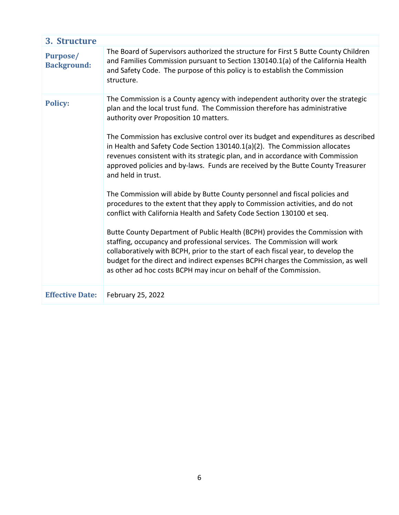| 3. Structure                          |                                                                                                                                                                                                                                                                                                                                                                                                                                                                                                                                                                                                                                                                                                                                                                                                                                                                                                                                                                                                                                                                                                                                                                                                                           |  |
|---------------------------------------|---------------------------------------------------------------------------------------------------------------------------------------------------------------------------------------------------------------------------------------------------------------------------------------------------------------------------------------------------------------------------------------------------------------------------------------------------------------------------------------------------------------------------------------------------------------------------------------------------------------------------------------------------------------------------------------------------------------------------------------------------------------------------------------------------------------------------------------------------------------------------------------------------------------------------------------------------------------------------------------------------------------------------------------------------------------------------------------------------------------------------------------------------------------------------------------------------------------------------|--|
| <b>Purpose/</b><br><b>Background:</b> | The Board of Supervisors authorized the structure for First 5 Butte County Children<br>and Families Commission pursuant to Section 130140.1(a) of the California Health<br>and Safety Code. The purpose of this policy is to establish the Commission<br>structure.                                                                                                                                                                                                                                                                                                                                                                                                                                                                                                                                                                                                                                                                                                                                                                                                                                                                                                                                                       |  |
| <b>Policy:</b>                        | The Commission is a County agency with independent authority over the strategic<br>plan and the local trust fund. The Commission therefore has administrative<br>authority over Proposition 10 matters.<br>The Commission has exclusive control over its budget and expenditures as described<br>in Health and Safety Code Section 130140.1(a)(2). The Commission allocates<br>revenues consistent with its strategic plan, and in accordance with Commission<br>approved policies and by-laws. Funds are received by the Butte County Treasurer<br>and held in trust.<br>The Commission will abide by Butte County personnel and fiscal policies and<br>procedures to the extent that they apply to Commission activities, and do not<br>conflict with California Health and Safety Code Section 130100 et seq.<br>Butte County Department of Public Health (BCPH) provides the Commission with<br>staffing, occupancy and professional services. The Commission will work<br>collaboratively with BCPH, prior to the start of each fiscal year, to develop the<br>budget for the direct and indirect expenses BCPH charges the Commission, as well<br>as other ad hoc costs BCPH may incur on behalf of the Commission. |  |
| <b>Effective Date:</b>                | February 25, 2022                                                                                                                                                                                                                                                                                                                                                                                                                                                                                                                                                                                                                                                                                                                                                                                                                                                                                                                                                                                                                                                                                                                                                                                                         |  |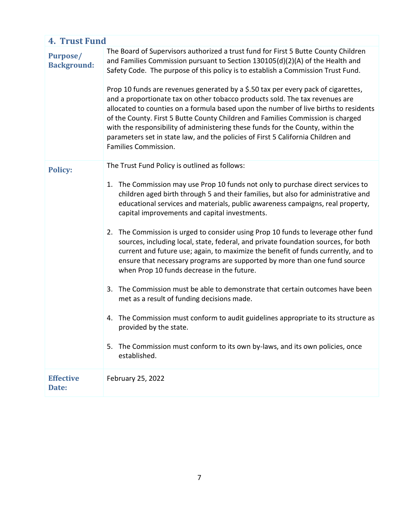| <b>4. Trust Fund</b>                  |                                                                                                                                                                                                                                                                                                                                                                                                                                                                                                                                                                                                                                                                                                                                                                                                        |  |
|---------------------------------------|--------------------------------------------------------------------------------------------------------------------------------------------------------------------------------------------------------------------------------------------------------------------------------------------------------------------------------------------------------------------------------------------------------------------------------------------------------------------------------------------------------------------------------------------------------------------------------------------------------------------------------------------------------------------------------------------------------------------------------------------------------------------------------------------------------|--|
| <b>Purpose/</b><br><b>Background:</b> | The Board of Supervisors authorized a trust fund for First 5 Butte County Children<br>and Families Commission pursuant to Section 130105(d)(2)(A) of the Health and<br>Safety Code. The purpose of this policy is to establish a Commission Trust Fund.<br>Prop 10 funds are revenues generated by a \$.50 tax per every pack of cigarettes,<br>and a proportionate tax on other tobacco products sold. The tax revenues are<br>allocated to counties on a formula based upon the number of live births to residents<br>of the County. First 5 Butte County Children and Families Commission is charged<br>with the responsibility of administering these funds for the County, within the<br>parameters set in state law, and the policies of First 5 California Children and<br>Families Commission. |  |
| <b>Policy:</b>                        | The Trust Fund Policy is outlined as follows:                                                                                                                                                                                                                                                                                                                                                                                                                                                                                                                                                                                                                                                                                                                                                          |  |
|                                       | 1. The Commission may use Prop 10 funds not only to purchase direct services to<br>children aged birth through 5 and their families, but also for administrative and<br>educational services and materials, public awareness campaigns, real property,<br>capital improvements and capital investments.<br>2. The Commission is urged to consider using Prop 10 funds to leverage other fund                                                                                                                                                                                                                                                                                                                                                                                                           |  |
|                                       | sources, including local, state, federal, and private foundation sources, for both<br>current and future use; again, to maximize the benefit of funds currently, and to<br>ensure that necessary programs are supported by more than one fund source<br>when Prop 10 funds decrease in the future.                                                                                                                                                                                                                                                                                                                                                                                                                                                                                                     |  |
|                                       | 3. The Commission must be able to demonstrate that certain outcomes have been<br>met as a result of funding decisions made.                                                                                                                                                                                                                                                                                                                                                                                                                                                                                                                                                                                                                                                                            |  |
|                                       | 4. The Commission must conform to audit guidelines appropriate to its structure as<br>provided by the state.                                                                                                                                                                                                                                                                                                                                                                                                                                                                                                                                                                                                                                                                                           |  |
|                                       | The Commission must conform to its own by-laws, and its own policies, once<br>5.<br>established.                                                                                                                                                                                                                                                                                                                                                                                                                                                                                                                                                                                                                                                                                                       |  |
| <b>Effective</b><br>Date:             | February 25, 2022                                                                                                                                                                                                                                                                                                                                                                                                                                                                                                                                                                                                                                                                                                                                                                                      |  |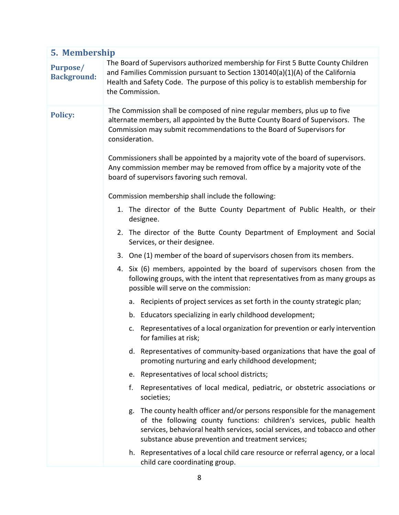| 5. Membership                         |                                                                                                                                                                                                                                                                                           |  |
|---------------------------------------|-------------------------------------------------------------------------------------------------------------------------------------------------------------------------------------------------------------------------------------------------------------------------------------------|--|
| <b>Purpose/</b><br><b>Background:</b> | The Board of Supervisors authorized membership for First 5 Butte County Children<br>and Families Commission pursuant to Section 130140(a)(1)(A) of the California<br>Health and Safety Code. The purpose of this policy is to establish membership for<br>the Commission.                 |  |
| <b>Policy:</b>                        | The Commission shall be composed of nine regular members, plus up to five<br>alternate members, all appointed by the Butte County Board of Supervisors. The<br>Commission may submit recommendations to the Board of Supervisors for<br>consideration.                                    |  |
|                                       | Commissioners shall be appointed by a majority vote of the board of supervisors.<br>Any commission member may be removed from office by a majority vote of the<br>board of supervisors favoring such removal.                                                                             |  |
|                                       | Commission membership shall include the following:                                                                                                                                                                                                                                        |  |
|                                       | 1. The director of the Butte County Department of Public Health, or their<br>designee.                                                                                                                                                                                                    |  |
|                                       | 2. The director of the Butte County Department of Employment and Social<br>Services, or their designee.                                                                                                                                                                                   |  |
|                                       | 3. One (1) member of the board of supervisors chosen from its members.                                                                                                                                                                                                                    |  |
|                                       | 4. Six (6) members, appointed by the board of supervisors chosen from the<br>following groups, with the intent that representatives from as many groups as<br>possible will serve on the commission:                                                                                      |  |
|                                       | a. Recipients of project services as set forth in the county strategic plan;                                                                                                                                                                                                              |  |
|                                       | b. Educators specializing in early childhood development;                                                                                                                                                                                                                                 |  |
|                                       | c. Representatives of a local organization for prevention or early intervention<br>for families at risk;                                                                                                                                                                                  |  |
|                                       | d. Representatives of community-based organizations that have the goal of<br>promoting nurturing and early childhood development;                                                                                                                                                         |  |
|                                       | e. Representatives of local school districts;                                                                                                                                                                                                                                             |  |
|                                       | f.<br>Representatives of local medical, pediatric, or obstetric associations or<br>societies;                                                                                                                                                                                             |  |
|                                       | g. The county health officer and/or persons responsible for the management<br>of the following county functions: children's services, public health<br>services, behavioral health services, social services, and tobacco and other<br>substance abuse prevention and treatment services; |  |
|                                       | h. Representatives of a local child care resource or referral agency, or a local<br>child care coordinating group.                                                                                                                                                                        |  |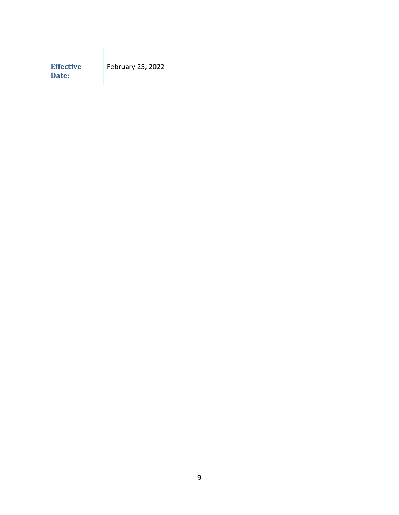<span id="page-8-0"></span>

| <b>Effective</b><br>Date: | February 25, 2022 |
|---------------------------|-------------------|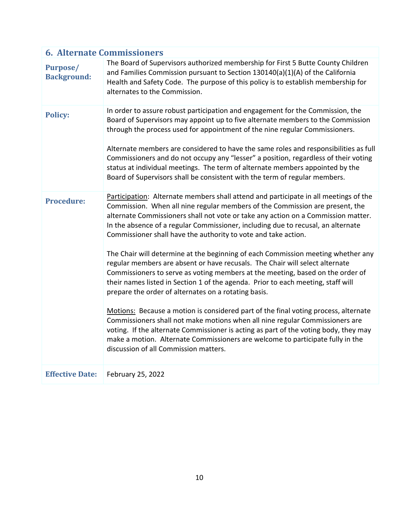| <b>6. Alternate Commissioners</b> |                                                                                                                                                                                                                                                                                                                                                                                                                                                                                                                                                                                                                                                                                                                                                                                                                                                                                                                                                                                                                                                                                                                                                                                                             |  |
|-----------------------------------|-------------------------------------------------------------------------------------------------------------------------------------------------------------------------------------------------------------------------------------------------------------------------------------------------------------------------------------------------------------------------------------------------------------------------------------------------------------------------------------------------------------------------------------------------------------------------------------------------------------------------------------------------------------------------------------------------------------------------------------------------------------------------------------------------------------------------------------------------------------------------------------------------------------------------------------------------------------------------------------------------------------------------------------------------------------------------------------------------------------------------------------------------------------------------------------------------------------|--|
| Purpose/<br><b>Background:</b>    | The Board of Supervisors authorized membership for First 5 Butte County Children<br>and Families Commission pursuant to Section 130140(a)(1)(A) of the California<br>Health and Safety Code. The purpose of this policy is to establish membership for<br>alternates to the Commission.                                                                                                                                                                                                                                                                                                                                                                                                                                                                                                                                                                                                                                                                                                                                                                                                                                                                                                                     |  |
| <b>Policy:</b>                    | In order to assure robust participation and engagement for the Commission, the<br>Board of Supervisors may appoint up to five alternate members to the Commission<br>through the process used for appointment of the nine regular Commissioners.<br>Alternate members are considered to have the same roles and responsibilities as full<br>Commissioners and do not occupy any "lesser" a position, regardless of their voting<br>status at individual meetings. The term of alternate members appointed by the<br>Board of Supervisors shall be consistent with the term of regular members.                                                                                                                                                                                                                                                                                                                                                                                                                                                                                                                                                                                                              |  |
| <b>Procedure:</b>                 | Participation: Alternate members shall attend and participate in all meetings of the<br>Commission. When all nine regular members of the Commission are present, the<br>alternate Commissioners shall not vote or take any action on a Commission matter.<br>In the absence of a regular Commissioner, including due to recusal, an alternate<br>Commissioner shall have the authority to vote and take action.<br>The Chair will determine at the beginning of each Commission meeting whether any<br>regular members are absent or have recusals. The Chair will select alternate<br>Commissioners to serve as voting members at the meeting, based on the order of<br>their names listed in Section 1 of the agenda. Prior to each meeting, staff will<br>prepare the order of alternates on a rotating basis.<br>Motions: Because a motion is considered part of the final voting process, alternate<br>Commissioners shall not make motions when all nine regular Commissioners are<br>voting. If the alternate Commissioner is acting as part of the voting body, they may<br>make a motion. Alternate Commissioners are welcome to participate fully in the<br>discussion of all Commission matters. |  |
| <b>Effective Date:</b>            | February 25, 2022                                                                                                                                                                                                                                                                                                                                                                                                                                                                                                                                                                                                                                                                                                                                                                                                                                                                                                                                                                                                                                                                                                                                                                                           |  |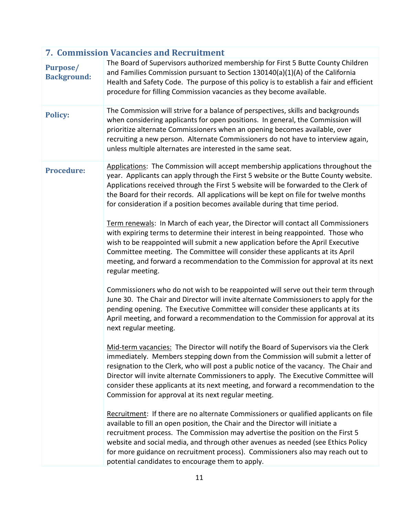| <b>7. Commission Vacancies and Recruitment</b> |                                                                                                                                                                                                                                                                                                                                                                                                                                                                                                     |  |
|------------------------------------------------|-----------------------------------------------------------------------------------------------------------------------------------------------------------------------------------------------------------------------------------------------------------------------------------------------------------------------------------------------------------------------------------------------------------------------------------------------------------------------------------------------------|--|
| Purpose/<br><b>Background:</b>                 | The Board of Supervisors authorized membership for First 5 Butte County Children<br>and Families Commission pursuant to Section 130140(a)(1)(A) of the California<br>Health and Safety Code. The purpose of this policy is to establish a fair and efficient<br>procedure for filling Commission vacancies as they become available.                                                                                                                                                                |  |
| <b>Policy:</b>                                 | The Commission will strive for a balance of perspectives, skills and backgrounds<br>when considering applicants for open positions. In general, the Commission will<br>prioritize alternate Commissioners when an opening becomes available, over<br>recruiting a new person. Alternate Commissioners do not have to interview again,<br>unless multiple alternates are interested in the same seat.                                                                                                |  |
| <b>Procedure:</b>                              | Applications: The Commission will accept membership applications throughout the<br>year. Applicants can apply through the First 5 website or the Butte County website.<br>Applications received through the First 5 website will be forwarded to the Clerk of<br>the Board for their records. All applications will be kept on file for twelve months<br>for consideration if a position becomes available during that time period.                                                                 |  |
|                                                | Term renewals: In March of each year, the Director will contact all Commissioners<br>with expiring terms to determine their interest in being reappointed. Those who<br>wish to be reappointed will submit a new application before the April Executive<br>Committee meeting. The Committee will consider these applicants at its April<br>meeting, and forward a recommendation to the Commission for approval at its next<br>regular meeting.                                                     |  |
|                                                | Commissioners who do not wish to be reappointed will serve out their term through<br>June 30. The Chair and Director will invite alternate Commissioners to apply for the<br>pending opening. The Executive Committee will consider these applicants at its<br>April meeting, and forward a recommendation to the Commission for approval at its<br>next regular meeting.                                                                                                                           |  |
|                                                | Mid-term vacancies: The Director will notify the Board of Supervisors via the Clerk<br>immediately. Members stepping down from the Commission will submit a letter of<br>resignation to the Clerk, who will post a public notice of the vacancy. The Chair and<br>Director will invite alternate Commissioners to apply. The Executive Committee will<br>consider these applicants at its next meeting, and forward a recommendation to the<br>Commission for approval at its next regular meeting. |  |
|                                                | Recruitment: If there are no alternate Commissioners or qualified applicants on file<br>available to fill an open position, the Chair and the Director will initiate a<br>recruitment process. The Commission may advertise the position on the First 5<br>website and social media, and through other avenues as needed (see Ethics Policy<br>for more guidance on recruitment process). Commissioners also may reach out to<br>potential candidates to encourage them to apply.                   |  |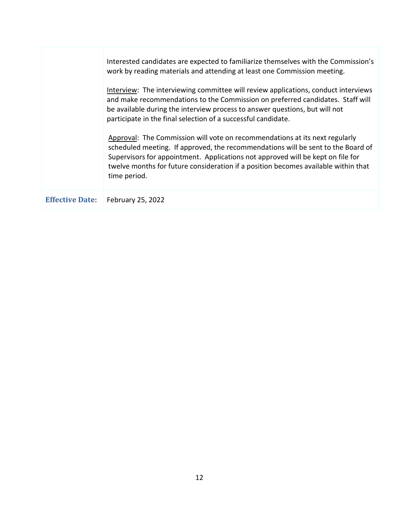|                        | Interested candidates are expected to familiarize themselves with the Commission's<br>work by reading materials and attending at least one Commission meeting.                                                                                                                                                                                           |
|------------------------|----------------------------------------------------------------------------------------------------------------------------------------------------------------------------------------------------------------------------------------------------------------------------------------------------------------------------------------------------------|
|                        | Interview: The interviewing committee will review applications, conduct interviews<br>and make recommendations to the Commission on preferred candidates. Staff will<br>be available during the interview process to answer questions, but will not<br>participate in the final selection of a successful candidate.                                     |
|                        | Approval: The Commission will vote on recommendations at its next regularly<br>scheduled meeting. If approved, the recommendations will be sent to the Board of<br>Supervisors for appointment. Applications not approved will be kept on file for<br>twelve months for future consideration if a position becomes available within that<br>time period. |
| <b>Effective Date:</b> | February 25, 2022                                                                                                                                                                                                                                                                                                                                        |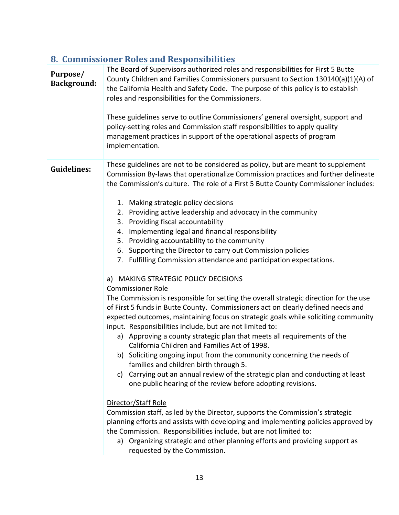| 8. Commissioner Roles and Responsibilities |                                                                                                                                                                                                                                                                                                                                                                                                                                                                                                                                                                                                                                                                                                                                                                                                                                                                                                                                                                                                                                                                                                                                                                                                                                                                                                                                                                                                                                                                                                                                                                                                                                                                                                                                                                                                                                                       |  |
|--------------------------------------------|-------------------------------------------------------------------------------------------------------------------------------------------------------------------------------------------------------------------------------------------------------------------------------------------------------------------------------------------------------------------------------------------------------------------------------------------------------------------------------------------------------------------------------------------------------------------------------------------------------------------------------------------------------------------------------------------------------------------------------------------------------------------------------------------------------------------------------------------------------------------------------------------------------------------------------------------------------------------------------------------------------------------------------------------------------------------------------------------------------------------------------------------------------------------------------------------------------------------------------------------------------------------------------------------------------------------------------------------------------------------------------------------------------------------------------------------------------------------------------------------------------------------------------------------------------------------------------------------------------------------------------------------------------------------------------------------------------------------------------------------------------------------------------------------------------------------------------------------------------|--|
| Purpose/<br><b>Background:</b>             | The Board of Supervisors authorized roles and responsibilities for First 5 Butte<br>County Children and Families Commissioners pursuant to Section 130140(a)(1)(A) of<br>the California Health and Safety Code. The purpose of this policy is to establish<br>roles and responsibilities for the Commissioners.<br>These guidelines serve to outline Commissioners' general oversight, support and<br>policy-setting roles and Commission staff responsibilities to apply quality<br>management practices in support of the operational aspects of program<br>implementation.                                                                                                                                                                                                                                                                                                                                                                                                                                                                                                                                                                                                                                                                                                                                                                                                                                                                                                                                                                                                                                                                                                                                                                                                                                                                         |  |
| <b>Guidelines:</b>                         | These guidelines are not to be considered as policy, but are meant to supplement<br>Commission By-laws that operationalize Commission practices and further delineate<br>the Commission's culture. The role of a First 5 Butte County Commissioner includes:<br>1. Making strategic policy decisions<br>2. Providing active leadership and advocacy in the community<br>3. Providing fiscal accountability<br>Implementing legal and financial responsibility<br>4.<br>5. Providing accountability to the community<br>Supporting the Director to carry out Commission policies<br>6.<br>7. Fulfilling Commission attendance and participation expectations.<br>a) MAKING STRATEGIC POLICY DECISIONS<br><b>Commissioner Role</b><br>The Commission is responsible for setting the overall strategic direction for the use<br>of First 5 funds in Butte County. Commissioners act on clearly defined needs and<br>expected outcomes, maintaining focus on strategic goals while soliciting community<br>input. Responsibilities include, but are not limited to:<br>a) Approving a county strategic plan that meets all requirements of the<br>California Children and Families Act of 1998.<br>b) Soliciting ongoing input from the community concerning the needs of<br>families and children birth through 5.<br>Carrying out an annual review of the strategic plan and conducting at least<br>c)<br>one public hearing of the review before adopting revisions.<br>Director/Staff Role<br>Commission staff, as led by the Director, supports the Commission's strategic<br>planning efforts and assists with developing and implementing policies approved by<br>the Commission. Responsibilities include, but are not limited to:<br>a) Organizing strategic and other planning efforts and providing support as<br>requested by the Commission. |  |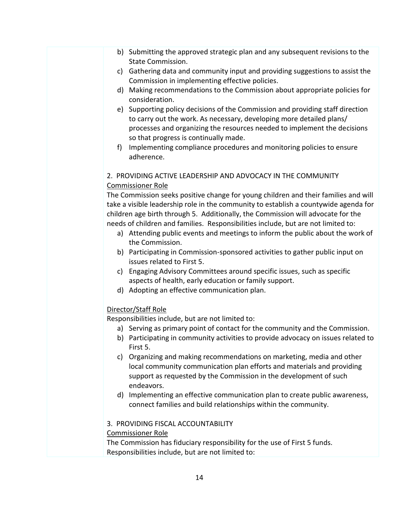- b) Submitting the approved strategic plan and any subsequent revisions to the State Commission.
- c) Gathering data and community input and providing suggestions to assist the Commission in implementing effective policies.
- d) Making recommendations to the Commission about appropriate policies for consideration.
- e) Supporting policy decisions of the Commission and providing staff direction to carry out the work. As necessary, developing more detailed plans/ processes and organizing the resources needed to implement the decisions so that progress is continually made.
- f) Implementing compliance procedures and monitoring policies to ensure adherence.

#### 2. PROVIDING ACTIVE LEADERSHIP AND ADVOCACY IN THE COMMUNITY Commissioner Role

The Commission seeks positive change for young children and their families and will take a visible leadership role in the community to establish a countywide agenda for children age birth through 5. Additionally, the Commission will advocate for the needs of children and families. Responsibilities include, but are not limited to:

- a) Attending public events and meetings to inform the public about the work of the Commission.
- b) Participating in Commission-sponsored activities to gather public input on issues related to First 5.
- c) Engaging Advisory Committees around specific issues, such as specific aspects of health, early education or family support.
- d) Adopting an effective communication plan.

#### Director/Staff Role

Responsibilities include, but are not limited to:

- a) Serving as primary point of contact for the community and the Commission.
- b) Participating in community activities to provide advocacy on issues related to First 5.
- c) Organizing and making recommendations on marketing, media and other local community communication plan efforts and materials and providing support as requested by the Commission in the development of such endeavors.
- d) Implementing an effective communication plan to create public awareness, connect families and build relationships within the community.

#### 3. PROVIDING FISCAL ACCOUNTABILITY

#### Commissioner Role

The Commission has fiduciary responsibility for the use of First 5 funds. Responsibilities include, but are not limited to: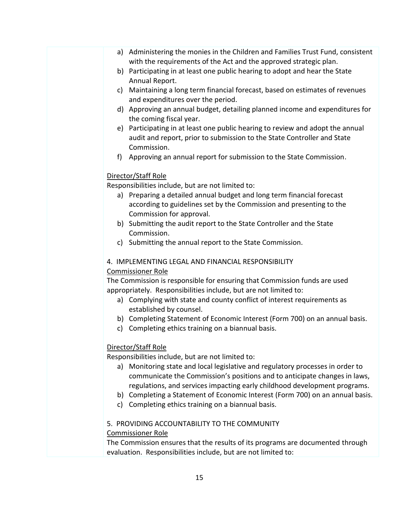- a) Administering the monies in the Children and Families Trust Fund, consistent with the requirements of the Act and the approved strategic plan.
- b) Participating in at least one public hearing to adopt and hear the State Annual Report.
- c) Maintaining a long term financial forecast, based on estimates of revenues and expenditures over the period.
- d) Approving an annual budget, detailing planned income and expenditures for the coming fiscal year.
- e) Participating in at least one public hearing to review and adopt the annual audit and report, prior to submission to the State Controller and State Commission.
- f) Approving an annual report for submission to the State Commission.

#### Director/Staff Role

Responsibilities include, but are not limited to:

- a) Preparing a detailed annual budget and long term financial forecast according to guidelines set by the Commission and presenting to the Commission for approval.
- b) Submitting the audit report to the State Controller and the State Commission.
- c) Submitting the annual report to the State Commission.

#### 4. IMPLEMENTING LEGAL AND FINANCIAL RESPONSIBILITY

#### Commissioner Role

The Commission is responsible for ensuring that Commission funds are used appropriately. Responsibilities include, but are not limited to:

- a) Complying with state and county conflict of interest requirements as established by counsel.
- b) Completing Statement of Economic Interest (Form 700) on an annual basis.
- c) Completing ethics training on a biannual basis.

#### Director/Staff Role

Responsibilities include, but are not limited to:

- a) Monitoring state and local legislative and regulatory processes in order to communicate the Commission's positions and to anticipate changes in laws, regulations, and services impacting early childhood development programs.
- b) Completing a Statement of Economic Interest (Form 700) on an annual basis.
- c) Completing ethics training on a biannual basis.

#### 5. PROVIDING ACCOUNTABILITY TO THE COMMUNITY

#### Commissioner Role

The Commission ensures that the results of its programs are documented through evaluation. Responsibilities include, but are not limited to: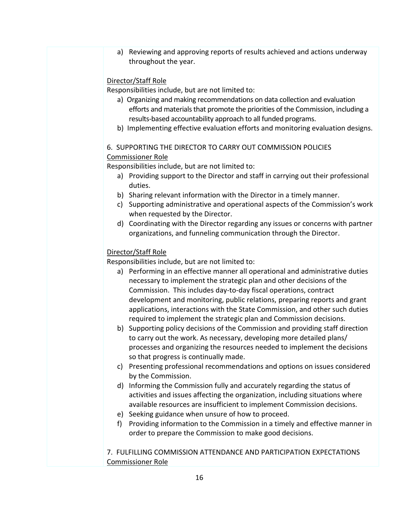a) Reviewing and approving reports of results achieved and actions underway throughout the year.

#### Director/Staff Role

Responsibilities include, but are not limited to:

- a) Organizing and making recommendations on data collection and evaluation efforts and materials that promote the priorities of the Commission, including a results-based accountability approach to all funded programs.
- b) Implementing effective evaluation efforts and monitoring evaluation designs.

#### 6. SUPPORTING THE DIRECTOR TO CARRY OUT COMMISSION POLICIES

#### Commissioner Role

Responsibilities include, but are not limited to:

- a) Providing support to the Director and staff in carrying out their professional duties.
- b) Sharing relevant information with the Director in a timely manner.
- c) Supporting administrative and operational aspects of the Commission's work when requested by the Director.
- d) Coordinating with the Director regarding any issues or concerns with partner organizations, and funneling communication through the Director.

#### Director/Staff Role

Responsibilities include, but are not limited to:

- a) Performing in an effective manner all operational and administrative duties necessary to implement the strategic plan and other decisions of the Commission. This includes day-to-day fiscal operations, contract development and monitoring, public relations, preparing reports and grant applications, interactions with the State Commission, and other such duties required to implement the strategic plan and Commission decisions.
- b) Supporting policy decisions of the Commission and providing staff direction to carry out the work. As necessary, developing more detailed plans/ processes and organizing the resources needed to implement the decisions so that progress is continually made.
- c) Presenting professional recommendations and options on issues considered by the Commission.
- d) Informing the Commission fully and accurately regarding the status of activities and issues affecting the organization, including situations where available resources are insufficient to implement Commission decisions.
- e) Seeking guidance when unsure of how to proceed.
- f) Providing information to the Commission in a timely and effective manner in order to prepare the Commission to make good decisions.

7. FULFILLING COMMISSION ATTENDANCE AND PARTICIPATION EXPECTATIONS Commissioner Role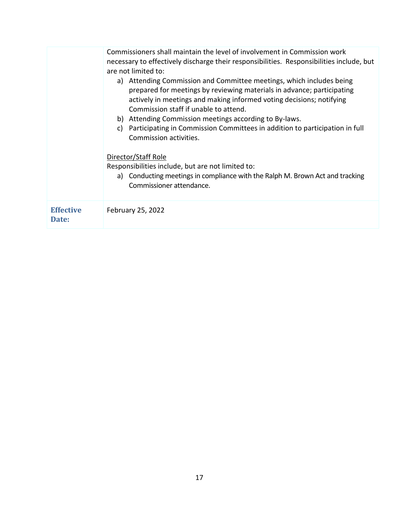|                           | Commissioners shall maintain the level of involvement in Commission work<br>necessary to effectively discharge their responsibilities. Responsibilities include, but<br>are not limited to:<br>Attending Commission and Committee meetings, which includes being<br>a)<br>prepared for meetings by reviewing materials in advance; participating<br>actively in meetings and making informed voting decisions; notifying<br>Commission staff if unable to attend.<br>b) Attending Commission meetings according to By-laws.<br>Participating in Commission Committees in addition to participation in full<br>C)<br>Commission activities.<br>Director/Staff Role<br>Responsibilities include, but are not limited to:<br>Conducting meetings in compliance with the Ralph M. Brown Act and tracking<br>a)<br>Commissioner attendance. |
|---------------------------|----------------------------------------------------------------------------------------------------------------------------------------------------------------------------------------------------------------------------------------------------------------------------------------------------------------------------------------------------------------------------------------------------------------------------------------------------------------------------------------------------------------------------------------------------------------------------------------------------------------------------------------------------------------------------------------------------------------------------------------------------------------------------------------------------------------------------------------|
| <b>Effective</b><br>Date: | February 25, 2022                                                                                                                                                                                                                                                                                                                                                                                                                                                                                                                                                                                                                                                                                                                                                                                                                      |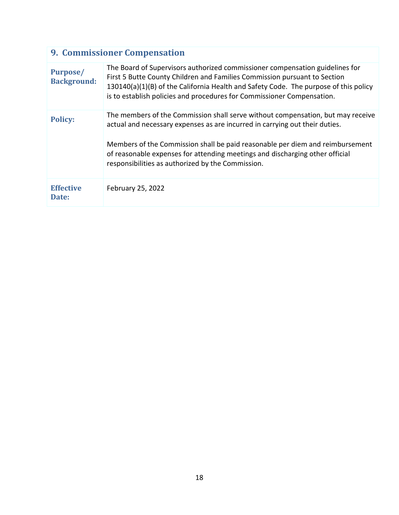| <b>9. Commissioner Compensation</b> |                                                                                                                                                                                                                                                                                                                                                                                      |
|-------------------------------------|--------------------------------------------------------------------------------------------------------------------------------------------------------------------------------------------------------------------------------------------------------------------------------------------------------------------------------------------------------------------------------------|
| Purpose/<br><b>Background:</b>      | The Board of Supervisors authorized commissioner compensation guidelines for<br>First 5 Butte County Children and Families Commission pursuant to Section<br>130140(a)(1)(B) of the California Health and Safety Code. The purpose of this policy<br>is to establish policies and procedures for Commissioner Compensation.                                                          |
| <b>Policy:</b>                      | The members of the Commission shall serve without compensation, but may receive<br>actual and necessary expenses as are incurred in carrying out their duties.<br>Members of the Commission shall be paid reasonable per diem and reimbursement<br>of reasonable expenses for attending meetings and discharging other official<br>responsibilities as authorized by the Commission. |
| <b>Effective</b><br>Date:           | February 25, 2022                                                                                                                                                                                                                                                                                                                                                                    |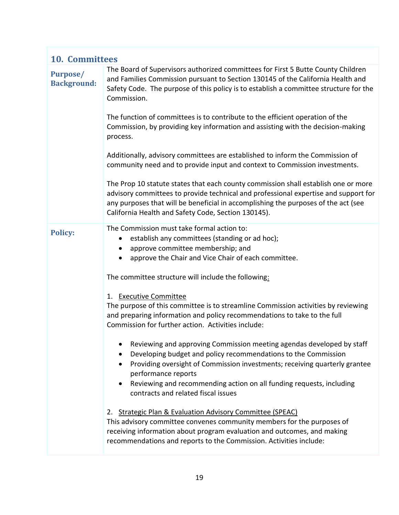| <b>10. Committees</b>                 |                                                                                                                                                                                                                                                                                                                        |
|---------------------------------------|------------------------------------------------------------------------------------------------------------------------------------------------------------------------------------------------------------------------------------------------------------------------------------------------------------------------|
| <b>Purpose/</b><br><b>Background:</b> | The Board of Supervisors authorized committees for First 5 Butte County Children<br>and Families Commission pursuant to Section 130145 of the California Health and<br>Safety Code. The purpose of this policy is to establish a committee structure for the<br>Commission.                                            |
|                                       | The function of committees is to contribute to the efficient operation of the<br>Commission, by providing key information and assisting with the decision-making<br>process.                                                                                                                                           |
|                                       | Additionally, advisory committees are established to inform the Commission of<br>community need and to provide input and context to Commission investments.                                                                                                                                                            |
|                                       | The Prop 10 statute states that each county commission shall establish one or more<br>advisory committees to provide technical and professional expertise and support for<br>any purposes that will be beneficial in accomplishing the purposes of the act (see<br>California Health and Safety Code, Section 130145). |
| <b>Policy:</b>                        | The Commission must take formal action to:<br>establish any committees (standing or ad hoc);<br>$\bullet$<br>approve committee membership; and<br>$\bullet$<br>approve the Chair and Vice Chair of each committee.<br>$\bullet$                                                                                        |
|                                       | The committee structure will include the following:                                                                                                                                                                                                                                                                    |
|                                       | 1. Executive Committee<br>The purpose of this committee is to streamline Commission activities by reviewing<br>and preparing information and policy recommendations to take to the full<br>Commission for further action. Activities include:                                                                          |
|                                       | Reviewing and approving Commission meeting agendas developed by staff<br>Developing budget and policy recommendations to the Commission<br>Providing oversight of Commission investments; receiving quarterly grantee<br>performance reports                                                                           |
|                                       | Reviewing and recommending action on all funding requests, including<br>$\bullet$<br>contracts and related fiscal issues                                                                                                                                                                                               |
|                                       | 2. Strategic Plan & Evaluation Advisory Committee (SPEAC)<br>This advisory committee convenes community members for the purposes of<br>receiving information about program evaluation and outcomes, and making<br>recommendations and reports to the Commission. Activities include:                                   |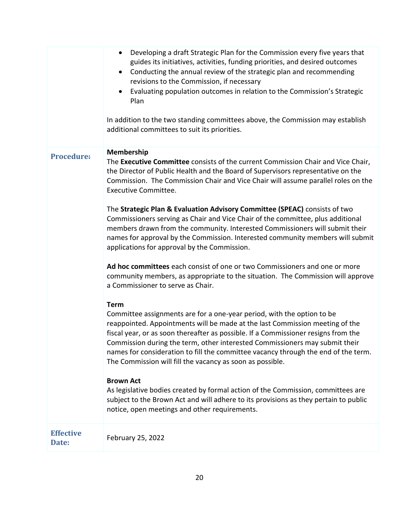|                           | Developing a draft Strategic Plan for the Commission every five years that<br>$\bullet$<br>guides its initiatives, activities, funding priorities, and desired outcomes<br>Conducting the annual review of the strategic plan and recommending<br>$\bullet$<br>revisions to the Commission, if necessary<br>Evaluating population outcomes in relation to the Commission's Strategic<br>$\bullet$<br>Plan<br>In addition to the two standing committees above, the Commission may establish<br>additional committees to suit its priorities.                                                                                                                                                                                                                                                                                                                                                                                                                                                                                                                                                                                                                                                                                                                                                                                                                                                                                                                                                                                                                                                                                                      |
|---------------------------|---------------------------------------------------------------------------------------------------------------------------------------------------------------------------------------------------------------------------------------------------------------------------------------------------------------------------------------------------------------------------------------------------------------------------------------------------------------------------------------------------------------------------------------------------------------------------------------------------------------------------------------------------------------------------------------------------------------------------------------------------------------------------------------------------------------------------------------------------------------------------------------------------------------------------------------------------------------------------------------------------------------------------------------------------------------------------------------------------------------------------------------------------------------------------------------------------------------------------------------------------------------------------------------------------------------------------------------------------------------------------------------------------------------------------------------------------------------------------------------------------------------------------------------------------------------------------------------------------------------------------------------------------|
| <b>Procedure:</b>         | Membership<br>The Executive Committee consists of the current Commission Chair and Vice Chair,<br>the Director of Public Health and the Board of Supervisors representative on the<br>Commission. The Commission Chair and Vice Chair will assume parallel roles on the<br><b>Executive Committee.</b><br>The Strategic Plan & Evaluation Advisory Committee (SPEAC) consists of two<br>Commissioners serving as Chair and Vice Chair of the committee, plus additional<br>members drawn from the community. Interested Commissioners will submit their<br>names for approval by the Commission. Interested community members will submit<br>applications for approval by the Commission.<br>Ad hoc committees each consist of one or two Commissioners and one or more<br>community members, as appropriate to the situation. The Commission will approve<br>a Commissioner to serve as Chair.<br><b>Term</b><br>Committee assignments are for a one-year period, with the option to be<br>reappointed. Appointments will be made at the last Commission meeting of the<br>fiscal year, or as soon thereafter as possible. If a Commissioner resigns from the<br>Commission during the term, other interested Commissioners may submit their<br>names for consideration to fill the committee vacancy through the end of the term.<br>The Commission will fill the vacancy as soon as possible.<br><b>Brown Act</b><br>As legislative bodies created by formal action of the Commission, committees are<br>subject to the Brown Act and will adhere to its provisions as they pertain to public<br>notice, open meetings and other requirements. |
| <b>Effective</b><br>Date: | February 25, 2022                                                                                                                                                                                                                                                                                                                                                                                                                                                                                                                                                                                                                                                                                                                                                                                                                                                                                                                                                                                                                                                                                                                                                                                                                                                                                                                                                                                                                                                                                                                                                                                                                                 |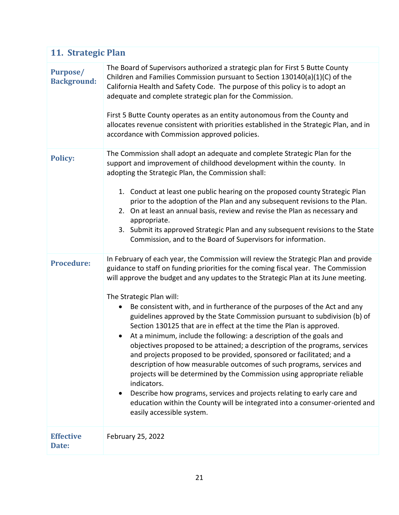|                                       | 11. Strategic Plan                                                                                                                                                                                                                                                                                                                                                                                                                                                                                                                                                                                                                                                                                                                                                                                                                                                                                                                                                                                                                                                                                                                     |  |
|---------------------------------------|----------------------------------------------------------------------------------------------------------------------------------------------------------------------------------------------------------------------------------------------------------------------------------------------------------------------------------------------------------------------------------------------------------------------------------------------------------------------------------------------------------------------------------------------------------------------------------------------------------------------------------------------------------------------------------------------------------------------------------------------------------------------------------------------------------------------------------------------------------------------------------------------------------------------------------------------------------------------------------------------------------------------------------------------------------------------------------------------------------------------------------------|--|
| <b>Purpose/</b><br><b>Background:</b> | The Board of Supervisors authorized a strategic plan for First 5 Butte County<br>Children and Families Commission pursuant to Section 130140(a)(1)(C) of the<br>California Health and Safety Code. The purpose of this policy is to adopt an<br>adequate and complete strategic plan for the Commission.<br>First 5 Butte County operates as an entity autonomous from the County and<br>allocates revenue consistent with priorities established in the Strategic Plan, and in<br>accordance with Commission approved policies.                                                                                                                                                                                                                                                                                                                                                                                                                                                                                                                                                                                                       |  |
| <b>Policy:</b>                        | The Commission shall adopt an adequate and complete Strategic Plan for the<br>support and improvement of childhood development within the county. In<br>adopting the Strategic Plan, the Commission shall:<br>1. Conduct at least one public hearing on the proposed county Strategic Plan<br>prior to the adoption of the Plan and any subsequent revisions to the Plan.<br>2. On at least an annual basis, review and revise the Plan as necessary and<br>appropriate.<br>3. Submit its approved Strategic Plan and any subsequent revisions to the State<br>Commission, and to the Board of Supervisors for information.                                                                                                                                                                                                                                                                                                                                                                                                                                                                                                            |  |
| <b>Procedure:</b>                     | In February of each year, the Commission will review the Strategic Plan and provide<br>guidance to staff on funding priorities for the coming fiscal year. The Commission<br>will approve the budget and any updates to the Strategic Plan at its June meeting.<br>The Strategic Plan will:<br>Be consistent with, and in furtherance of the purposes of the Act and any<br>$\bullet$<br>guidelines approved by the State Commission pursuant to subdivision (b) of<br>Section 130125 that are in effect at the time the Plan is approved.<br>• At a minimum, include the following: a description of the goals and<br>objectives proposed to be attained; a description of the programs, services<br>and projects proposed to be provided, sponsored or facilitated; and a<br>description of how measurable outcomes of such programs, services and<br>projects will be determined by the Commission using appropriate reliable<br>indicators.<br>Describe how programs, services and projects relating to early care and<br>education within the County will be integrated into a consumer-oriented and<br>easily accessible system. |  |
| <b>Effective</b><br>Date:             | February 25, 2022                                                                                                                                                                                                                                                                                                                                                                                                                                                                                                                                                                                                                                                                                                                                                                                                                                                                                                                                                                                                                                                                                                                      |  |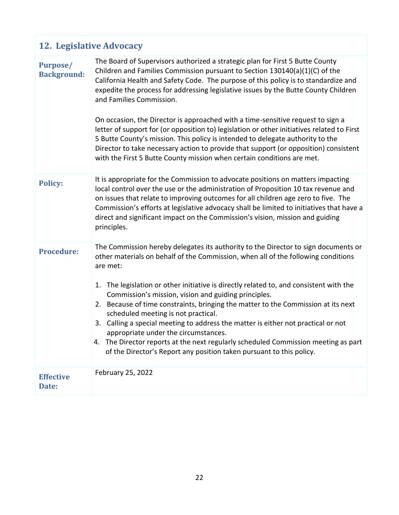## **12. Legislative Advocacy**

| <b>Purpose/</b><br><b>Background:</b> | The Board of Supervisors authorized a strategic plan for First 5 Butte County<br>Children and Families Commission pursuant to Section 130140(a)(1)(C) of the<br>California Health and Safety Code. The purpose of this policy is to standardize and<br>expedite the process for addressing legislative issues by the Butte County Children<br>and Families Commission.<br>On occasion, the Director is approached with a time-sensitive request to sign a<br>letter of support for (or opposition to) legislation or other initiatives related to First<br>5 Butte County's mission. This policy is intended to delegate authority to the<br>Director to take necessary action to provide that support (or opposition) consistent<br>with the First 5 Butte County mission when certain conditions are met. |
|---------------------------------------|-------------------------------------------------------------------------------------------------------------------------------------------------------------------------------------------------------------------------------------------------------------------------------------------------------------------------------------------------------------------------------------------------------------------------------------------------------------------------------------------------------------------------------------------------------------------------------------------------------------------------------------------------------------------------------------------------------------------------------------------------------------------------------------------------------------|
| <b>Policy:</b>                        | It is appropriate for the Commission to advocate positions on matters impacting<br>local control over the use or the administration of Proposition 10 tax revenue and<br>on issues that relate to improving outcomes for all children age zero to five. The<br>Commission's efforts at legislative advocacy shall be limited to initiatives that have a<br>direct and significant impact on the Commission's vision, mission and guiding<br>principles.                                                                                                                                                                                                                                                                                                                                                     |
| <b>Procedure:</b>                     | The Commission hereby delegates its authority to the Director to sign documents or<br>other materials on behalf of the Commission, when all of the following conditions<br>are met:<br>1. The legislation or other initiative is directly related to, and consistent with the<br>Commission's mission, vision and guiding principles.<br>2. Because of time constraints, bringing the matter to the Commission at its next<br>scheduled meeting is not practical.<br>3. Calling a special meeting to address the matter is either not practical or not<br>appropriate under the circumstances.<br>4. The Director reports at the next regularly scheduled Commission meeting as part<br>of the Director's Report any position taken pursuant to this policy.                                                |
| <b>Effective</b><br>Date:             | February 25, 2022                                                                                                                                                                                                                                                                                                                                                                                                                                                                                                                                                                                                                                                                                                                                                                                           |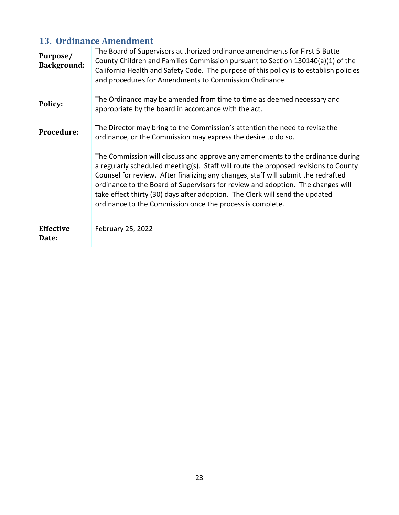|                                | <b>13. Ordinance Amendment</b>                                                                                                                                                                                                                                                                                                                                                                                                                                                                                                                                                                                                             |  |
|--------------------------------|--------------------------------------------------------------------------------------------------------------------------------------------------------------------------------------------------------------------------------------------------------------------------------------------------------------------------------------------------------------------------------------------------------------------------------------------------------------------------------------------------------------------------------------------------------------------------------------------------------------------------------------------|--|
| Purpose/<br><b>Background:</b> | The Board of Supervisors authorized ordinance amendments for First 5 Butte<br>County Children and Families Commission pursuant to Section 130140(a)(1) of the<br>California Health and Safety Code. The purpose of this policy is to establish policies<br>and procedures for Amendments to Commission Ordinance.                                                                                                                                                                                                                                                                                                                          |  |
| Policy:                        | The Ordinance may be amended from time to time as deemed necessary and<br>appropriate by the board in accordance with the act.                                                                                                                                                                                                                                                                                                                                                                                                                                                                                                             |  |
| <b>Procedure:</b>              | The Director may bring to the Commission's attention the need to revise the<br>ordinance, or the Commission may express the desire to do so.<br>The Commission will discuss and approve any amendments to the ordinance during<br>a regularly scheduled meeting(s). Staff will route the proposed revisions to County<br>Counsel for review. After finalizing any changes, staff will submit the redrafted<br>ordinance to the Board of Supervisors for review and adoption. The changes will<br>take effect thirty (30) days after adoption. The Clerk will send the updated<br>ordinance to the Commission once the process is complete. |  |
| <b>Effective</b><br>Date:      | February 25, 2022                                                                                                                                                                                                                                                                                                                                                                                                                                                                                                                                                                                                                          |  |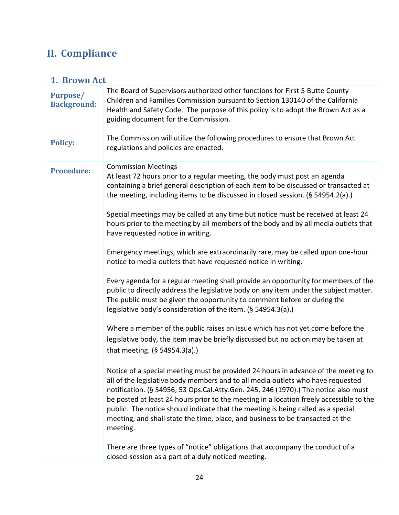## **II. Compliance**

| 1. Brown Act                          |                                                                                                                                                                                                                                                                                                                                                                                                                                                                                                                                                                                                                                                                                                                                                                                                                                                                                                                                                                                                                                                                                                                                                                                                                                                                                                                                                                                                                                                                                                                                                           |  |
|---------------------------------------|-----------------------------------------------------------------------------------------------------------------------------------------------------------------------------------------------------------------------------------------------------------------------------------------------------------------------------------------------------------------------------------------------------------------------------------------------------------------------------------------------------------------------------------------------------------------------------------------------------------------------------------------------------------------------------------------------------------------------------------------------------------------------------------------------------------------------------------------------------------------------------------------------------------------------------------------------------------------------------------------------------------------------------------------------------------------------------------------------------------------------------------------------------------------------------------------------------------------------------------------------------------------------------------------------------------------------------------------------------------------------------------------------------------------------------------------------------------------------------------------------------------------------------------------------------------|--|
| <b>Purpose/</b><br><b>Background:</b> | The Board of Supervisors authorized other functions for First 5 Butte County<br>Children and Families Commission pursuant to Section 130140 of the California<br>Health and Safety Code. The purpose of this policy is to adopt the Brown Act as a<br>guiding document for the Commission.                                                                                                                                                                                                                                                                                                                                                                                                                                                                                                                                                                                                                                                                                                                                                                                                                                                                                                                                                                                                                                                                                                                                                                                                                                                                |  |
| <b>Policy:</b>                        | The Commission will utilize the following procedures to ensure that Brown Act<br>regulations and policies are enacted.                                                                                                                                                                                                                                                                                                                                                                                                                                                                                                                                                                                                                                                                                                                                                                                                                                                                                                                                                                                                                                                                                                                                                                                                                                                                                                                                                                                                                                    |  |
| <b>Procedure:</b>                     | <b>Commission Meetings</b><br>At least 72 hours prior to a regular meeting, the body must post an agenda<br>containing a brief general description of each item to be discussed or transacted at<br>the meeting, including items to be discussed in closed session. (§ 54954.2(a).)<br>Special meetings may be called at any time but notice must be received at least 24<br>hours prior to the meeting by all members of the body and by all media outlets that<br>have requested notice in writing.<br>Emergency meetings, which are extraordinarily rare, may be called upon one-hour<br>notice to media outlets that have requested notice in writing.<br>Every agenda for a regular meeting shall provide an opportunity for members of the<br>public to directly address the legislative body on any item under the subject matter.<br>The public must be given the opportunity to comment before or during the<br>legislative body's consideration of the item. (§ 54954.3(a).)<br>Where a member of the public raises an issue which has not yet come before the<br>legislative body, the item may be briefly discussed but no action may be taken at<br>that meeting. (§ 54954.3(a).)<br>Notice of a special meeting must be provided 24 hours in advance of the meeting to<br>all of the legislative body members and to all media outlets who have requested<br>notification. (§ 54956; 53 Ops.Cal.Atty.Gen. 245, 246 (1970).) The notice also must<br>be posted at least 24 hours prior to the meeting in a location freely accessible to the |  |
|                                       | public. The notice should indicate that the meeting is being called as a special<br>meeting, and shall state the time, place, and business to be transacted at the<br>meeting.                                                                                                                                                                                                                                                                                                                                                                                                                                                                                                                                                                                                                                                                                                                                                                                                                                                                                                                                                                                                                                                                                                                                                                                                                                                                                                                                                                            |  |
|                                       | There are three types of "notice" obligations that accompany the conduct of a<br>closed-session as a part of a duly noticed meeting.                                                                                                                                                                                                                                                                                                                                                                                                                                                                                                                                                                                                                                                                                                                                                                                                                                                                                                                                                                                                                                                                                                                                                                                                                                                                                                                                                                                                                      |  |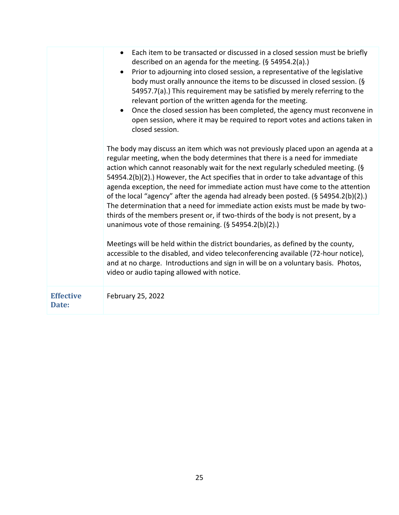|                           | Each item to be transacted or discussed in a closed session must be briefly<br>$\bullet$<br>described on an agenda for the meeting. (§ 54954.2(a).)<br>Prior to adjourning into closed session, a representative of the legislative<br>body must orally announce the items to be discussed in closed session. (§<br>54957.7(a).) This requirement may be satisfied by merely referring to the<br>relevant portion of the written agenda for the meeting.<br>Once the closed session has been completed, the agency must reconvene in<br>open session, where it may be required to report votes and actions taken in<br>closed session.                                                                                                             |
|---------------------------|----------------------------------------------------------------------------------------------------------------------------------------------------------------------------------------------------------------------------------------------------------------------------------------------------------------------------------------------------------------------------------------------------------------------------------------------------------------------------------------------------------------------------------------------------------------------------------------------------------------------------------------------------------------------------------------------------------------------------------------------------|
|                           | The body may discuss an item which was not previously placed upon an agenda at a<br>regular meeting, when the body determines that there is a need for immediate<br>action which cannot reasonably wait for the next regularly scheduled meeting. (§<br>54954.2(b)(2).) However, the Act specifies that in order to take advantage of this<br>agenda exception, the need for immediate action must have come to the attention<br>of the local "agency" after the agenda had already been posted. (§ 54954.2(b)(2).)<br>The determination that a need for immediate action exists must be made by two-<br>thirds of the members present or, if two-thirds of the body is not present, by a<br>unanimous vote of those remaining. (§ 54954.2(b)(2).) |
|                           | Meetings will be held within the district boundaries, as defined by the county,<br>accessible to the disabled, and video teleconferencing available (72-hour notice),<br>and at no charge. Introductions and sign in will be on a voluntary basis. Photos,<br>video or audio taping allowed with notice.                                                                                                                                                                                                                                                                                                                                                                                                                                           |
| <b>Effective</b><br>Date: | February 25, 2022                                                                                                                                                                                                                                                                                                                                                                                                                                                                                                                                                                                                                                                                                                                                  |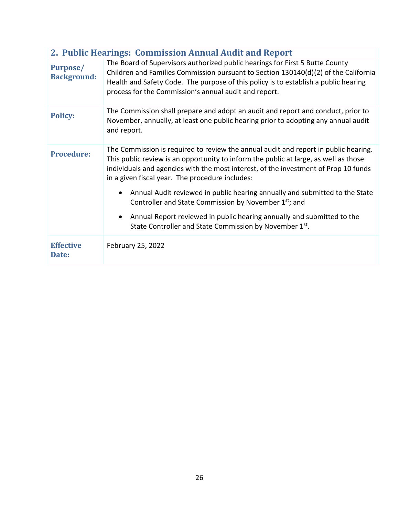| 2. Public Hearings: Commission Annual Audit and Report |                                                                                                                                                                                                                                                                                                                       |  |
|--------------------------------------------------------|-----------------------------------------------------------------------------------------------------------------------------------------------------------------------------------------------------------------------------------------------------------------------------------------------------------------------|--|
| Purpose/<br><b>Background:</b>                         | The Board of Supervisors authorized public hearings for First 5 Butte County<br>Children and Families Commission pursuant to Section 130140(d)(2) of the California<br>Health and Safety Code. The purpose of this policy is to establish a public hearing<br>process for the Commission's annual audit and report.   |  |
| <b>Policy:</b>                                         | The Commission shall prepare and adopt an audit and report and conduct, prior to<br>November, annually, at least one public hearing prior to adopting any annual audit<br>and report.                                                                                                                                 |  |
| <b>Procedure:</b>                                      | The Commission is required to review the annual audit and report in public hearing.<br>This public review is an opportunity to inform the public at large, as well as those<br>individuals and agencies with the most interest, of the investment of Prop 10 funds<br>in a given fiscal year. The procedure includes: |  |
|                                                        | Annual Audit reviewed in public hearing annually and submitted to the State<br>$\bullet$<br>Controller and State Commission by November 1st; and                                                                                                                                                                      |  |
|                                                        | Annual Report reviewed in public hearing annually and submitted to the<br>$\bullet$<br>State Controller and State Commission by November 1st.                                                                                                                                                                         |  |
| <b>Effective</b><br>Date:                              | February 25, 2022                                                                                                                                                                                                                                                                                                     |  |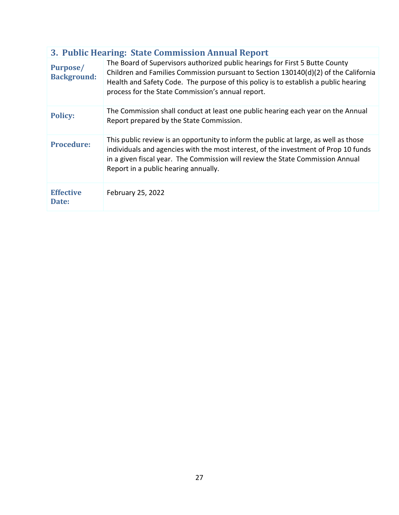| 3. Public Hearing: State Commission Annual Report |                                                                                                                                                                                                                                                                                                                 |  |
|---------------------------------------------------|-----------------------------------------------------------------------------------------------------------------------------------------------------------------------------------------------------------------------------------------------------------------------------------------------------------------|--|
| Purpose/<br><b>Background:</b>                    | The Board of Supervisors authorized public hearings for First 5 Butte County<br>Children and Families Commission pursuant to Section 130140(d)(2) of the California<br>Health and Safety Code. The purpose of this policy is to establish a public hearing<br>process for the State Commission's annual report. |  |
| <b>Policy:</b>                                    | The Commission shall conduct at least one public hearing each year on the Annual<br>Report prepared by the State Commission.                                                                                                                                                                                    |  |
| <b>Procedure:</b>                                 | This public review is an opportunity to inform the public at large, as well as those<br>individuals and agencies with the most interest, of the investment of Prop 10 funds<br>in a given fiscal year. The Commission will review the State Commission Annual<br>Report in a public hearing annually.           |  |
| <b>Effective</b><br>Date:                         | February 25, 2022                                                                                                                                                                                                                                                                                               |  |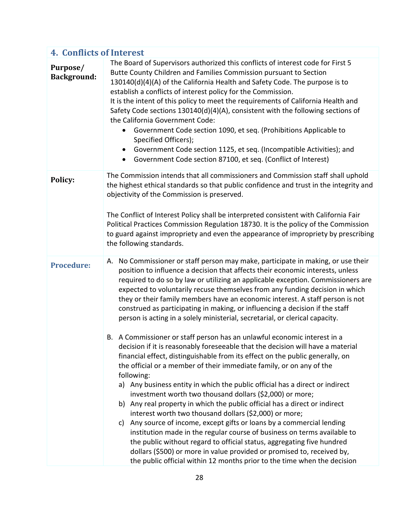| <b>4. Conflicts of Interest</b> |                                                                                                                                                                                                                                                                                                                                                                                                                                                                                                                                                                                                                                                                                                                                                                                                                                                                                                                                                                                                                                                                                                                                                                                                                                                                                                                                                                                                                                                                                                                                                                                                               |  |
|---------------------------------|---------------------------------------------------------------------------------------------------------------------------------------------------------------------------------------------------------------------------------------------------------------------------------------------------------------------------------------------------------------------------------------------------------------------------------------------------------------------------------------------------------------------------------------------------------------------------------------------------------------------------------------------------------------------------------------------------------------------------------------------------------------------------------------------------------------------------------------------------------------------------------------------------------------------------------------------------------------------------------------------------------------------------------------------------------------------------------------------------------------------------------------------------------------------------------------------------------------------------------------------------------------------------------------------------------------------------------------------------------------------------------------------------------------------------------------------------------------------------------------------------------------------------------------------------------------------------------------------------------------|--|
| Purpose/<br><b>Background:</b>  | The Board of Supervisors authorized this conflicts of interest code for First 5<br>Butte County Children and Families Commission pursuant to Section<br>130140(d)(4)(A) of the California Health and Safety Code. The purpose is to<br>establish a conflicts of interest policy for the Commission.<br>It is the intent of this policy to meet the requirements of California Health and<br>Safety Code sections 130140(d)(4)(A), consistent with the following sections of<br>the California Government Code:<br>Government Code section 1090, et seq. (Prohibitions Applicable to<br>Specified Officers);<br>Government Code section 1125, et seq. (Incompatible Activities); and<br>Government Code section 87100, et seq. (Conflict of Interest)<br>$\bullet$                                                                                                                                                                                                                                                                                                                                                                                                                                                                                                                                                                                                                                                                                                                                                                                                                                             |  |
| Policy:                         | The Commission intends that all commissioners and Commission staff shall uphold<br>the highest ethical standards so that public confidence and trust in the integrity and<br>objectivity of the Commission is preserved.<br>The Conflict of Interest Policy shall be interpreted consistent with California Fair<br>Political Practices Commission Regulation 18730. It is the policy of the Commission<br>to guard against impropriety and even the appearance of impropriety by prescribing<br>the following standards.                                                                                                                                                                                                                                                                                                                                                                                                                                                                                                                                                                                                                                                                                                                                                                                                                                                                                                                                                                                                                                                                                     |  |
| <b>Procedure:</b>               | No Commissioner or staff person may make, participate in making, or use their<br>А.<br>position to influence a decision that affects their economic interests, unless<br>required to do so by law or utilizing an applicable exception. Commissioners are<br>expected to voluntarily recuse themselves from any funding decision in which<br>they or their family members have an economic interest. A staff person is not<br>construed as participating in making, or influencing a decision if the staff<br>person is acting in a solely ministerial, secretarial, or clerical capacity.<br>B. A Commissioner or staff person has an unlawful economic interest in a<br>decision if it is reasonably foreseeable that the decision will have a material<br>financial effect, distinguishable from its effect on the public generally, on<br>the official or a member of their immediate family, or on any of the<br>following:<br>a) Any business entity in which the public official has a direct or indirect<br>investment worth two thousand dollars (\$2,000) or more;<br>b) Any real property in which the public official has a direct or indirect<br>interest worth two thousand dollars (\$2,000) or more;<br>Any source of income, except gifts or loans by a commercial lending<br>C)<br>institution made in the regular course of business on terms available to<br>the public without regard to official status, aggregating five hundred<br>dollars (\$500) or more in value provided or promised to, received by,<br>the public official within 12 months prior to the time when the decision |  |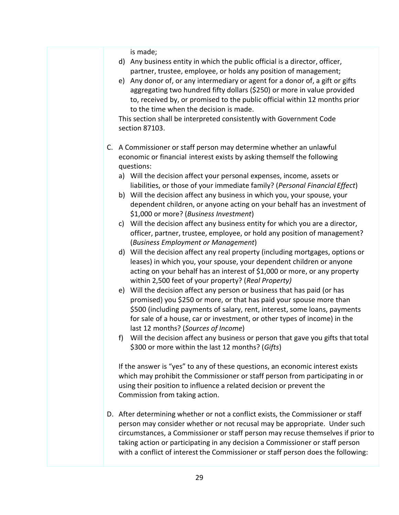is made;

- d) Any business entity in which the public official is a director, officer, partner, trustee, employee, or holds any position of management;
- e) Any donor of, or any intermediary or agent for a donor of, a gift or gifts aggregating two hundred fifty dollars (\$250) or more in value provided to, received by, or promised to the public official within 12 months prior to the time when the decision is made.

This section shall be interpreted consistently with Government Code section 87103.

- C. A Commissioner or staff person may determine whether an unlawful economic or financial interest exists by asking themself the following questions:
	- a) Will the decision affect your personal expenses, income, assets or liabilities, or those of your immediate family? (*Personal Financial Effect*)
	- b) Will the decision affect any business in which you, your spouse, your dependent children, or anyone acting on your behalf has an investment of \$1,000 or more? (*Business Investment*)
	- c) Will the decision affect any business entity for which you are a director, officer, partner, trustee, employee, or hold any position of management? (*Business Employment or Management*)
	- d) Will the decision affect any real property (including mortgages, options or leases) in which you, your spouse, your dependent children or anyone acting on your behalf has an interest of \$1,000 or more, or any property within 2,500 feet of your property? (*Real Property)*
	- e) Will the decision affect any person or business that has paid (or has promised) you \$250 or more, or that has paid your spouse more than \$500 (including payments of salary, rent, interest, some loans, payments for sale of a house, car or investment, or other types of income) in the last 12 months? (*Sources of Income*)
	- f) Will the decision affect any business or person that gave you gifts that total \$300 or more within the last 12 months? (*Gifts*)

If the answer is "yes" to any of these questions, an economic interest exists which may prohibit the Commissioner or staff person from participating in or using their position to influence a related decision or prevent the Commission from taking action.

D. After determining whether or not a conflict exists, the Commissioner or staff person may consider whether or not recusal may be appropriate. Under such circumstances, a Commissioner or staff person may recuse themselves if prior to taking action or participating in any decision a Commissioner or staff person with a conflict of interest the Commissioner or staff person does the following: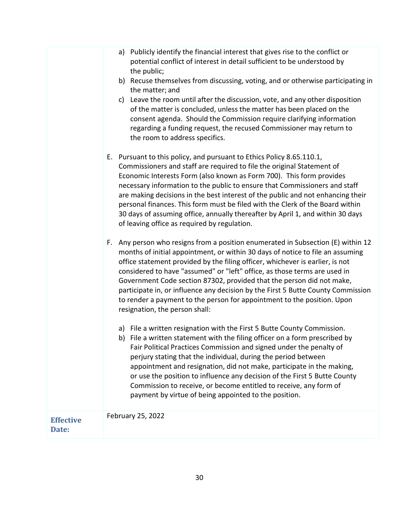|                           | a) Publicly identify the financial interest that gives rise to the conflict or<br>potential conflict of interest in detail sufficient to be understood by<br>the public;<br>b) Recuse themselves from discussing, voting, and or otherwise participating in<br>the matter; and<br>c) Leave the room until after the discussion, vote, and any other disposition<br>of the matter is concluded, unless the matter has been placed on the<br>consent agenda. Should the Commission require clarifying information<br>regarding a funding request, the recused Commissioner may return to<br>the room to address specifics. |
|---------------------------|--------------------------------------------------------------------------------------------------------------------------------------------------------------------------------------------------------------------------------------------------------------------------------------------------------------------------------------------------------------------------------------------------------------------------------------------------------------------------------------------------------------------------------------------------------------------------------------------------------------------------|
|                           | E. Pursuant to this policy, and pursuant to Ethics Policy 8.65.110.1,<br>Commissioners and staff are required to file the original Statement of<br>Economic Interests Form (also known as Form 700). This form provides<br>necessary information to the public to ensure that Commissioners and staff<br>are making decisions in the best interest of the public and not enhancing their<br>personal finances. This form must be filed with the Clerk of the Board within<br>30 days of assuming office, annually thereafter by April 1, and within 30 days<br>of leaving office as required by regulation.              |
|                           | F. Any person who resigns from a position enumerated in Subsection (E) within 12<br>months of initial appointment, or within 30 days of notice to file an assuming<br>office statement provided by the filing officer, whichever is earlier, is not<br>considered to have "assumed" or "left" office, as those terms are used in<br>Government Code section 87302, provided that the person did not make,<br>participate in, or influence any decision by the First 5 Butte County Commission<br>to render a payment to the person for appointment to the position. Upon<br>resignation, the person shall:               |
|                           | a) File a written resignation with the First 5 Butte County Commission.<br>File a written statement with the filing officer on a form prescribed by<br>D)<br>Fair Political Practices Commission and signed under the penalty of<br>perjury stating that the individual, during the period between<br>appointment and resignation, did not make, participate in the making,<br>or use the position to influence any decision of the First 5 Butte County<br>Commission to receive, or become entitled to receive, any form of<br>payment by virtue of being appointed to the position.                                   |
| <b>Effective</b><br>Date: | February 25, 2022                                                                                                                                                                                                                                                                                                                                                                                                                                                                                                                                                                                                        |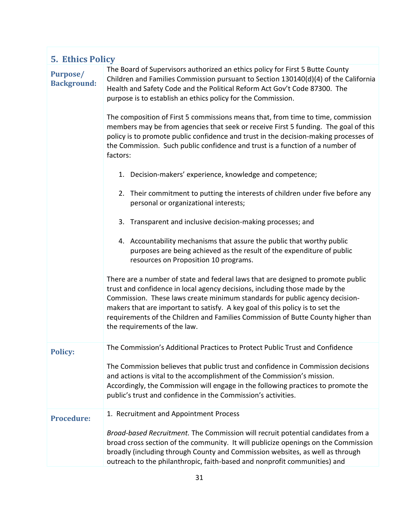| <b>5. Ethics Policy</b>               |                                                                                                                                                                                                                                                                                                                                                                                                                                                                                                                                                                                                                                                                                                                                                                                                                                                                                                                                                                                                                                                                                                                                                                                                                                                                                                                                                                                                                                                                                                                                                                                              |
|---------------------------------------|----------------------------------------------------------------------------------------------------------------------------------------------------------------------------------------------------------------------------------------------------------------------------------------------------------------------------------------------------------------------------------------------------------------------------------------------------------------------------------------------------------------------------------------------------------------------------------------------------------------------------------------------------------------------------------------------------------------------------------------------------------------------------------------------------------------------------------------------------------------------------------------------------------------------------------------------------------------------------------------------------------------------------------------------------------------------------------------------------------------------------------------------------------------------------------------------------------------------------------------------------------------------------------------------------------------------------------------------------------------------------------------------------------------------------------------------------------------------------------------------------------------------------------------------------------------------------------------------|
| <b>Purpose/</b><br><b>Background:</b> | The Board of Supervisors authorized an ethics policy for First 5 Butte County<br>Children and Families Commission pursuant to Section 130140(d)(4) of the California<br>Health and Safety Code and the Political Reform Act Gov't Code 87300. The<br>purpose is to establish an ethics policy for the Commission.<br>The composition of First 5 commissions means that, from time to time, commission<br>members may be from agencies that seek or receive First 5 funding. The goal of this<br>policy is to promote public confidence and trust in the decision-making processes of<br>the Commission. Such public confidence and trust is a function of a number of<br>factors:<br>1. Decision-makers' experience, knowledge and competence;<br>2. Their commitment to putting the interests of children under five before any<br>personal or organizational interests;<br>3. Transparent and inclusive decision-making processes; and<br>4. Accountability mechanisms that assure the public that worthy public<br>purposes are being achieved as the result of the expenditure of public<br>resources on Proposition 10 programs.<br>There are a number of state and federal laws that are designed to promote public<br>trust and confidence in local agency decisions, including those made by the<br>Commission. These laws create minimum standards for public agency decision-<br>makers that are important to satisfy. A key goal of this policy is to set the<br>requirements of the Children and Families Commission of Butte County higher than<br>the requirements of the law. |
| <b>Policy:</b>                        | The Commission's Additional Practices to Protect Public Trust and Confidence<br>The Commission believes that public trust and confidence in Commission decisions<br>and actions is vital to the accomplishment of the Commission's mission.<br>Accordingly, the Commission will engage in the following practices to promote the<br>public's trust and confidence in the Commission's activities.                                                                                                                                                                                                                                                                                                                                                                                                                                                                                                                                                                                                                                                                                                                                                                                                                                                                                                                                                                                                                                                                                                                                                                                            |
| <b>Procedure:</b>                     | 1. Recruitment and Appointment Process<br>Broad-based Recruitment. The Commission will recruit potential candidates from a<br>broad cross section of the community. It will publicize openings on the Commission<br>broadly (including through County and Commission websites, as well as through<br>outreach to the philanthropic, faith-based and nonprofit communities) and                                                                                                                                                                                                                                                                                                                                                                                                                                                                                                                                                                                                                                                                                                                                                                                                                                                                                                                                                                                                                                                                                                                                                                                                               |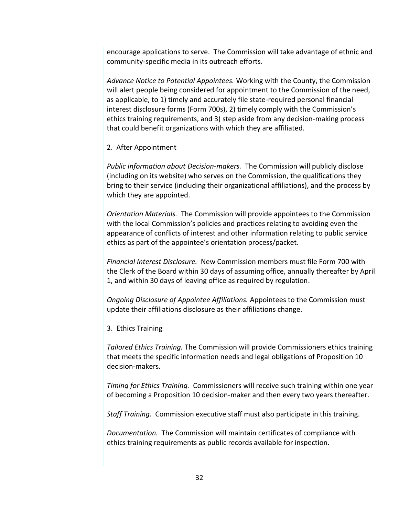encourage applications to serve. The Commission will take advantage of ethnic and community-specific media in its outreach efforts.

*Advance Notice to Potential Appointees.* Working with the County, the Commission will alert people being considered for appointment to the Commission of the need, as applicable, to 1) timely and accurately file state-required personal financial interest disclosure forms (Form 700s), 2) timely comply with the Commission's ethics training requirements, and 3) step aside from any decision-making process that could benefit organizations with which they are affiliated.

#### 2. After Appointment

*Public Information about Decision-makers.* The Commission will publicly disclose (including on its website) who serves on the Commission, the qualifications they bring to their service (including their organizational affiliations), and the process by which they are appointed.

*Orientation Materials.* The Commission will provide appointees to the Commission with the local Commission's policies and practices relating to avoiding even the appearance of conflicts of interest and other information relating to public service ethics as part of the appointee's orientation process/packet.

*Financial Interest Disclosure.* New Commission members must file Form 700 with the Clerk of the Board within 30 days of assuming office, annually thereafter by April 1, and within 30 days of leaving office as required by regulation.

*Ongoing Disclosure of Appointee Affiliations.* Appointees to the Commission must update their affiliations disclosure as their affiliations change.

3. Ethics Training

*Tailored Ethics Training.* The Commission will provide Commissioners ethics training that meets the specific information needs and legal obligations of Proposition 10 decision-makers.

*Timing for Ethics Training.* Commissioners will receive such training within one year of becoming a Proposition 10 decision-maker and then every two years thereafter.

*Staff Training.* Commission executive staff must also participate in this training.

*Documentation.* The Commission will maintain certificates of compliance with ethics training requirements as public records available for inspection.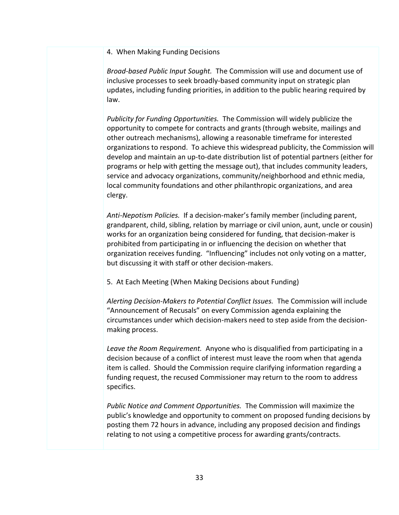#### 4. When Making Funding Decisions

*Broad-based Public Input Sought.* The Commission will use and document use of inclusive processes to seek broadly-based community input on strategic plan updates, including funding priorities, in addition to the public hearing required by law.

*Publicity for Funding Opportunities.* The Commission will widely publicize the opportunity to compete for contracts and grants (through website, mailings and other outreach mechanisms), allowing a reasonable timeframe for interested organizations to respond. To achieve this widespread publicity, the Commission will develop and maintain an up-to-date distribution list of potential partners (either for programs or help with getting the message out), that includes community leaders, service and advocacy organizations, community/neighborhood and ethnic media, local community foundations and other philanthropic organizations, and area clergy.

*Anti-Nepotism Policies.* If a decision-maker's family member (including parent, grandparent, child, sibling, relation by marriage or civil union, aunt, uncle or cousin) works for an organization being considered for funding, that decision-maker is prohibited from participating in or influencing the decision on whether that organization receives funding. "Influencing" includes not only voting on a matter, but discussing it with staff or other decision-makers.

5. At Each Meeting (When Making Decisions about Funding)

*Alerting Decision-Makers to Potential Conflict Issues.* The Commission will include "Announcement of Recusals" on every Commission agenda explaining the circumstances under which decision-makers need to step aside from the decisionmaking process.

*Leave the Room Requirement.* Anyone who is disqualified from participating in a decision because of a conflict of interest must leave the room when that agenda item is called. Should the Commission require clarifying information regarding a funding request, the recused Commissioner may return to the room to address specifics.

*Public Notice and Comment Opportunities.* The Commission will maximize the public's knowledge and opportunity to comment on proposed funding decisions by posting them 72 hours in advance, including any proposed decision and findings relating to not using a competitive process for awarding grants/contracts.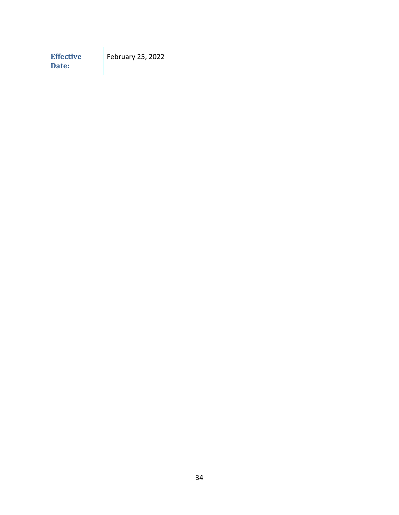| <b>Effective</b><br>Date: | February 25, 2022 |
|---------------------------|-------------------|
|---------------------------|-------------------|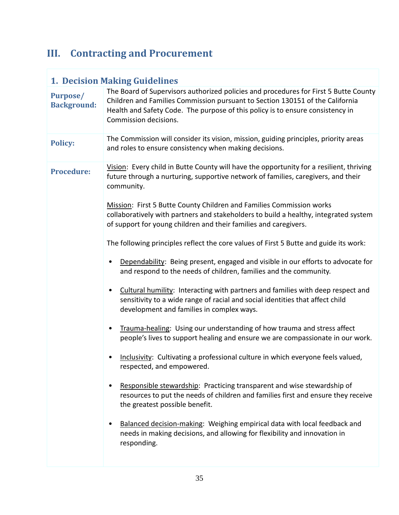# **III. Contracting and Procurement**

|                                | <b>1. Decision Making Guidelines</b>                                                                                                                                                                                                                                                                                                                                                                                                                                                                                                                                                                                                                                                                                                                                                                                                                                                                                                                                                                                                                                                                                                                                                                                                                                                                                                                                                                                                                                                                                                                           |  |  |
|--------------------------------|----------------------------------------------------------------------------------------------------------------------------------------------------------------------------------------------------------------------------------------------------------------------------------------------------------------------------------------------------------------------------------------------------------------------------------------------------------------------------------------------------------------------------------------------------------------------------------------------------------------------------------------------------------------------------------------------------------------------------------------------------------------------------------------------------------------------------------------------------------------------------------------------------------------------------------------------------------------------------------------------------------------------------------------------------------------------------------------------------------------------------------------------------------------------------------------------------------------------------------------------------------------------------------------------------------------------------------------------------------------------------------------------------------------------------------------------------------------------------------------------------------------------------------------------------------------|--|--|
| Purpose/<br><b>Background:</b> | The Board of Supervisors authorized policies and procedures for First 5 Butte County<br>Children and Families Commission pursuant to Section 130151 of the California<br>Health and Safety Code. The purpose of this policy is to ensure consistency in<br>Commission decisions.                                                                                                                                                                                                                                                                                                                                                                                                                                                                                                                                                                                                                                                                                                                                                                                                                                                                                                                                                                                                                                                                                                                                                                                                                                                                               |  |  |
| <b>Policy:</b>                 | The Commission will consider its vision, mission, guiding principles, priority areas<br>and roles to ensure consistency when making decisions.                                                                                                                                                                                                                                                                                                                                                                                                                                                                                                                                                                                                                                                                                                                                                                                                                                                                                                                                                                                                                                                                                                                                                                                                                                                                                                                                                                                                                 |  |  |
| <b>Procedure:</b>              | Vision: Every child in Butte County will have the opportunity for a resilient, thriving<br>future through a nurturing, supportive network of families, caregivers, and their<br>community.<br>Mission: First 5 Butte County Children and Families Commission works<br>collaboratively with partners and stakeholders to build a healthy, integrated system<br>of support for young children and their families and caregivers.<br>The following principles reflect the core values of First 5 Butte and guide its work:<br>Dependability: Being present, engaged and visible in our efforts to advocate for<br>and respond to the needs of children, families and the community.<br>Cultural humility: Interacting with partners and families with deep respect and<br>٠<br>sensitivity to a wide range of racial and social identities that affect child<br>development and families in complex ways.<br>Trauma-healing: Using our understanding of how trauma and stress affect<br>people's lives to support healing and ensure we are compassionate in our work.<br>Inclusivity: Cultivating a professional culture in which everyone feels valued,<br>respected, and empowered.<br>Responsible stewardship: Practicing transparent and wise stewardship of<br>resources to put the needs of children and families first and ensure they receive<br>the greatest possible benefit.<br>Balanced decision-making: Weighing empirical data with local feedback and<br>needs in making decisions, and allowing for flexibility and innovation in<br>responding. |  |  |
|                                |                                                                                                                                                                                                                                                                                                                                                                                                                                                                                                                                                                                                                                                                                                                                                                                                                                                                                                                                                                                                                                                                                                                                                                                                                                                                                                                                                                                                                                                                                                                                                                |  |  |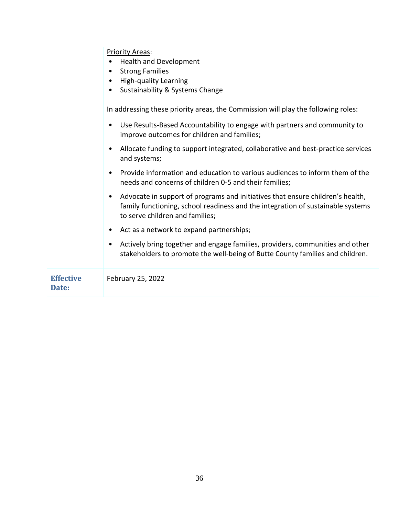|                           | <b>Priority Areas:</b><br><b>Health and Development</b><br><b>Strong Families</b><br>$\bullet$<br><b>High-quality Learning</b><br>$\bullet$<br>Sustainability & Systems Change<br>$\bullet$<br>In addressing these priority areas, the Commission will play the following roles:<br>Use Results-Based Accountability to engage with partners and community to<br>$\bullet$<br>improve outcomes for children and families;<br>Allocate funding to support integrated, collaborative and best-practice services<br>$\bullet$<br>and systems;<br>Provide information and education to various audiences to inform them of the<br>$\bullet$<br>needs and concerns of children 0-5 and their families;<br>Advocate in support of programs and initiatives that ensure children's health,<br>$\bullet$<br>family functioning, school readiness and the integration of sustainable systems<br>to serve children and families;<br>Act as a network to expand partnerships;<br>٠<br>Actively bring together and engage families, providers, communities and other<br>٠<br>stakeholders to promote the well-being of Butte County families and children. |
|---------------------------|------------------------------------------------------------------------------------------------------------------------------------------------------------------------------------------------------------------------------------------------------------------------------------------------------------------------------------------------------------------------------------------------------------------------------------------------------------------------------------------------------------------------------------------------------------------------------------------------------------------------------------------------------------------------------------------------------------------------------------------------------------------------------------------------------------------------------------------------------------------------------------------------------------------------------------------------------------------------------------------------------------------------------------------------------------------------------------------------------------------------------------------------|
| <b>Effective</b><br>Date: | February 25, 2022                                                                                                                                                                                                                                                                                                                                                                                                                                                                                                                                                                                                                                                                                                                                                                                                                                                                                                                                                                                                                                                                                                                              |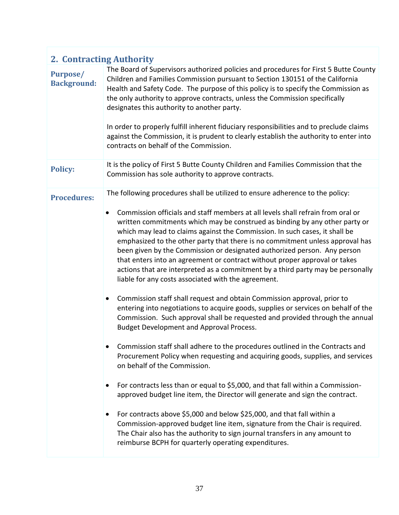| <b>2. Contracting Authority</b> |                                                                                                                                                                                                                                                                                                                                                                                                                                                                                                                                                                                                                                                                                                                                                                                                                                                                                                                                                                                                                                                                                                                                                                                                                                                                                                                                                                                                                                                                                                                                                                                                                                                                                                                                      |
|---------------------------------|--------------------------------------------------------------------------------------------------------------------------------------------------------------------------------------------------------------------------------------------------------------------------------------------------------------------------------------------------------------------------------------------------------------------------------------------------------------------------------------------------------------------------------------------------------------------------------------------------------------------------------------------------------------------------------------------------------------------------------------------------------------------------------------------------------------------------------------------------------------------------------------------------------------------------------------------------------------------------------------------------------------------------------------------------------------------------------------------------------------------------------------------------------------------------------------------------------------------------------------------------------------------------------------------------------------------------------------------------------------------------------------------------------------------------------------------------------------------------------------------------------------------------------------------------------------------------------------------------------------------------------------------------------------------------------------------------------------------------------------|
| Purpose/<br><b>Background:</b>  | The Board of Supervisors authorized policies and procedures for First 5 Butte County<br>Children and Families Commission pursuant to Section 130151 of the California<br>Health and Safety Code. The purpose of this policy is to specify the Commission as<br>the only authority to approve contracts, unless the Commission specifically<br>designates this authority to another party.<br>In order to properly fulfill inherent fiduciary responsibilities and to preclude claims<br>against the Commission, it is prudent to clearly establish the authority to enter into<br>contracts on behalf of the Commission.                                                                                                                                                                                                                                                                                                                                                                                                                                                                                                                                                                                                                                                                                                                                                                                                                                                                                                                                                                                                                                                                                                             |
| <b>Policy:</b>                  | It is the policy of First 5 Butte County Children and Families Commission that the<br>Commission has sole authority to approve contracts.                                                                                                                                                                                                                                                                                                                                                                                                                                                                                                                                                                                                                                                                                                                                                                                                                                                                                                                                                                                                                                                                                                                                                                                                                                                                                                                                                                                                                                                                                                                                                                                            |
| <b>Procedures:</b>              | The following procedures shall be utilized to ensure adherence to the policy:<br>Commission officials and staff members at all levels shall refrain from oral or<br>$\bullet$<br>written commitments which may be construed as binding by any other party or<br>which may lead to claims against the Commission. In such cases, it shall be<br>emphasized to the other party that there is no commitment unless approval has<br>been given by the Commission or designated authorized person. Any person<br>that enters into an agreement or contract without proper approval or takes<br>actions that are interpreted as a commitment by a third party may be personally<br>liable for any costs associated with the agreement.<br>Commission staff shall request and obtain Commission approval, prior to<br>$\bullet$<br>entering into negotiations to acquire goods, supplies or services on behalf of the<br>Commission. Such approval shall be requested and provided through the annual<br><b>Budget Development and Approval Process.</b><br>Commission staff shall adhere to the procedures outlined in the Contracts and<br>Procurement Policy when requesting and acquiring goods, supplies, and services<br>on behalf of the Commission.<br>For contracts less than or equal to \$5,000, and that fall within a Commission-<br>$\bullet$<br>approved budget line item, the Director will generate and sign the contract.<br>For contracts above \$5,000 and below \$25,000, and that fall within a<br>Commission-approved budget line item, signature from the Chair is required.<br>The Chair also has the authority to sign journal transfers in any amount to<br>reimburse BCPH for quarterly operating expenditures. |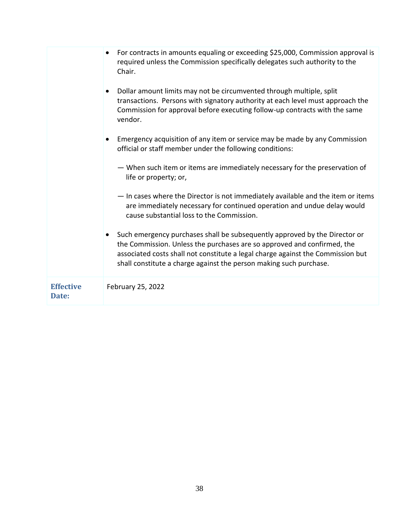|                           | For contracts in amounts equaling or exceeding \$25,000, Commission approval is<br>$\bullet$<br>required unless the Commission specifically delegates such authority to the<br>Chair.<br>Dollar amount limits may not be circumvented through multiple, split<br>$\bullet$<br>transactions. Persons with signatory authority at each level must approach the<br>Commission for approval before executing follow-up contracts with the same<br>vendor.<br>Emergency acquisition of any item or service may be made by any Commission<br>official or staff member under the following conditions:<br>- When such item or items are immediately necessary for the preservation of<br>life or property; or,<br>- In cases where the Director is not immediately available and the item or items<br>are immediately necessary for continued operation and undue delay would<br>cause substantial loss to the Commission.<br>Such emergency purchases shall be subsequently approved by the Director or<br>$\bullet$<br>the Commission. Unless the purchases are so approved and confirmed, the<br>associated costs shall not constitute a legal charge against the Commission but<br>shall constitute a charge against the person making such purchase. |
|---------------------------|----------------------------------------------------------------------------------------------------------------------------------------------------------------------------------------------------------------------------------------------------------------------------------------------------------------------------------------------------------------------------------------------------------------------------------------------------------------------------------------------------------------------------------------------------------------------------------------------------------------------------------------------------------------------------------------------------------------------------------------------------------------------------------------------------------------------------------------------------------------------------------------------------------------------------------------------------------------------------------------------------------------------------------------------------------------------------------------------------------------------------------------------------------------------------------------------------------------------------------------------------|
| <b>Effective</b><br>Date: | February 25, 2022                                                                                                                                                                                                                                                                                                                                                                                                                                                                                                                                                                                                                                                                                                                                                                                                                                                                                                                                                                                                                                                                                                                                                                                                                                  |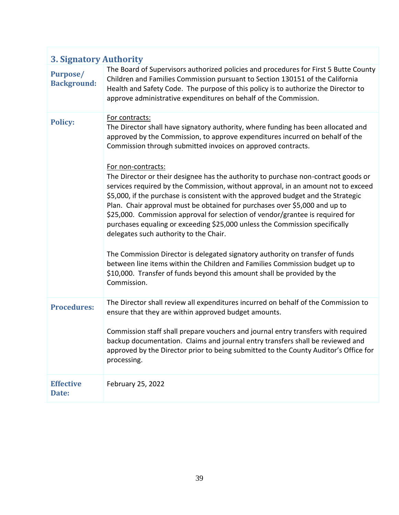|                                       | <b>3. Signatory Authority</b>                                                                                                                                                                                                                                                                                                                                                                                                                                                                                                                                                                                                                                                                                                                                                                                                                                                                                                                                                                                                                                                                |  |  |
|---------------------------------------|----------------------------------------------------------------------------------------------------------------------------------------------------------------------------------------------------------------------------------------------------------------------------------------------------------------------------------------------------------------------------------------------------------------------------------------------------------------------------------------------------------------------------------------------------------------------------------------------------------------------------------------------------------------------------------------------------------------------------------------------------------------------------------------------------------------------------------------------------------------------------------------------------------------------------------------------------------------------------------------------------------------------------------------------------------------------------------------------|--|--|
| <b>Purpose/</b><br><b>Background:</b> | The Board of Supervisors authorized policies and procedures for First 5 Butte County<br>Children and Families Commission pursuant to Section 130151 of the California<br>Health and Safety Code. The purpose of this policy is to authorize the Director to<br>approve administrative expenditures on behalf of the Commission.                                                                                                                                                                                                                                                                                                                                                                                                                                                                                                                                                                                                                                                                                                                                                              |  |  |
| <b>Policy:</b>                        | For contracts:<br>The Director shall have signatory authority, where funding has been allocated and<br>approved by the Commission, to approve expenditures incurred on behalf of the<br>Commission through submitted invoices on approved contracts.<br>For non-contracts:<br>The Director or their designee has the authority to purchase non-contract goods or<br>services required by the Commission, without approval, in an amount not to exceed<br>\$5,000, if the purchase is consistent with the approved budget and the Strategic<br>Plan. Chair approval must be obtained for purchases over \$5,000 and up to<br>\$25,000. Commission approval for selection of vendor/grantee is required for<br>purchases equaling or exceeding \$25,000 unless the Commission specifically<br>delegates such authority to the Chair.<br>The Commission Director is delegated signatory authority on transfer of funds<br>between line items within the Children and Families Commission budget up to<br>\$10,000. Transfer of funds beyond this amount shall be provided by the<br>Commission. |  |  |
| <b>Procedures:</b>                    | The Director shall review all expenditures incurred on behalf of the Commission to<br>ensure that they are within approved budget amounts.<br>Commission staff shall prepare vouchers and journal entry transfers with required<br>backup documentation. Claims and journal entry transfers shall be reviewed and<br>approved by the Director prior to being submitted to the County Auditor's Office for<br>processing.                                                                                                                                                                                                                                                                                                                                                                                                                                                                                                                                                                                                                                                                     |  |  |
| <b>Effective</b><br>Date:             | February 25, 2022                                                                                                                                                                                                                                                                                                                                                                                                                                                                                                                                                                                                                                                                                                                                                                                                                                                                                                                                                                                                                                                                            |  |  |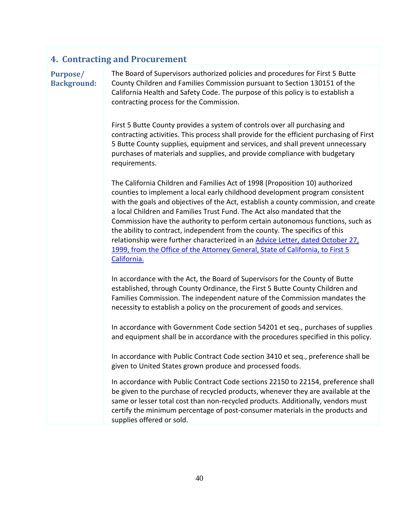### **4. Contracting and Procurement**

**Purpose/ Background:** The Board of Supervisors authorized policies and procedures for First 5 Butte County Children and Families Commission pursuant to Section 130151 of the California Health and Safety Code. The purpose of this policy is to establish a contracting process for the Commission.

First 5 Butte County provides a system of controls over all purchasing and contracting activities. This process shall provide for the efficient purchasing of First 5 Butte County supplies, equipment and services, and shall prevent unnecessary purchases of materials and supplies, and provide compliance with budgetary requirements.

The California Children and Families Act of 1998 (Proposition 10) authorized counties to implement a local early childhood development program consistent with the goals and objectives of the Act, establish a county commission, and create a local Children and Families Trust Fund. The Act also mandated that the Commission have the authority to perform certain autonomous functions, such as the ability to contract, independent from the county. The specifics of this relationship were further characterized in an [Advice Letter, dated October 27,](https://first5butte.org/assets/Meetings/Agendas/administration-committee/Lockyer-Letter-10.27.99.pdf)  [1999, from the Office of the Attorney General, State of California, to First 5](https://first5butte.org/assets/Meetings/Agendas/administration-committee/Lockyer-Letter-10.27.99.pdf)  [California.](https://first5butte.org/assets/Meetings/Agendas/administration-committee/Lockyer-Letter-10.27.99.pdf)

In accordance with the Act, the Board of Supervisors for the County of Butte established, through County Ordinance, the First 5 Butte County Children and Families Commission. The independent nature of the Commission mandates the necessity to establish a policy on the procurement of goods and services.

In accordance with Government Code section 54201 et seq., purchases of supplies and equipment shall be in accordance with the procedures specified in this policy.

In accordance with Public Contract Code section 3410 et seq., preference shall be given to United States grown produce and processed foods.

In accordance with Public Contract Code sections 22150 to 22154, preference shall be given to the purchase of recycled products, whenever they are available at the same or lesser total cost than non-recycled products. Additionally, vendors must certify the minimum percentage of post-consumer materials in the products and supplies offered or sold.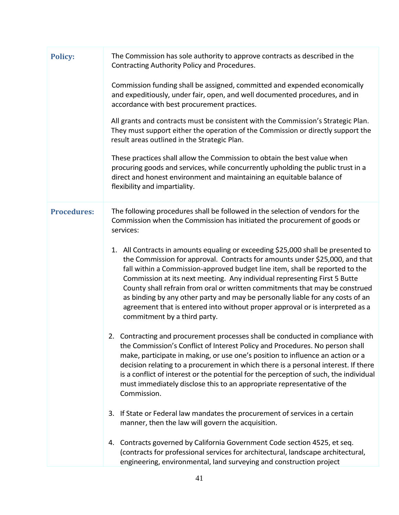| <b>Policy:</b>     | The Commission has sole authority to approve contracts as described in the<br>Contracting Authority Policy and Procedures.                                                                                                                                                                                                                                                                                                                                                                                                                                                                                     |
|--------------------|----------------------------------------------------------------------------------------------------------------------------------------------------------------------------------------------------------------------------------------------------------------------------------------------------------------------------------------------------------------------------------------------------------------------------------------------------------------------------------------------------------------------------------------------------------------------------------------------------------------|
|                    | Commission funding shall be assigned, committed and expended economically<br>and expeditiously, under fair, open, and well documented procedures, and in<br>accordance with best procurement practices.                                                                                                                                                                                                                                                                                                                                                                                                        |
|                    | All grants and contracts must be consistent with the Commission's Strategic Plan.<br>They must support either the operation of the Commission or directly support the<br>result areas outlined in the Strategic Plan.                                                                                                                                                                                                                                                                                                                                                                                          |
|                    | These practices shall allow the Commission to obtain the best value when<br>procuring goods and services, while concurrently upholding the public trust in a<br>direct and honest environment and maintaining an equitable balance of<br>flexibility and impartiality.                                                                                                                                                                                                                                                                                                                                         |
| <b>Procedures:</b> | The following procedures shall be followed in the selection of vendors for the<br>Commission when the Commission has initiated the procurement of goods or<br>services:                                                                                                                                                                                                                                                                                                                                                                                                                                        |
|                    | 1. All Contracts in amounts equaling or exceeding \$25,000 shall be presented to<br>the Commission for approval. Contracts for amounts under \$25,000, and that<br>fall within a Commission-approved budget line item, shall be reported to the<br>Commission at its next meeting. Any individual representing First 5 Butte<br>County shall refrain from oral or written commitments that may be construed<br>as binding by any other party and may be personally liable for any costs of an<br>agreement that is entered into without proper approval or is interpreted as a<br>commitment by a third party. |
|                    | 2. Contracting and procurement processes shall be conducted in compliance with<br>the Commission's Conflict of Interest Policy and Procedures. No person shall<br>make, participate in making, or use one's position to influence an action or a<br>decision relating to a procurement in which there is a personal interest. If there<br>is a conflict of interest or the potential for the perception of such, the individual<br>must immediately disclose this to an appropriate representative of the<br>Commission.                                                                                       |
|                    | 3. If State or Federal law mandates the procurement of services in a certain<br>manner, then the law will govern the acquisition.                                                                                                                                                                                                                                                                                                                                                                                                                                                                              |
|                    | 4. Contracts governed by California Government Code section 4525, et seq.<br>(contracts for professional services for architectural, landscape architectural,<br>engineering, environmental, land surveying and construction project                                                                                                                                                                                                                                                                                                                                                                           |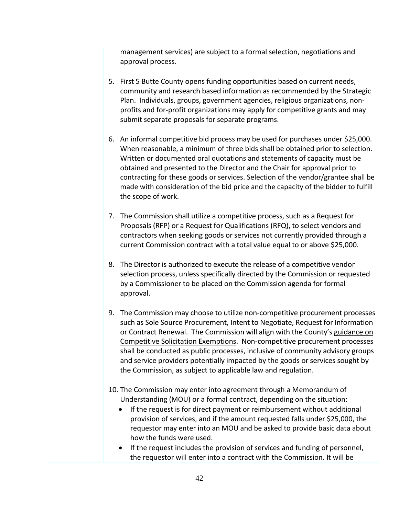management services) are subject to a formal selection, negotiations and approval process.

- 5. First 5 Butte County opens funding opportunities based on current needs, community and research based information as recommended by the Strategic Plan. Individuals, groups, government agencies, religious organizations, nonprofits and for-profit organizations may apply for competitive grants and may submit separate proposals for separate programs.
- 6. An informal competitive bid process may be used for purchases under \$25,000. When reasonable, a minimum of three bids shall be obtained prior to selection. Written or documented oral quotations and statements of capacity must be obtained and presented to the Director and the Chair for approval prior to contracting for these goods or services. Selection of the vendor/grantee shall be made with consideration of the bid price and the capacity of the bidder to fulfill the scope of work.
- 7. The Commission shall utilize a competitive process, such as a Request for Proposals (RFP) or a Request for Qualifications (RFQ), to select vendors and contractors when seeking goods or services not currently provided through a current Commission contract with a total value equal to or above \$25,000.
- 8. The Director is authorized to execute the release of a competitive vendor selection process, unless specifically directed by the Commission or requested by a Commissioner to be placed on the Commission agenda for formal approval.
- 9. The Commission may choose to utilize non-competitive procurement processes such as Sole Source Procurement, Intent to Negotiate, Request for Information or Contract Renewal. The Commission will align with the County's guidance on [Competitive Solicitation Exemptions](https://drive.google.com/file/d/18Cn0n9D_a7k2DA56Qfs9shNGw2L6Yq0V/view?usp=sharing). Non-competitive procurement processes shall be conducted as public processes, inclusive of community advisory groups and service providers potentially impacted by the goods or services sought by the Commission, as subject to applicable law and regulation.
- 10. The Commission may enter into agreement through a Memorandum of Understanding (MOU) or a formal contract, depending on the situation:
	- If the request is for direct payment or reimbursement without additional provision of services, and if the amount requested falls under \$25,000, the requestor may enter into an MOU and be asked to provide basic data about how the funds were used.
	- If the request includes the provision of services and funding of personnel, the requestor will enter into a contract with the Commission. It will be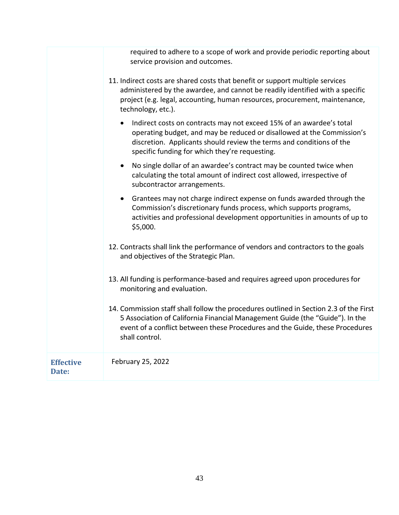required to adhere to a scope of work and provide periodic reporting about service provision and outcomes.

| 11. Indirect costs are shared costs that benefit or support multiple services |
|-------------------------------------------------------------------------------|
| administered by the awardee, and cannot be readily identified with a specific |
| project (e.g. legal, accounting, human resources, procurement, maintenance,   |
| technology, etc.).                                                            |

- Indirect costs on contracts may not exceed 15% of an awardee's total operating budget, and may be reduced or disallowed at the Commission's discretion. Applicants should review the terms and conditions of the specific funding for which they're requesting.
- No single dollar of an awardee's contract may be counted twice when calculating the total amount of indirect cost allowed, irrespective of subcontractor arrangements.
- Grantees may not charge indirect expense on funds awarded through the Commission's discretionary funds process, which supports programs, activities and professional development opportunities in amounts of up to \$5,000.
- 12. Contracts shall link the performance of vendors and contractors to the goals and objectives of the Strategic Plan.
- 13. All funding is performance-based and requires agreed upon procedures for monitoring and evaluation.
- 14. Commission staff shall follow the procedures outlined in Section 2.3 of the First 5 Association of California Financial Management Guide (the "Guide"). In the event of a conflict between these Procedures and the Guide, these Procedures shall control.

| <b>Effective</b> | February 25, 2022 |
|------------------|-------------------|
| <b>Date:</b>     |                   |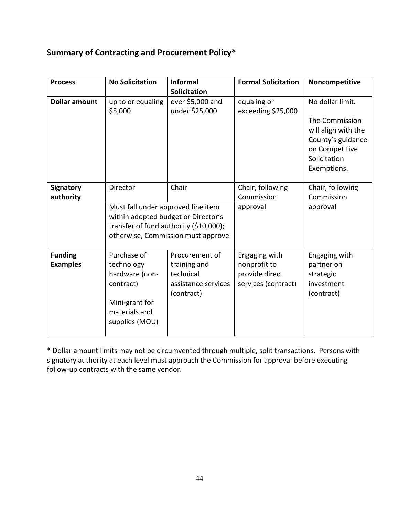# **Summary of Contracting and Procurement Policy\***

| <b>Process</b>                    | <b>No Solicitation</b>                                                                                        | <b>Informal</b><br>Solicitation                                                                                              | <b>Formal Solicitation</b>                                             | Noncompetitive                                                                                                                  |
|-----------------------------------|---------------------------------------------------------------------------------------------------------------|------------------------------------------------------------------------------------------------------------------------------|------------------------------------------------------------------------|---------------------------------------------------------------------------------------------------------------------------------|
| <b>Dollar amount</b>              | up to or equaling<br>\$5,000                                                                                  | over \$5,000 and<br>under \$25,000                                                                                           | equaling or<br>exceeding \$25,000                                      | No dollar limit.<br>The Commission<br>will align with the<br>County's guidance<br>on Competitive<br>Solicitation<br>Exemptions. |
| <b>Signatory</b><br>authority     | Director<br>Must fall under approved line item                                                                | Chair<br>within adopted budget or Director's<br>transfer of fund authority (\$10,000);<br>otherwise, Commission must approve | Chair, following<br>Commission<br>approval                             | Chair, following<br>Commission<br>approval                                                                                      |
| <b>Funding</b><br><b>Examples</b> | Purchase of<br>technology<br>hardware (non-<br>contract)<br>Mini-grant for<br>materials and<br>supplies (MOU) | Procurement of<br>training and<br>technical<br>assistance services<br>(contract)                                             | Engaging with<br>nonprofit to<br>provide direct<br>services (contract) | Engaging with<br>partner on<br>strategic<br>investment<br>(contract)                                                            |

\* Dollar amount limits may not be circumvented through multiple, split transactions. Persons with signatory authority at each level must approach the Commission for approval before executing follow-up contracts with the same vendor.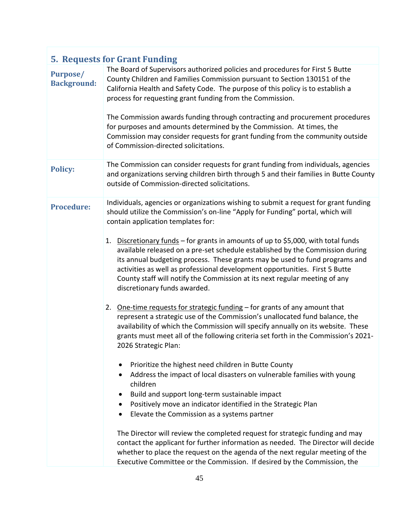| <b>5. Requests for Grant Funding</b>  |                                                                                                                                                                                                                                                                                                                                                                                                                                                                                                                                                                                                                                                                                                                                                                                                                                                                                                                                                                                                                                                                                                                                                                                                                                                                                                                                                                                                                                                                                                                                                                                                                                                                                                                         |  |
|---------------------------------------|-------------------------------------------------------------------------------------------------------------------------------------------------------------------------------------------------------------------------------------------------------------------------------------------------------------------------------------------------------------------------------------------------------------------------------------------------------------------------------------------------------------------------------------------------------------------------------------------------------------------------------------------------------------------------------------------------------------------------------------------------------------------------------------------------------------------------------------------------------------------------------------------------------------------------------------------------------------------------------------------------------------------------------------------------------------------------------------------------------------------------------------------------------------------------------------------------------------------------------------------------------------------------------------------------------------------------------------------------------------------------------------------------------------------------------------------------------------------------------------------------------------------------------------------------------------------------------------------------------------------------------------------------------------------------------------------------------------------------|--|
| <b>Purpose/</b><br><b>Background:</b> | The Board of Supervisors authorized policies and procedures for First 5 Butte<br>County Children and Families Commission pursuant to Section 130151 of the<br>California Health and Safety Code. The purpose of this policy is to establish a<br>process for requesting grant funding from the Commission.<br>The Commission awards funding through contracting and procurement procedures<br>for purposes and amounts determined by the Commission. At times, the<br>Commission may consider requests for grant funding from the community outside<br>of Commission-directed solicitations.                                                                                                                                                                                                                                                                                                                                                                                                                                                                                                                                                                                                                                                                                                                                                                                                                                                                                                                                                                                                                                                                                                                            |  |
| <b>Policy:</b>                        | The Commission can consider requests for grant funding from individuals, agencies<br>and organizations serving children birth through 5 and their families in Butte County<br>outside of Commission-directed solicitations.                                                                                                                                                                                                                                                                                                                                                                                                                                                                                                                                                                                                                                                                                                                                                                                                                                                                                                                                                                                                                                                                                                                                                                                                                                                                                                                                                                                                                                                                                             |  |
| <b>Procedure:</b>                     | Individuals, agencies or organizations wishing to submit a request for grant funding<br>should utilize the Commission's on-line "Apply for Funding" portal, which will<br>contain application templates for:<br>1. Discretionary funds - for grants in amounts of up to \$5,000, with total funds<br>available released on a pre-set schedule established by the Commission during<br>its annual budgeting process. These grants may be used to fund programs and<br>activities as well as professional development opportunities. First 5 Butte<br>County staff will notify the Commission at its next regular meeting of any<br>discretionary funds awarded.<br>2. One-time requests for strategic funding - for grants of any amount that<br>represent a strategic use of the Commission's unallocated fund balance, the<br>availability of which the Commission will specify annually on its website. These<br>grants must meet all of the following criteria set forth in the Commission's 2021-<br>2026 Strategic Plan:<br>Prioritize the highest need children in Butte County<br>Address the impact of local disasters on vulnerable families with young<br>$\bullet$<br>children<br>Build and support long-term sustainable impact<br>Positively move an indicator identified in the Strategic Plan<br>$\bullet$<br>Elevate the Commission as a systems partner<br>$\bullet$<br>The Director will review the completed request for strategic funding and may<br>contact the applicant for further information as needed. The Director will decide<br>whether to place the request on the agenda of the next regular meeting of the<br>Executive Committee or the Commission. If desired by the Commission, the |  |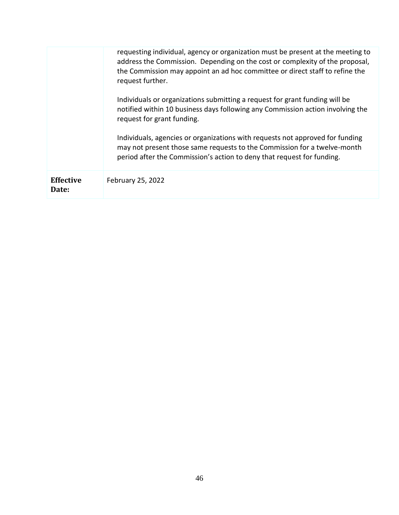|                           | requesting individual, agency or organization must be present at the meeting to<br>address the Commission. Depending on the cost or complexity of the proposal,<br>the Commission may appoint an ad hoc committee or direct staff to refine the<br>request further. |
|---------------------------|---------------------------------------------------------------------------------------------------------------------------------------------------------------------------------------------------------------------------------------------------------------------|
|                           | Individuals or organizations submitting a request for grant funding will be<br>notified within 10 business days following any Commission action involving the<br>request for grant funding.                                                                         |
|                           | Individuals, agencies or organizations with requests not approved for funding<br>may not present those same requests to the Commission for a twelve-month<br>period after the Commission's action to deny that request for funding.                                 |
| <b>Effective</b><br>Date: | February 25, 2022                                                                                                                                                                                                                                                   |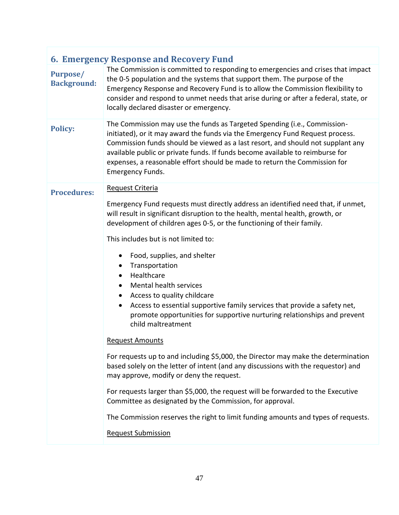| <b>6. Emergency Response and Recovery Fund</b>                                                                                                                                                                                                                                                                                                                                                                                                                                                                                                                                                                                                                                                                                                                                                                                                                                                                                                                                                                                                                                                                                                                               |  |  |
|------------------------------------------------------------------------------------------------------------------------------------------------------------------------------------------------------------------------------------------------------------------------------------------------------------------------------------------------------------------------------------------------------------------------------------------------------------------------------------------------------------------------------------------------------------------------------------------------------------------------------------------------------------------------------------------------------------------------------------------------------------------------------------------------------------------------------------------------------------------------------------------------------------------------------------------------------------------------------------------------------------------------------------------------------------------------------------------------------------------------------------------------------------------------------|--|--|
| The Commission is committed to responding to emergencies and crises that impact<br>the 0-5 population and the systems that support them. The purpose of the<br>Emergency Response and Recovery Fund is to allow the Commission flexibility to<br>consider and respond to unmet needs that arise during or after a federal, state, or<br>locally declared disaster or emergency.                                                                                                                                                                                                                                                                                                                                                                                                                                                                                                                                                                                                                                                                                                                                                                                              |  |  |
| The Commission may use the funds as Targeted Spending (i.e., Commission-<br>initiated), or it may award the funds via the Emergency Fund Request process.<br>Commission funds should be viewed as a last resort, and should not supplant any<br>available public or private funds. If funds become available to reimburse for<br>expenses, a reasonable effort should be made to return the Commission for<br><b>Emergency Funds.</b>                                                                                                                                                                                                                                                                                                                                                                                                                                                                                                                                                                                                                                                                                                                                        |  |  |
| Request Criteria<br>Emergency Fund requests must directly address an identified need that, if unmet,<br>will result in significant disruption to the health, mental health, growth, or<br>development of children ages 0-5, or the functioning of their family.<br>This includes but is not limited to:<br>Food, supplies, and shelter<br>$\bullet$<br>Transportation<br>٠<br>Healthcare<br>Mental health services<br>Access to quality childcare<br>$\bullet$<br>Access to essential supportive family services that provide a safety net,<br>$\bullet$<br>promote opportunities for supportive nurturing relationships and prevent<br>child maltreatment<br><b>Request Amounts</b><br>For requests up to and including \$5,000, the Director may make the determination<br>based solely on the letter of intent (and any discussions with the requestor) and<br>may approve, modify or deny the request.<br>For requests larger than \$5,000, the request will be forwarded to the Executive<br>Committee as designated by the Commission, for approval.<br>The Commission reserves the right to limit funding amounts and types of requests.<br><b>Request Submission</b> |  |  |
|                                                                                                                                                                                                                                                                                                                                                                                                                                                                                                                                                                                                                                                                                                                                                                                                                                                                                                                                                                                                                                                                                                                                                                              |  |  |
|                                                                                                                                                                                                                                                                                                                                                                                                                                                                                                                                                                                                                                                                                                                                                                                                                                                                                                                                                                                                                                                                                                                                                                              |  |  |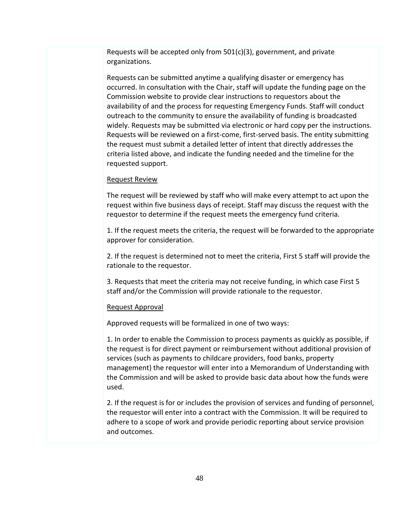Requests will be accepted only from 501(c)(3), government, and private organizations.

Requests can be submitted anytime a qualifying disaster or emergency has occurred. In consultation with the Chair, staff will update the funding page on the Commission website to provide clear instructions to requestors about the availability of and the process for requesting Emergency Funds. Staff will conduct outreach to the community to ensure the availability of funding is broadcasted widely. Requests may be submitted via electronic or hard copy per the instructions. Requests will be reviewed on a first-come, first-served basis. The entity submitting the request must submit a detailed letter of intent that directly addresses the criteria listed above, and indicate the funding needed and the timeline for the requested support.

#### Request Review

The request will be reviewed by staff who will make every attempt to act upon the request within five business days of receipt. Staff may discuss the request with the requestor to determine if the request meets the emergency fund criteria.

1. If the request meets the criteria, the request will be forwarded to the appropriate approver for consideration.

2. If the request is determined not to meet the criteria, First 5 staff will provide the rationale to the requestor.

3. Requests that meet the criteria may not receive funding, in which case First 5 staff and/or the Commission will provide rationale to the requestor.

#### Request Approval

Approved requests will be formalized in one of two ways:

1. In order to enable the Commission to process payments as quickly as possible, if the request is for direct payment or reimbursement without additional provision of services (such as payments to childcare providers, food banks, property management) the requestor will enter into a Memorandum of Understanding with the Commission and will be asked to provide basic data about how the funds were used.

2. If the request is for or includes the provision of services and funding of personnel, the requestor will enter into a contract with the Commission. It will be required to adhere to a scope of work and provide periodic reporting about service provision and outcomes.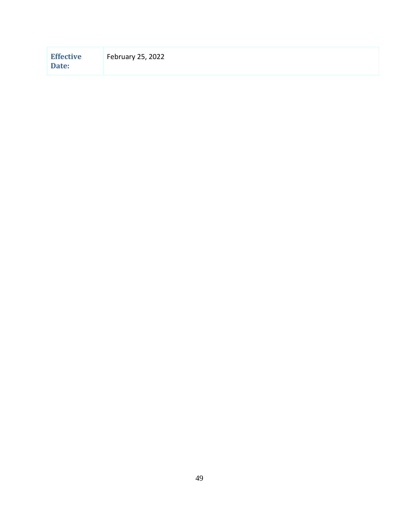| <b>Effective</b><br>Date: | February 25, 2022 |
|---------------------------|-------------------|
|---------------------------|-------------------|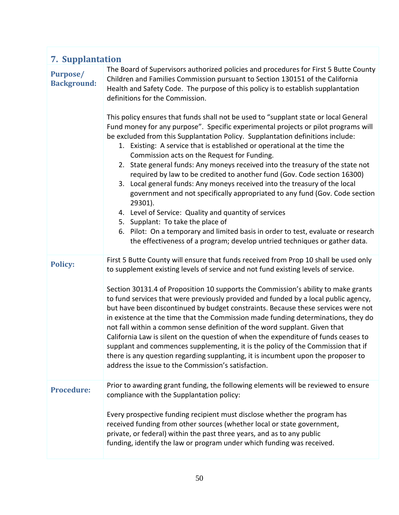| <b>7. Supplantation</b>               |                                                                                                                                                                                                                                                                                                                                                                                                                                                                                                                                                                                                                                                                                                                                                                                                                                                                                                                                                                                                                                                                                                                                                                                                                                                                                                 |  |
|---------------------------------------|-------------------------------------------------------------------------------------------------------------------------------------------------------------------------------------------------------------------------------------------------------------------------------------------------------------------------------------------------------------------------------------------------------------------------------------------------------------------------------------------------------------------------------------------------------------------------------------------------------------------------------------------------------------------------------------------------------------------------------------------------------------------------------------------------------------------------------------------------------------------------------------------------------------------------------------------------------------------------------------------------------------------------------------------------------------------------------------------------------------------------------------------------------------------------------------------------------------------------------------------------------------------------------------------------|--|
| <b>Purpose/</b><br><b>Background:</b> | The Board of Supervisors authorized policies and procedures for First 5 Butte County<br>Children and Families Commission pursuant to Section 130151 of the California<br>Health and Safety Code. The purpose of this policy is to establish supplantation<br>definitions for the Commission.<br>This policy ensures that funds shall not be used to "supplant state or local General<br>Fund money for any purpose". Specific experimental projects or pilot programs will<br>be excluded from this Supplantation Policy. Supplantation definitions include:<br>1. Existing: A service that is established or operational at the time the<br>Commission acts on the Request for Funding.<br>2. State general funds: Any moneys received into the treasury of the state not<br>required by law to be credited to another fund (Gov. Code section 16300)<br>3. Local general funds: Any moneys received into the treasury of the local<br>government and not specifically appropriated to any fund (Gov. Code section<br>29301).<br>4. Level of Service: Quality and quantity of services<br>5. Supplant: To take the place of<br>6. Pilot: On a temporary and limited basis in order to test, evaluate or research<br>the effectiveness of a program; develop untried techniques or gather data. |  |
| <b>Policy:</b>                        | First 5 Butte County will ensure that funds received from Prop 10 shall be used only<br>to supplement existing levels of service and not fund existing levels of service.<br>Section 30131.4 of Proposition 10 supports the Commission's ability to make grants<br>to fund services that were previously provided and funded by a local public agency,<br>but have been discontinued by budget constraints. Because these services were not<br>in existence at the time that the Commission made funding determinations, they do<br>not fall within a common sense definition of the word supplant. Given that<br>California Law is silent on the question of when the expenditure of funds ceases to<br>supplant and commences supplementing, it is the policy of the Commission that if<br>there is any question regarding supplanting, it is incumbent upon the proposer to<br>address the issue to the Commission's satisfaction.                                                                                                                                                                                                                                                                                                                                                           |  |
| <b>Procedure:</b>                     | Prior to awarding grant funding, the following elements will be reviewed to ensure<br>compliance with the Supplantation policy:<br>Every prospective funding recipient must disclose whether the program has<br>received funding from other sources (whether local or state government,<br>private, or federal) within the past three years, and as to any public<br>funding, identify the law or program under which funding was received.                                                                                                                                                                                                                                                                                                                                                                                                                                                                                                                                                                                                                                                                                                                                                                                                                                                     |  |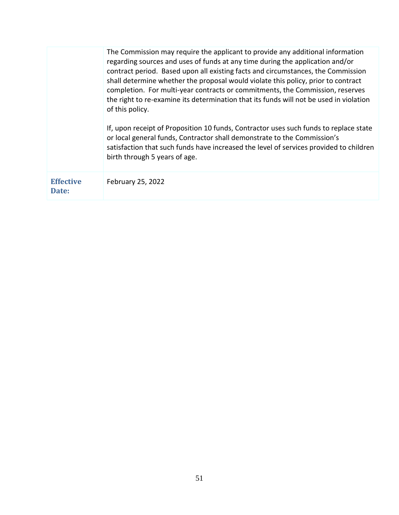|                           | The Commission may require the applicant to provide any additional information<br>regarding sources and uses of funds at any time during the application and/or<br>contract period. Based upon all existing facts and circumstances, the Commission<br>shall determine whether the proposal would violate this policy, prior to contract<br>completion. For multi-year contracts or commitments, the Commission, reserves<br>the right to re-examine its determination that its funds will not be used in violation<br>of this policy.<br>If, upon receipt of Proposition 10 funds, Contractor uses such funds to replace state<br>or local general funds, Contractor shall demonstrate to the Commission's<br>satisfaction that such funds have increased the level of services provided to children<br>birth through 5 years of age. |
|---------------------------|----------------------------------------------------------------------------------------------------------------------------------------------------------------------------------------------------------------------------------------------------------------------------------------------------------------------------------------------------------------------------------------------------------------------------------------------------------------------------------------------------------------------------------------------------------------------------------------------------------------------------------------------------------------------------------------------------------------------------------------------------------------------------------------------------------------------------------------|
| <b>Effective</b><br>Date: | February 25, 2022                                                                                                                                                                                                                                                                                                                                                                                                                                                                                                                                                                                                                                                                                                                                                                                                                      |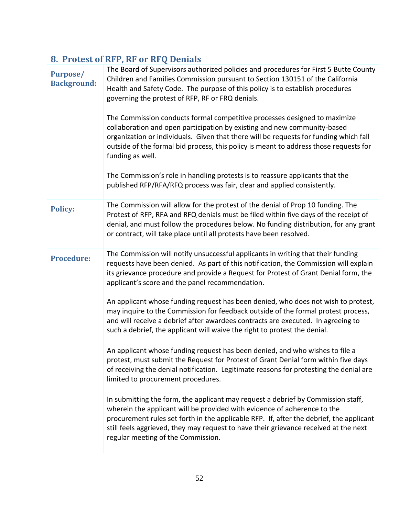| 8. Protest of RFP, RF or RFQ Denials  |                                                                                                                                                                                                                                                                                                                                                                                                                                                                                                                                                                                                                                                                                                                                                                                                                                       |  |
|---------------------------------------|---------------------------------------------------------------------------------------------------------------------------------------------------------------------------------------------------------------------------------------------------------------------------------------------------------------------------------------------------------------------------------------------------------------------------------------------------------------------------------------------------------------------------------------------------------------------------------------------------------------------------------------------------------------------------------------------------------------------------------------------------------------------------------------------------------------------------------------|--|
| <b>Purpose/</b><br><b>Background:</b> | The Board of Supervisors authorized policies and procedures for First 5 Butte County<br>Children and Families Commission pursuant to Section 130151 of the California<br>Health and Safety Code. The purpose of this policy is to establish procedures<br>governing the protest of RFP, RF or FRQ denials.<br>The Commission conducts formal competitive processes designed to maximize<br>collaboration and open participation by existing and new community-based<br>organization or individuals. Given that there will be requests for funding which fall<br>outside of the formal bid process, this policy is meant to address those requests for<br>funding as well.<br>The Commission's role in handling protests is to reassure applicants that the<br>published RFP/RFA/RFQ process was fair, clear and applied consistently. |  |
|                                       |                                                                                                                                                                                                                                                                                                                                                                                                                                                                                                                                                                                                                                                                                                                                                                                                                                       |  |
| <b>Policy:</b>                        | The Commission will allow for the protest of the denial of Prop 10 funding. The<br>Protest of RFP, RFA and RFQ denials must be filed within five days of the receipt of<br>denial, and must follow the procedures below. No funding distribution, for any grant<br>or contract, will take place until all protests have been resolved.                                                                                                                                                                                                                                                                                                                                                                                                                                                                                                |  |
| <b>Procedure:</b>                     | The Commission will notify unsuccessful applicants in writing that their funding<br>requests have been denied. As part of this notification, the Commission will explain<br>its grievance procedure and provide a Request for Protest of Grant Denial form, the<br>applicant's score and the panel recommendation.                                                                                                                                                                                                                                                                                                                                                                                                                                                                                                                    |  |
|                                       | An applicant whose funding request has been denied, who does not wish to protest,<br>may inquire to the Commission for feedback outside of the formal protest process,<br>and will receive a debrief after awardees contracts are executed. In agreeing to<br>such a debrief, the applicant will waive the right to protest the denial.                                                                                                                                                                                                                                                                                                                                                                                                                                                                                               |  |
|                                       | An applicant whose funding request has been denied, and who wishes to file a<br>protest, must submit the Request for Protest of Grant Denial form within five days<br>of receiving the denial notification. Legitimate reasons for protesting the denial are<br>limited to procurement procedures.                                                                                                                                                                                                                                                                                                                                                                                                                                                                                                                                    |  |
|                                       | In submitting the form, the applicant may request a debrief by Commission staff,<br>wherein the applicant will be provided with evidence of adherence to the<br>procurement rules set forth in the applicable RFP. If, after the debrief, the applicant<br>still feels aggrieved, they may request to have their grievance received at the next<br>regular meeting of the Commission.                                                                                                                                                                                                                                                                                                                                                                                                                                                 |  |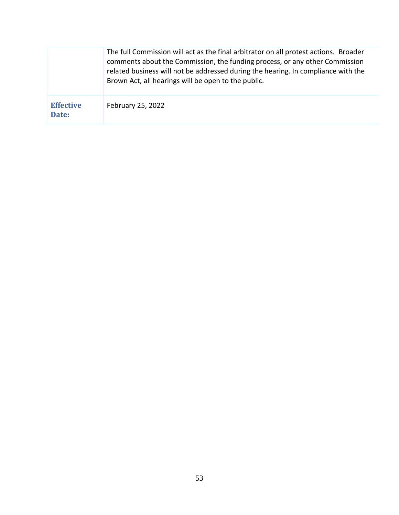|                           | The full Commission will act as the final arbitrator on all protest actions. Broader<br>comments about the Commission, the funding process, or any other Commission<br>related business will not be addressed during the hearing. In compliance with the<br>Brown Act, all hearings will be open to the public. |
|---------------------------|-----------------------------------------------------------------------------------------------------------------------------------------------------------------------------------------------------------------------------------------------------------------------------------------------------------------|
| <b>Effective</b><br>Date: | February 25, 2022                                                                                                                                                                                                                                                                                               |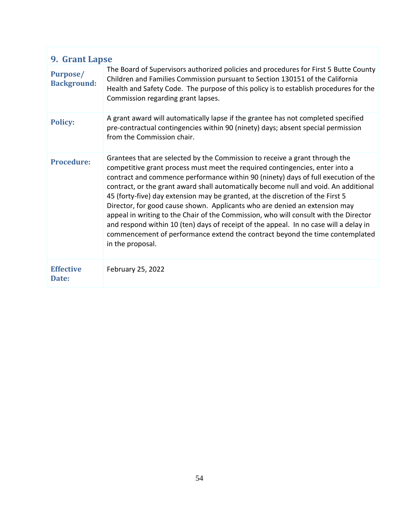| 9. Grant Lapse                        |                                                                                                                                                                                                                                                                                                                                                                                                                                                                                                                                                                                                                                                                                                                                                                                                |  |
|---------------------------------------|------------------------------------------------------------------------------------------------------------------------------------------------------------------------------------------------------------------------------------------------------------------------------------------------------------------------------------------------------------------------------------------------------------------------------------------------------------------------------------------------------------------------------------------------------------------------------------------------------------------------------------------------------------------------------------------------------------------------------------------------------------------------------------------------|--|
| <b>Purpose/</b><br><b>Background:</b> | The Board of Supervisors authorized policies and procedures for First 5 Butte County<br>Children and Families Commission pursuant to Section 130151 of the California<br>Health and Safety Code. The purpose of this policy is to establish procedures for the<br>Commission regarding grant lapses.                                                                                                                                                                                                                                                                                                                                                                                                                                                                                           |  |
| <b>Policy:</b>                        | A grant award will automatically lapse if the grantee has not completed specified<br>pre-contractual contingencies within 90 (ninety) days; absent special permission<br>from the Commission chair.                                                                                                                                                                                                                                                                                                                                                                                                                                                                                                                                                                                            |  |
| <b>Procedure:</b>                     | Grantees that are selected by the Commission to receive a grant through the<br>competitive grant process must meet the required contingencies, enter into a<br>contract and commence performance within 90 (ninety) days of full execution of the<br>contract, or the grant award shall automatically become null and void. An additional<br>45 (forty-five) day extension may be granted, at the discretion of the First 5<br>Director, for good cause shown. Applicants who are denied an extension may<br>appeal in writing to the Chair of the Commission, who will consult with the Director<br>and respond within 10 (ten) days of receipt of the appeal. In no case will a delay in<br>commencement of performance extend the contract beyond the time contemplated<br>in the proposal. |  |
| <b>Effective</b><br>Date:             | February 25, 2022                                                                                                                                                                                                                                                                                                                                                                                                                                                                                                                                                                                                                                                                                                                                                                              |  |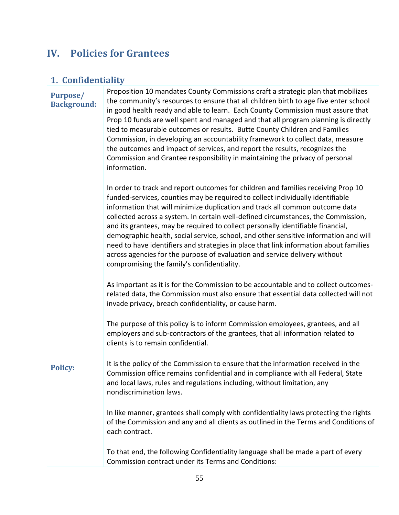# **IV. Policies for Grantees**

# **1. Confidentiality**

| <b>Purpose/</b>    | Propositio |
|--------------------|------------|
| <b>Background:</b> | the comm   |
|                    | in good he |
|                    |            |

on 10 mandates County Commissions craft a strategic plan that mobilizes nunity's resources to ensure that all children birth to age five enter school ealth ready and able to learn. Each County Commission must assure that Prop 10 funds are well spent and managed and that all program planning is directly tied to measurable outcomes or results. Butte County Children and Families Commission, in developing an accountability framework to collect data, measure the outcomes and impact of services, and report the results, recognizes the Commission and Grantee responsibility in maintaining the privacy of personal information.

In order to track and report outcomes for children and families receiving Prop 10 funded-services, counties may be required to collect individually identifiable information that will minimize duplication and track all common outcome data collected across a system. In certain well-defined circumstances, the Commission, and its grantees, may be required to collect personally identifiable financial, demographic health, social service, school, and other sensitive information and will need to have identifiers and strategies in place that link information about families across agencies for the purpose of evaluation and service delivery without compromising the family's confidentiality.

As important as it is for the Commission to be accountable and to collect outcomesrelated data, the Commission must also ensure that essential data collected will not invade privacy, breach confidentiality, or cause harm.

The purpose of this policy is to inform Commission employees, grantees, and all employers and sub-contractors of the grantees, that all information related to clients is to remain confidential.

**Policy:** It is the policy of the Commission to ensure that the information received in the Commission office remains confidential and in compliance with all Federal, State and local laws, rules and regulations including, without limitation, any nondiscrimination laws.

> In like manner, grantees shall comply with confidentiality laws protecting the rights of the Commission and any and all clients as outlined in the Terms and Conditions of each contract.

To that end, the following Confidentiality language shall be made a part of every Commission contract under its Terms and Conditions: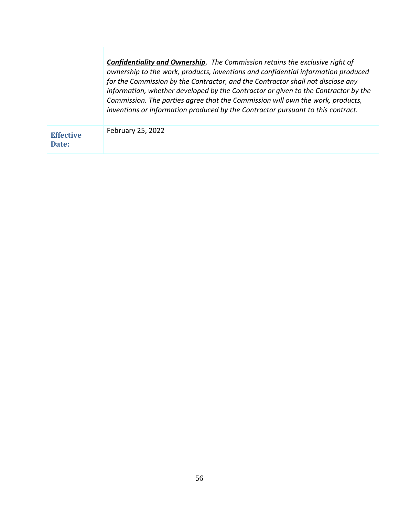|                           | <b>Confidentiality and Ownership.</b> The Commission retains the exclusive right of<br>ownership to the work, products, inventions and confidential information produced<br>for the Commission by the Contractor, and the Contractor shall not disclose any<br>information, whether developed by the Contractor or given to the Contractor by the<br>Commission. The parties agree that the Commission will own the work, products,<br>inventions or information produced by the Contractor pursuant to this contract. |
|---------------------------|------------------------------------------------------------------------------------------------------------------------------------------------------------------------------------------------------------------------------------------------------------------------------------------------------------------------------------------------------------------------------------------------------------------------------------------------------------------------------------------------------------------------|
| <b>Effective</b><br>Date: | February 25, 2022                                                                                                                                                                                                                                                                                                                                                                                                                                                                                                      |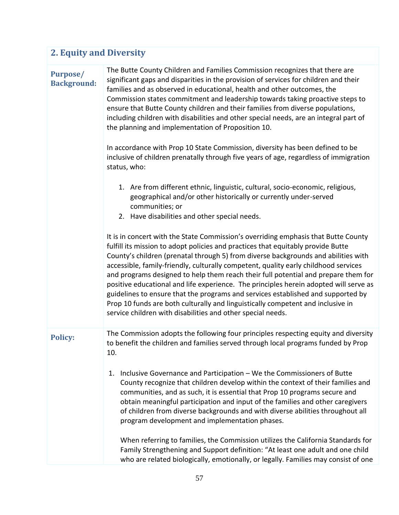| <b>2. Equity and Diversity</b>        |                                                                                                                                                                                                                                                                                                                                                                                                                                                                                                                                                                                                                                                                                                                                                                          |  |
|---------------------------------------|--------------------------------------------------------------------------------------------------------------------------------------------------------------------------------------------------------------------------------------------------------------------------------------------------------------------------------------------------------------------------------------------------------------------------------------------------------------------------------------------------------------------------------------------------------------------------------------------------------------------------------------------------------------------------------------------------------------------------------------------------------------------------|--|
| <b>Purpose/</b><br><b>Background:</b> | The Butte County Children and Families Commission recognizes that there are<br>significant gaps and disparities in the provision of services for children and their<br>families and as observed in educational, health and other outcomes, the<br>Commission states commitment and leadership towards taking proactive steps to<br>ensure that Butte County children and their families from diverse populations,<br>including children with disabilities and other special needs, are an integral part of<br>the planning and implementation of Proposition 10.                                                                                                                                                                                                         |  |
|                                       | In accordance with Prop 10 State Commission, diversity has been defined to be<br>inclusive of children prenatally through five years of age, regardless of immigration<br>status, who:                                                                                                                                                                                                                                                                                                                                                                                                                                                                                                                                                                                   |  |
|                                       | 1. Are from different ethnic, linguistic, cultural, socio-economic, religious,<br>geographical and/or other historically or currently under-served<br>communities; or<br>2. Have disabilities and other special needs.                                                                                                                                                                                                                                                                                                                                                                                                                                                                                                                                                   |  |
|                                       | It is in concert with the State Commission's overriding emphasis that Butte County<br>fulfill its mission to adopt policies and practices that equitably provide Butte<br>County's children (prenatal through 5) from diverse backgrounds and abilities with<br>accessible, family-friendly, culturally competent, quality early childhood services<br>and programs designed to help them reach their full potential and prepare them for<br>positive educational and life experience. The principles herein adopted will serve as<br>guidelines to ensure that the programs and services established and supported by<br>Prop 10 funds are both culturally and linguistically competent and inclusive in<br>service children with disabilities and other special needs. |  |
| <b>Policy:</b>                        | The Commission adopts the following four principles respecting equity and diversity<br>to benefit the children and families served through local programs funded by Prop<br>10.                                                                                                                                                                                                                                                                                                                                                                                                                                                                                                                                                                                          |  |
|                                       | Inclusive Governance and Participation - We the Commissioners of Butte<br>1.<br>County recognize that children develop within the context of their families and<br>communities, and as such, it is essential that Prop 10 programs secure and<br>obtain meaningful participation and input of the families and other caregivers<br>of children from diverse backgrounds and with diverse abilities throughout all<br>program development and implementation phases.                                                                                                                                                                                                                                                                                                      |  |
|                                       | When referring to families, the Commission utilizes the California Standards for<br>Family Strengthening and Support definition: "At least one adult and one child<br>who are related biologically, emotionally, or legally. Families may consist of one                                                                                                                                                                                                                                                                                                                                                                                                                                                                                                                 |  |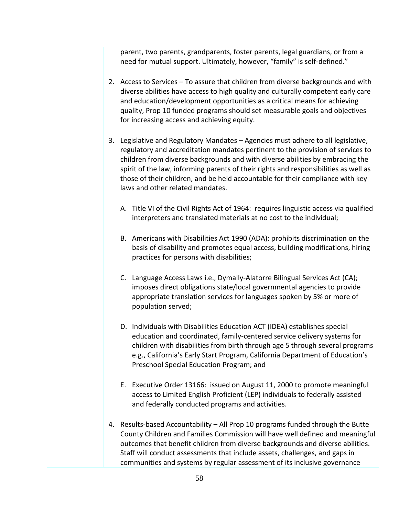parent, two parents, grandparents, foster parents, legal guardians, or from a need for mutual support. Ultimately, however, "family" is self-defined."

- 2. Access to Services To assure that children from diverse backgrounds and with diverse abilities have access to high quality and culturally competent early care and education/development opportunities as a critical means for achieving quality, Prop 10 funded programs should set measurable goals and objectives for increasing access and achieving equity.
- 3. Legislative and Regulatory Mandates Agencies must adhere to all legislative, regulatory and accreditation mandates pertinent to the provision of services to children from diverse backgrounds and with diverse abilities by embracing the spirit of the law, informing parents of their rights and responsibilities as well as those of their children, and be held accountable for their compliance with key laws and other related mandates.
	- A. Title VI of the Civil Rights Act of 1964: requires linguistic access via qualified interpreters and translated materials at no cost to the individual;
	- B. Americans with Disabilities Act 1990 (ADA): prohibits discrimination on the basis of disability and promotes equal access, building modifications, hiring practices for persons with disabilities;
	- C. Language Access Laws i.e., Dymally-Alatorre Bilingual Services Act (CA); imposes direct obligations state/local governmental agencies to provide appropriate translation services for languages spoken by 5% or more of population served;
	- D. Individuals with Disabilities Education ACT (IDEA) establishes special education and coordinated, family-centered service delivery systems for children with disabilities from birth through age 5 through several programs e.g., California's Early Start Program, California Department of Education's Preschool Special Education Program; and
	- E. Executive Order 13166: issued on August 11, 2000 to promote meaningful access to Limited English Proficient (LEP) individuals to federally assisted and federally conducted programs and activities.
- 4. Results-based Accountability All Prop 10 programs funded through the Butte County Children and Families Commission will have well defined and meaningful outcomes that benefit children from diverse backgrounds and diverse abilities. Staff will conduct assessments that include assets, challenges, and gaps in communities and systems by regular assessment of its inclusive governance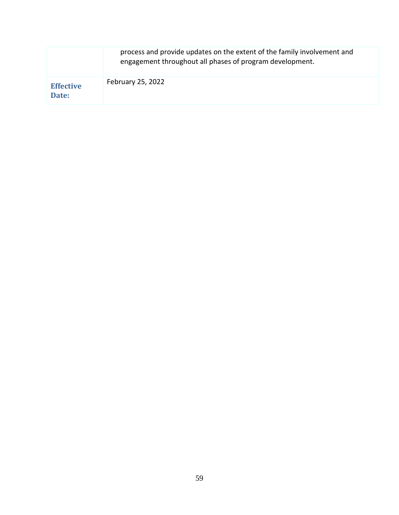|                           | process and provide updates on the extent of the family involvement and<br>engagement throughout all phases of program development. |
|---------------------------|-------------------------------------------------------------------------------------------------------------------------------------|
| <b>Effective</b><br>Date: | February 25, 2022                                                                                                                   |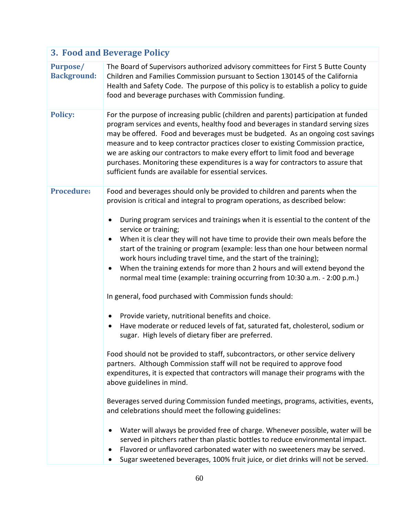| 3. Food and Beverage Policy           |                                                                                                                                                                                                                                                                                                                                                                                                                                                                                                                                                                                |  |
|---------------------------------------|--------------------------------------------------------------------------------------------------------------------------------------------------------------------------------------------------------------------------------------------------------------------------------------------------------------------------------------------------------------------------------------------------------------------------------------------------------------------------------------------------------------------------------------------------------------------------------|--|
| <b>Purpose/</b><br><b>Background:</b> | The Board of Supervisors authorized advisory committees for First 5 Butte County<br>Children and Families Commission pursuant to Section 130145 of the California<br>Health and Safety Code. The purpose of this policy is to establish a policy to guide<br>food and beverage purchases with Commission funding.                                                                                                                                                                                                                                                              |  |
| <b>Policy:</b>                        | For the purpose of increasing public (children and parents) participation at funded<br>program services and events, healthy food and beverages in standard serving sizes<br>may be offered. Food and beverages must be budgeted. As an ongoing cost savings<br>measure and to keep contractor practices closer to existing Commission practice,<br>we are asking our contractors to make every effort to limit food and beverage<br>purchases. Monitoring these expenditures is a way for contractors to assure that<br>sufficient funds are available for essential services. |  |
| <b>Procedure:</b>                     | Food and beverages should only be provided to children and parents when the<br>provision is critical and integral to program operations, as described below:                                                                                                                                                                                                                                                                                                                                                                                                                   |  |
|                                       | During program services and trainings when it is essential to the content of the<br>$\bullet$<br>service or training;<br>When it is clear they will not have time to provide their own meals before the<br>$\bullet$<br>start of the training or program (example: less than one hour between normal<br>work hours including travel time, and the start of the training);<br>When the training extends for more than 2 hours and will extend beyond the<br>normal meal time (example: training occurring from 10:30 a.m. - 2:00 p.m.)                                          |  |
|                                       | In general, food purchased with Commission funds should:                                                                                                                                                                                                                                                                                                                                                                                                                                                                                                                       |  |
|                                       | Provide variety, nutritional benefits and choice.<br>$\bullet$<br>Have moderate or reduced levels of fat, saturated fat, cholesterol, sodium or<br>sugar. High levels of dietary fiber are preferred.                                                                                                                                                                                                                                                                                                                                                                          |  |
|                                       | Food should not be provided to staff, subcontractors, or other service delivery<br>partners. Although Commission staff will not be required to approve food<br>expenditures, it is expected that contractors will manage their programs with the<br>above guidelines in mind.                                                                                                                                                                                                                                                                                                  |  |
|                                       | Beverages served during Commission funded meetings, programs, activities, events,<br>and celebrations should meet the following guidelines:                                                                                                                                                                                                                                                                                                                                                                                                                                    |  |
|                                       | Water will always be provided free of charge. Whenever possible, water will be<br>served in pitchers rather than plastic bottles to reduce environmental impact.<br>Flavored or unflavored carbonated water with no sweeteners may be served.<br>Sugar sweetened beverages, 100% fruit juice, or diet drinks will not be served.                                                                                                                                                                                                                                               |  |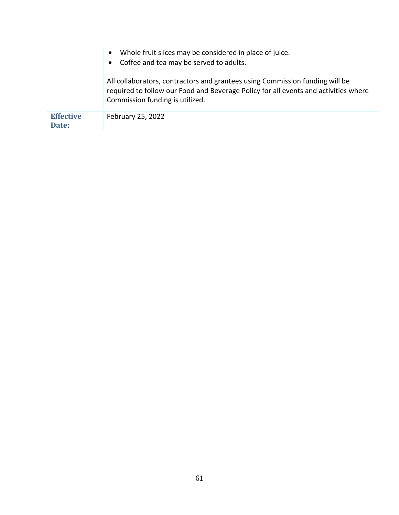|                           | Whole fruit slices may be considered in place of juice.<br>$\bullet$<br>Coffee and tea may be served to adults.                                                                                        |
|---------------------------|--------------------------------------------------------------------------------------------------------------------------------------------------------------------------------------------------------|
|                           | All collaborators, contractors and grantees using Commission funding will be<br>required to follow our Food and Beverage Policy for all events and activities where<br>Commission funding is utilized. |
| <b>Effective</b><br>Date: | February 25, 2022                                                                                                                                                                                      |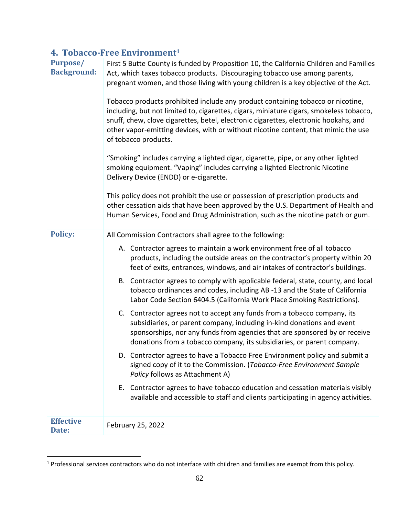|                                       | 4. Tobacco-Free Environment <sup>1</sup>                                                                                                                                                                                                                                                                                                                                                                                                                                                                                                                                                                                                                                                                                                                                                                                                                                                                                                                                                                                                                                                                                    |  |
|---------------------------------------|-----------------------------------------------------------------------------------------------------------------------------------------------------------------------------------------------------------------------------------------------------------------------------------------------------------------------------------------------------------------------------------------------------------------------------------------------------------------------------------------------------------------------------------------------------------------------------------------------------------------------------------------------------------------------------------------------------------------------------------------------------------------------------------------------------------------------------------------------------------------------------------------------------------------------------------------------------------------------------------------------------------------------------------------------------------------------------------------------------------------------------|--|
| <b>Purpose/</b><br><b>Background:</b> | First 5 Butte County is funded by Proposition 10, the California Children and Families<br>Act, which taxes tobacco products. Discouraging tobacco use among parents,<br>pregnant women, and those living with young children is a key objective of the Act.<br>Tobacco products prohibited include any product containing tobacco or nicotine,<br>including, but not limited to, cigarettes, cigars, miniature cigars, smokeless tobacco,<br>snuff, chew, clove cigarettes, betel, electronic cigarettes, electronic hookahs, and<br>other vapor-emitting devices, with or without nicotine content, that mimic the use<br>of tobacco products.<br>"Smoking" includes carrying a lighted cigar, cigarette, pipe, or any other lighted<br>smoking equipment. "Vaping" includes carrying a lighted Electronic Nicotine<br>Delivery Device (ENDD) or e-cigarette.<br>This policy does not prohibit the use or possession of prescription products and<br>other cessation aids that have been approved by the U.S. Department of Health and<br>Human Services, Food and Drug Administration, such as the nicotine patch or gum. |  |
| <b>Policy:</b>                        | All Commission Contractors shall agree to the following:                                                                                                                                                                                                                                                                                                                                                                                                                                                                                                                                                                                                                                                                                                                                                                                                                                                                                                                                                                                                                                                                    |  |
|                                       | A. Contractor agrees to maintain a work environment free of all tobacco<br>products, including the outside areas on the contractor's property within 20<br>feet of exits, entrances, windows, and air intakes of contractor's buildings.                                                                                                                                                                                                                                                                                                                                                                                                                                                                                                                                                                                                                                                                                                                                                                                                                                                                                    |  |
|                                       | B. Contractor agrees to comply with applicable federal, state, county, and local<br>tobacco ordinances and codes, including AB -13 and the State of California<br>Labor Code Section 6404.5 (California Work Place Smoking Restrictions).                                                                                                                                                                                                                                                                                                                                                                                                                                                                                                                                                                                                                                                                                                                                                                                                                                                                                   |  |
|                                       | C. Contractor agrees not to accept any funds from a tobacco company, its<br>subsidiaries, or parent company, including in-kind donations and event<br>sponsorships, nor any funds from agencies that are sponsored by or receive<br>donations from a tobacco company, its subsidiaries, or parent company.                                                                                                                                                                                                                                                                                                                                                                                                                                                                                                                                                                                                                                                                                                                                                                                                                  |  |
|                                       | D. Contractor agrees to have a Tobacco Free Environment policy and submit a<br>signed copy of it to the Commission. (Tobacco-Free Environment Sample<br>Policy follows as Attachment A)                                                                                                                                                                                                                                                                                                                                                                                                                                                                                                                                                                                                                                                                                                                                                                                                                                                                                                                                     |  |
|                                       | E. Contractor agrees to have tobacco education and cessation materials visibly<br>available and accessible to staff and clients participating in agency activities.                                                                                                                                                                                                                                                                                                                                                                                                                                                                                                                                                                                                                                                                                                                                                                                                                                                                                                                                                         |  |
| <b>Effective</b><br>Date:             | February 25, 2022                                                                                                                                                                                                                                                                                                                                                                                                                                                                                                                                                                                                                                                                                                                                                                                                                                                                                                                                                                                                                                                                                                           |  |

<sup>1</sup> Professional services contractors who do not interface with children and families are exempt from this policy.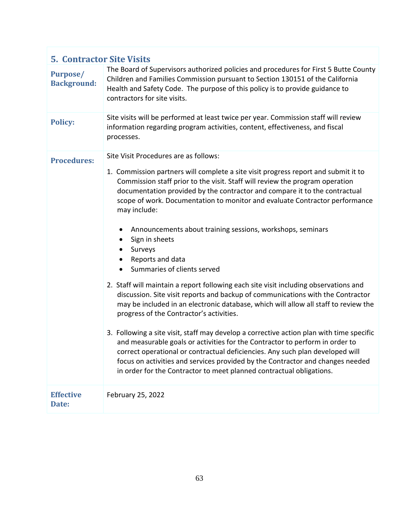| <b>5. Contractor Site Visits</b>      |                                                                                                                                                                                                                                                                                                                                                                                                                                                                                                                                                                                                                                                                                                                                                                                                                                                                                                                                                                                                                                                                                                                                                                                                                                                                                                            |
|---------------------------------------|------------------------------------------------------------------------------------------------------------------------------------------------------------------------------------------------------------------------------------------------------------------------------------------------------------------------------------------------------------------------------------------------------------------------------------------------------------------------------------------------------------------------------------------------------------------------------------------------------------------------------------------------------------------------------------------------------------------------------------------------------------------------------------------------------------------------------------------------------------------------------------------------------------------------------------------------------------------------------------------------------------------------------------------------------------------------------------------------------------------------------------------------------------------------------------------------------------------------------------------------------------------------------------------------------------|
| <b>Purpose/</b><br><b>Background:</b> | The Board of Supervisors authorized policies and procedures for First 5 Butte County<br>Children and Families Commission pursuant to Section 130151 of the California<br>Health and Safety Code. The purpose of this policy is to provide guidance to<br>contractors for site visits.                                                                                                                                                                                                                                                                                                                                                                                                                                                                                                                                                                                                                                                                                                                                                                                                                                                                                                                                                                                                                      |
| <b>Policy:</b>                        | Site visits will be performed at least twice per year. Commission staff will review<br>information regarding program activities, content, effectiveness, and fiscal<br>processes.                                                                                                                                                                                                                                                                                                                                                                                                                                                                                                                                                                                                                                                                                                                                                                                                                                                                                                                                                                                                                                                                                                                          |
| <b>Procedures:</b>                    | Site Visit Procedures are as follows:<br>1. Commission partners will complete a site visit progress report and submit it to<br>Commission staff prior to the visit. Staff will review the program operation<br>documentation provided by the contractor and compare it to the contractual<br>scope of work. Documentation to monitor and evaluate Contractor performance<br>may include:<br>Announcements about training sessions, workshops, seminars<br>$\bullet$<br>Sign in sheets<br>٠<br>Surveys<br>Reports and data<br>Summaries of clients served<br>$\bullet$<br>2. Staff will maintain a report following each site visit including observations and<br>discussion. Site visit reports and backup of communications with the Contractor<br>may be included in an electronic database, which will allow all staff to review the<br>progress of the Contractor's activities.<br>3. Following a site visit, staff may develop a corrective action plan with time specific<br>and measurable goals or activities for the Contractor to perform in order to<br>correct operational or contractual deficiencies. Any such plan developed will<br>focus on activities and services provided by the Contractor and changes needed<br>in order for the Contractor to meet planned contractual obligations. |
| <b>Effective</b><br>Date:             | February 25, 2022                                                                                                                                                                                                                                                                                                                                                                                                                                                                                                                                                                                                                                                                                                                                                                                                                                                                                                                                                                                                                                                                                                                                                                                                                                                                                          |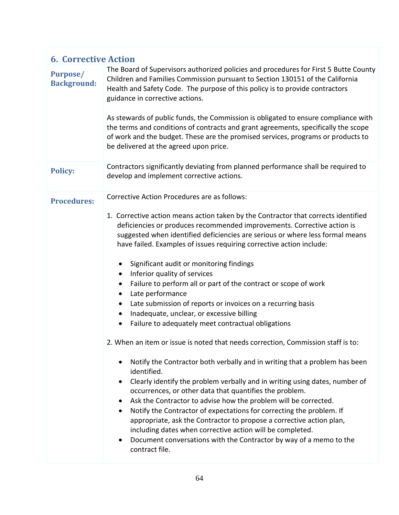| <b>6. Corrective Action</b>           |                                                                                                                                                                                                                                                                                                                                                                                                                                                                                                                                                                                                                                                                                                                                                                                                                                                                                                                                                      |
|---------------------------------------|------------------------------------------------------------------------------------------------------------------------------------------------------------------------------------------------------------------------------------------------------------------------------------------------------------------------------------------------------------------------------------------------------------------------------------------------------------------------------------------------------------------------------------------------------------------------------------------------------------------------------------------------------------------------------------------------------------------------------------------------------------------------------------------------------------------------------------------------------------------------------------------------------------------------------------------------------|
| <b>Purpose/</b><br><b>Background:</b> | The Board of Supervisors authorized policies and procedures for First 5 Butte County<br>Children and Families Commission pursuant to Section 130151 of the California<br>Health and Safety Code. The purpose of this policy is to provide contractors<br>guidance in corrective actions.<br>As stewards of public funds, the Commission is obligated to ensure compliance with<br>the terms and conditions of contracts and grant agreements, specifically the scope<br>of work and the budget. These are the promised services, programs or products to                                                                                                                                                                                                                                                                                                                                                                                             |
|                                       | be delivered at the agreed upon price.                                                                                                                                                                                                                                                                                                                                                                                                                                                                                                                                                                                                                                                                                                                                                                                                                                                                                                               |
| <b>Policy:</b>                        | Contractors significantly deviating from planned performance shall be required to<br>develop and implement corrective actions.                                                                                                                                                                                                                                                                                                                                                                                                                                                                                                                                                                                                                                                                                                                                                                                                                       |
| <b>Procedures:</b>                    | Corrective Action Procedures are as follows:                                                                                                                                                                                                                                                                                                                                                                                                                                                                                                                                                                                                                                                                                                                                                                                                                                                                                                         |
|                                       | 1. Corrective action means action taken by the Contractor that corrects identified<br>deficiencies or produces recommended improvements. Corrective action is<br>suggested when identified deficiencies are serious or where less formal means<br>have failed. Examples of issues requiring corrective action include:<br>Significant audit or monitoring findings<br>$\bullet$<br>Inferior quality of services<br>$\bullet$<br>Failure to perform all or part of the contract or scope of work<br>$\bullet$<br>Late performance<br>$\bullet$<br>Late submission of reports or invoices on a recurring basis<br>$\bullet$<br>Inadequate, unclear, or excessive billing<br>$\bullet$<br>Failure to adequately meet contractual obligations<br>$\bullet$<br>2. When an item or issue is noted that needs correction, Commission staff is to:<br>Notify the Contractor both verbally and in writing that a problem has been<br>identified.<br>$\bullet$ |
|                                       | Clearly identify the problem verbally and in writing using dates, number of<br>occurrences, or other data that quantifies the problem.<br>Ask the Contractor to advise how the problem will be corrected.<br>$\bullet$<br>Notify the Contractor of expectations for correcting the problem. If<br>$\bullet$<br>appropriate, ask the Contractor to propose a corrective action plan,<br>including dates when corrective action will be completed.<br>Document conversations with the Contractor by way of a memo to the<br>٠<br>contract file.                                                                                                                                                                                                                                                                                                                                                                                                        |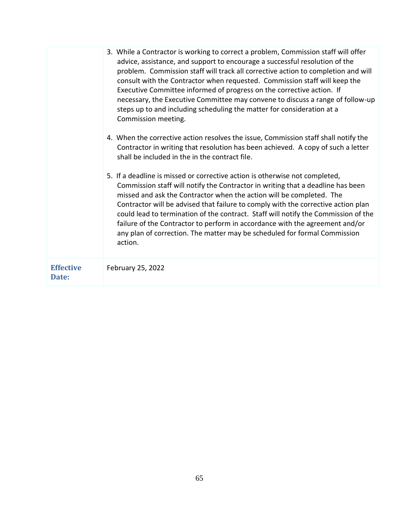| 5. If a deadline is missed or corrective action is otherwise not completed,<br>Commission staff will notify the Contractor in writing that a deadline has been<br>missed and ask the Contractor when the action will be completed. The<br>Contractor will be advised that failure to comply with the corrective action plan<br>failure of the Contractor to perform in accordance with the agreement and/or<br>any plan of correction. The matter may be scheduled for formal Commission<br>action. | 3. While a Contractor is working to correct a problem, Commission staff will offer<br>advice, assistance, and support to encourage a successful resolution of the<br>problem. Commission staff will track all corrective action to completion and will<br>consult with the Contractor when requested. Commission staff will keep the<br>Executive Committee informed of progress on the corrective action. If<br>necessary, the Executive Committee may convene to discuss a range of follow-up<br>steps up to and including scheduling the matter for consideration at a<br>Commission meeting.<br>4. When the corrective action resolves the issue, Commission staff shall notify the<br>Contractor in writing that resolution has been achieved. A copy of such a letter<br>shall be included in the in the contract file.<br>could lead to termination of the contract. Staff will notify the Commission of the |
|-----------------------------------------------------------------------------------------------------------------------------------------------------------------------------------------------------------------------------------------------------------------------------------------------------------------------------------------------------------------------------------------------------------------------------------------------------------------------------------------------------|---------------------------------------------------------------------------------------------------------------------------------------------------------------------------------------------------------------------------------------------------------------------------------------------------------------------------------------------------------------------------------------------------------------------------------------------------------------------------------------------------------------------------------------------------------------------------------------------------------------------------------------------------------------------------------------------------------------------------------------------------------------------------------------------------------------------------------------------------------------------------------------------------------------------|
| <b>Effective</b><br>February 25, 2022<br>Date:                                                                                                                                                                                                                                                                                                                                                                                                                                                      |                                                                                                                                                                                                                                                                                                                                                                                                                                                                                                                                                                                                                                                                                                                                                                                                                                                                                                                     |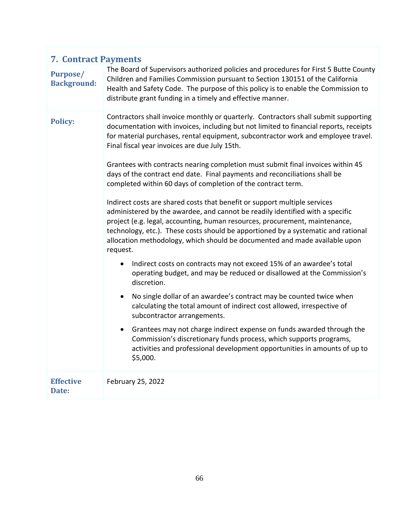| <b>7. Contract Payments</b>           |                                                                                                                                                                                                                                                                                                                                                                                                                                                                                                                                                                                                                                                                                                                                                                                                                                                                                                                                                                                                                                                                                                                                                                                                                                                                                                                                                                                                                                                                                                                                                                                       |
|---------------------------------------|---------------------------------------------------------------------------------------------------------------------------------------------------------------------------------------------------------------------------------------------------------------------------------------------------------------------------------------------------------------------------------------------------------------------------------------------------------------------------------------------------------------------------------------------------------------------------------------------------------------------------------------------------------------------------------------------------------------------------------------------------------------------------------------------------------------------------------------------------------------------------------------------------------------------------------------------------------------------------------------------------------------------------------------------------------------------------------------------------------------------------------------------------------------------------------------------------------------------------------------------------------------------------------------------------------------------------------------------------------------------------------------------------------------------------------------------------------------------------------------------------------------------------------------------------------------------------------------|
| <b>Purpose/</b><br><b>Background:</b> | The Board of Supervisors authorized policies and procedures for First 5 Butte County<br>Children and Families Commission pursuant to Section 130151 of the California<br>Health and Safety Code. The purpose of this policy is to enable the Commission to<br>distribute grant funding in a timely and effective manner.                                                                                                                                                                                                                                                                                                                                                                                                                                                                                                                                                                                                                                                                                                                                                                                                                                                                                                                                                                                                                                                                                                                                                                                                                                                              |
| <b>Policy:</b>                        | Contractors shall invoice monthly or quarterly. Contractors shall submit supporting<br>documentation with invoices, including but not limited to financial reports, receipts<br>for material purchases, rental equipment, subcontractor work and employee travel.<br>Final fiscal year invoices are due July 15th.<br>Grantees with contracts nearing completion must submit final invoices within 45<br>days of the contract end date. Final payments and reconciliations shall be<br>completed within 60 days of completion of the contract term.<br>Indirect costs are shared costs that benefit or support multiple services<br>administered by the awardee, and cannot be readily identified with a specific<br>project (e.g. legal, accounting, human resources, procurement, maintenance,<br>technology, etc.). These costs should be apportioned by a systematic and rational<br>allocation methodology, which should be documented and made available upon<br>request.<br>Indirect costs on contracts may not exceed 15% of an awardee's total<br>operating budget, and may be reduced or disallowed at the Commission's<br>discretion.<br>No single dollar of an awardee's contract may be counted twice when<br>$\bullet$<br>calculating the total amount of indirect cost allowed, irrespective of<br>subcontractor arrangements.<br>Grantees may not charge indirect expense on funds awarded through the<br>Commission's discretionary funds process, which supports programs,<br>activities and professional development opportunities in amounts of up to<br>\$5,000. |
| <b>Effective</b><br>Date:             | February 25, 2022                                                                                                                                                                                                                                                                                                                                                                                                                                                                                                                                                                                                                                                                                                                                                                                                                                                                                                                                                                                                                                                                                                                                                                                                                                                                                                                                                                                                                                                                                                                                                                     |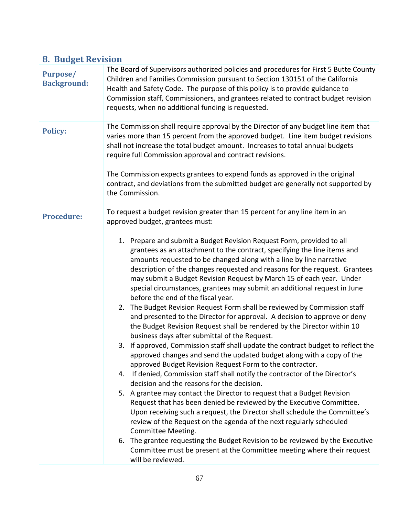| <b>8. Budget Revision</b>             |                                                                                                                                                                                                                                                                                                                                                                                                                                                                                                                                                                                                                                                                                                                                                                                                                                                                                                                                                                                                                                                                                                                                                                                                                                                                                                                                                                                                                                                                                                                                                                                                                                                                                                                                                                                |  |
|---------------------------------------|--------------------------------------------------------------------------------------------------------------------------------------------------------------------------------------------------------------------------------------------------------------------------------------------------------------------------------------------------------------------------------------------------------------------------------------------------------------------------------------------------------------------------------------------------------------------------------------------------------------------------------------------------------------------------------------------------------------------------------------------------------------------------------------------------------------------------------------------------------------------------------------------------------------------------------------------------------------------------------------------------------------------------------------------------------------------------------------------------------------------------------------------------------------------------------------------------------------------------------------------------------------------------------------------------------------------------------------------------------------------------------------------------------------------------------------------------------------------------------------------------------------------------------------------------------------------------------------------------------------------------------------------------------------------------------------------------------------------------------------------------------------------------------|--|
| <b>Purpose/</b><br><b>Background:</b> | The Board of Supervisors authorized policies and procedures for First 5 Butte County<br>Children and Families Commission pursuant to Section 130151 of the California<br>Health and Safety Code. The purpose of this policy is to provide guidance to<br>Commission staff, Commissioners, and grantees related to contract budget revision<br>requests, when no additional funding is requested.                                                                                                                                                                                                                                                                                                                                                                                                                                                                                                                                                                                                                                                                                                                                                                                                                                                                                                                                                                                                                                                                                                                                                                                                                                                                                                                                                                               |  |
| <b>Policy:</b>                        | The Commission shall require approval by the Director of any budget line item that<br>varies more than 15 percent from the approved budget. Line item budget revisions<br>shall not increase the total budget amount. Increases to total annual budgets<br>require full Commission approval and contract revisions.<br>The Commission expects grantees to expend funds as approved in the original<br>contract, and deviations from the submitted budget are generally not supported by<br>the Commission.                                                                                                                                                                                                                                                                                                                                                                                                                                                                                                                                                                                                                                                                                                                                                                                                                                                                                                                                                                                                                                                                                                                                                                                                                                                                     |  |
| <b>Procedure:</b>                     | To request a budget revision greater than 15 percent for any line item in an<br>approved budget, grantees must:<br>1. Prepare and submit a Budget Revision Request Form, provided to all<br>grantees as an attachment to the contract, specifying the line items and<br>amounts requested to be changed along with a line by line narrative<br>description of the changes requested and reasons for the request. Grantees<br>may submit a Budget Revision Request by March 15 of each year. Under<br>special circumstances, grantees may submit an additional request in June<br>before the end of the fiscal year.<br>2. The Budget Revision Request Form shall be reviewed by Commission staff<br>and presented to the Director for approval. A decision to approve or deny<br>the Budget Revision Request shall be rendered by the Director within 10<br>business days after submittal of the Request.<br>3. If approved, Commission staff shall update the contract budget to reflect the<br>approved changes and send the updated budget along with a copy of the<br>approved Budget Revision Request Form to the contractor.<br>4. If denied, Commission staff shall notify the contractor of the Director's<br>decision and the reasons for the decision.<br>5. A grantee may contact the Director to request that a Budget Revision<br>Request that has been denied be reviewed by the Executive Committee.<br>Upon receiving such a request, the Director shall schedule the Committee's<br>review of the Request on the agenda of the next regularly scheduled<br>Committee Meeting.<br>6. The grantee requesting the Budget Revision to be reviewed by the Executive<br>Committee must be present at the Committee meeting where their request<br>will be reviewed. |  |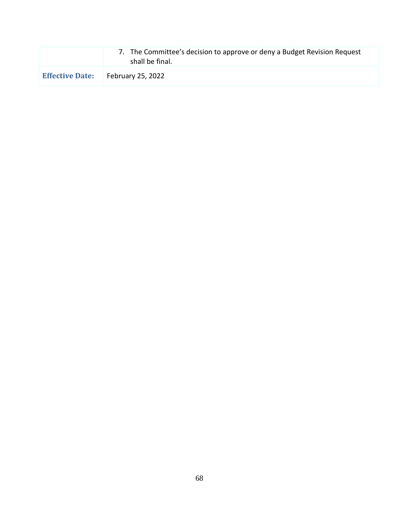|                        | 7. The Committee's decision to approve or deny a Budget Revision Request<br>shall be final. |
|------------------------|---------------------------------------------------------------------------------------------|
| <b>Effective Date:</b> | <b>February 25, 2022</b>                                                                    |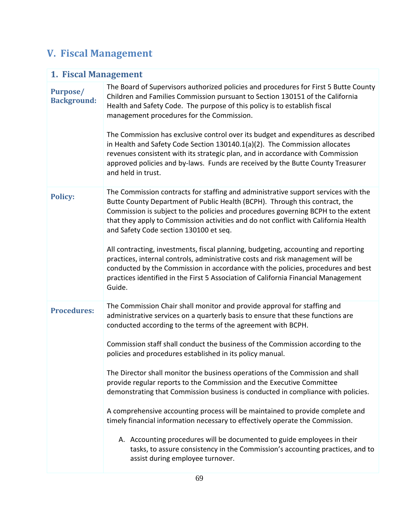# **V. Fiscal Management**

| 1. Fiscal Management                  |                                                                                                                                                                                                                                                                                                                                                                                                                                                                                                                                                                                                                                                                                                                                                                                                                                                                                                                                                                                             |  |  |
|---------------------------------------|---------------------------------------------------------------------------------------------------------------------------------------------------------------------------------------------------------------------------------------------------------------------------------------------------------------------------------------------------------------------------------------------------------------------------------------------------------------------------------------------------------------------------------------------------------------------------------------------------------------------------------------------------------------------------------------------------------------------------------------------------------------------------------------------------------------------------------------------------------------------------------------------------------------------------------------------------------------------------------------------|--|--|
| <b>Purpose/</b><br><b>Background:</b> | The Board of Supervisors authorized policies and procedures for First 5 Butte County<br>Children and Families Commission pursuant to Section 130151 of the California<br>Health and Safety Code. The purpose of this policy is to establish fiscal<br>management procedures for the Commission.<br>The Commission has exclusive control over its budget and expenditures as described<br>in Health and Safety Code Section 130140.1(a)(2). The Commission allocates<br>revenues consistent with its strategic plan, and in accordance with Commission<br>approved policies and by-laws. Funds are received by the Butte County Treasurer<br>and held in trust.                                                                                                                                                                                                                                                                                                                              |  |  |
| <b>Policy:</b>                        | The Commission contracts for staffing and administrative support services with the<br>Butte County Department of Public Health (BCPH). Through this contract, the<br>Commission is subject to the policies and procedures governing BCPH to the extent<br>that they apply to Commission activities and do not conflict with California Health<br>and Safety Code section 130100 et seq.<br>All contracting, investments, fiscal planning, budgeting, accounting and reporting<br>practices, internal controls, administrative costs and risk management will be<br>conducted by the Commission in accordance with the policies, procedures and best<br>practices identified in the First 5 Association of California Financial Management<br>Guide.                                                                                                                                                                                                                                         |  |  |
| <b>Procedures:</b>                    | The Commission Chair shall monitor and provide approval for staffing and<br>administrative services on a quarterly basis to ensure that these functions are<br>conducted according to the terms of the agreement with BCPH.<br>Commission staff shall conduct the business of the Commission according to the<br>policies and procedures established in its policy manual.<br>The Director shall monitor the business operations of the Commission and shall<br>provide regular reports to the Commission and the Executive Committee<br>demonstrating that Commission business is conducted in compliance with policies.<br>A comprehensive accounting process will be maintained to provide complete and<br>timely financial information necessary to effectively operate the Commission.<br>A. Accounting procedures will be documented to guide employees in their<br>tasks, to assure consistency in the Commission's accounting practices, and to<br>assist during employee turnover. |  |  |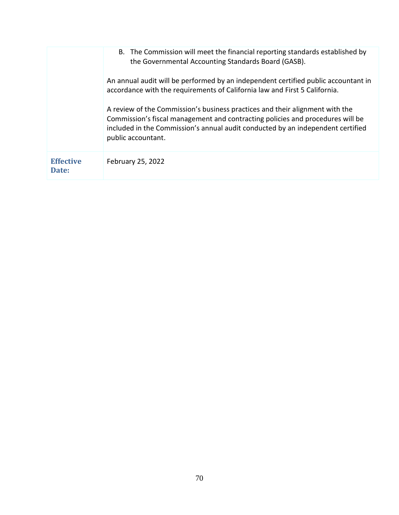|                           | B. The Commission will meet the financial reporting standards established by<br>the Governmental Accounting Standards Board (GASB).                                                                                                                                     |
|---------------------------|-------------------------------------------------------------------------------------------------------------------------------------------------------------------------------------------------------------------------------------------------------------------------|
|                           | An annual audit will be performed by an independent certified public accountant in<br>accordance with the requirements of California law and First 5 California.                                                                                                        |
|                           | A review of the Commission's business practices and their alignment with the<br>Commission's fiscal management and contracting policies and procedures will be<br>included in the Commission's annual audit conducted by an independent certified<br>public accountant. |
| <b>Effective</b><br>Date: | February 25, 2022                                                                                                                                                                                                                                                       |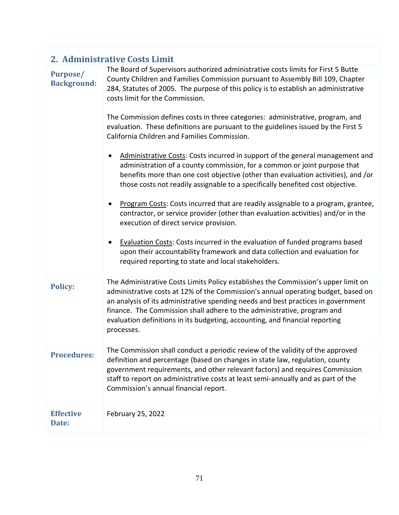|  |  | 2. Administrative Costs Limit |  |  |
|--|--|-------------------------------|--|--|
|--|--|-------------------------------|--|--|

| <b>Purpose/</b><br><b>Background:</b> | The Board of Supervisors authorized administrative costs limits for First 5 Butte<br>County Children and Families Commission pursuant to Assembly Bill 109, Chapter<br>284, Statutes of 2005. The purpose of this policy is to establish an administrative<br>costs limit for the Commission.<br>The Commission defines costs in three categories: administrative, program, and<br>evaluation. These definitions are pursuant to the guidelines issued by the First 5<br>California Children and Families Commission.<br>Administrative Costs: Costs incurred in support of the general management and<br>administration of a county commission, for a common or joint purpose that<br>benefits more than one cost objective (other than evaluation activities), and /or<br>those costs not readily assignable to a specifically benefited cost objective.<br>Program Costs: Costs incurred that are readily assignable to a program, grantee,<br>contractor, or service provider (other than evaluation activities) and/or in the<br>execution of direct service provision.<br>Evaluation Costs: Costs incurred in the evaluation of funded programs based<br>upon their accountability framework and data collection and evaluation for<br>required reporting to state and local stakeholders. |
|---------------------------------------|--------------------------------------------------------------------------------------------------------------------------------------------------------------------------------------------------------------------------------------------------------------------------------------------------------------------------------------------------------------------------------------------------------------------------------------------------------------------------------------------------------------------------------------------------------------------------------------------------------------------------------------------------------------------------------------------------------------------------------------------------------------------------------------------------------------------------------------------------------------------------------------------------------------------------------------------------------------------------------------------------------------------------------------------------------------------------------------------------------------------------------------------------------------------------------------------------------------------------------------------------------------------------------------------------|
| <b>Policy:</b>                        | The Administrative Costs Limits Policy establishes the Commission's upper limit on<br>administrative costs at 12% of the Commission's annual operating budget, based on<br>an analysis of its administrative spending needs and best practices in government<br>finance. The Commission shall adhere to the administrative, program and<br>evaluation definitions in its budgeting, accounting, and financial reporting<br>processes.                                                                                                                                                                                                                                                                                                                                                                                                                                                                                                                                                                                                                                                                                                                                                                                                                                                            |
| <b>Procedures:</b>                    | The Commission shall conduct a periodic review of the validity of the approved<br>definition and percentage (based on changes in state law, regulation, county<br>government requirements, and other relevant factors) and requires Commission<br>staff to report on administrative costs at least semi-annually and as part of the<br>Commission's annual financial report.                                                                                                                                                                                                                                                                                                                                                                                                                                                                                                                                                                                                                                                                                                                                                                                                                                                                                                                     |
| <b>Effective</b><br>Date:             | February 25, 2022                                                                                                                                                                                                                                                                                                                                                                                                                                                                                                                                                                                                                                                                                                                                                                                                                                                                                                                                                                                                                                                                                                                                                                                                                                                                                |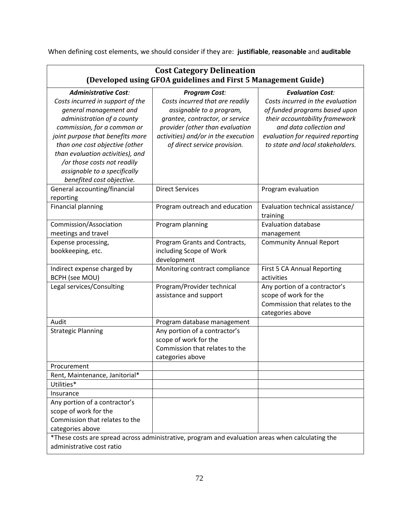When defining cost elements, we should consider if they are: **justifiable**, **reasonable** and **auditable**

| <b>Cost Category Delineation</b><br>(Developed using GFOA guidelines and First 5 Management Guide)                                                                                                                                                                                                                                                           |                                                                                                                                                                                                                                  |                                                                                                                                                                                                                                    |  |
|--------------------------------------------------------------------------------------------------------------------------------------------------------------------------------------------------------------------------------------------------------------------------------------------------------------------------------------------------------------|----------------------------------------------------------------------------------------------------------------------------------------------------------------------------------------------------------------------------------|------------------------------------------------------------------------------------------------------------------------------------------------------------------------------------------------------------------------------------|--|
| <b>Administrative Cost:</b><br>Costs incurred in support of the<br>general management and<br>administration of a county<br>commission, for a common or<br>joint purpose that benefits more<br>than one cost objective (other<br>than evaluation activities), and<br>/or those costs not readily<br>assignable to a specifically<br>benefited cost objective. | <b>Program Cost:</b><br>Costs incurred that are readily<br>assignable to a program,<br>grantee, contractor, or service<br>provider (other than evaluation<br>activities) and/or in the execution<br>of direct service provision. | <b>Evaluation Cost:</b><br>Costs incurred in the evaluation<br>of funded programs based upon<br>their accountability framework<br>and data collection and<br>evaluation for required reporting<br>to state and local stakeholders. |  |
| General accounting/financial<br>reporting                                                                                                                                                                                                                                                                                                                    | <b>Direct Services</b>                                                                                                                                                                                                           | Program evaluation                                                                                                                                                                                                                 |  |
| Financial planning                                                                                                                                                                                                                                                                                                                                           | Program outreach and education                                                                                                                                                                                                   | Evaluation technical assistance/<br>training                                                                                                                                                                                       |  |
| Commission/Association<br>meetings and travel                                                                                                                                                                                                                                                                                                                | Program planning                                                                                                                                                                                                                 | <b>Evaluation database</b><br>management                                                                                                                                                                                           |  |
| Expense processing,<br>bookkeeping, etc.                                                                                                                                                                                                                                                                                                                     | Program Grants and Contracts,<br>including Scope of Work<br>development                                                                                                                                                          | <b>Community Annual Report</b>                                                                                                                                                                                                     |  |
| Indirect expense charged by<br><b>BCPH</b> (see MOU)                                                                                                                                                                                                                                                                                                         | Monitoring contract compliance                                                                                                                                                                                                   | First 5 CA Annual Reporting<br>activities                                                                                                                                                                                          |  |
| Legal services/Consulting                                                                                                                                                                                                                                                                                                                                    | Program/Provider technical<br>assistance and support                                                                                                                                                                             | Any portion of a contractor's<br>scope of work for the<br>Commission that relates to the<br>categories above                                                                                                                       |  |
| Audit                                                                                                                                                                                                                                                                                                                                                        | Program database management                                                                                                                                                                                                      |                                                                                                                                                                                                                                    |  |
| <b>Strategic Planning</b>                                                                                                                                                                                                                                                                                                                                    | Any portion of a contractor's<br>scope of work for the<br>Commission that relates to the<br>categories above                                                                                                                     |                                                                                                                                                                                                                                    |  |
| Procurement                                                                                                                                                                                                                                                                                                                                                  |                                                                                                                                                                                                                                  |                                                                                                                                                                                                                                    |  |
| Rent, Maintenance, Janitorial*                                                                                                                                                                                                                                                                                                                               |                                                                                                                                                                                                                                  |                                                                                                                                                                                                                                    |  |
| Utilities*                                                                                                                                                                                                                                                                                                                                                   |                                                                                                                                                                                                                                  |                                                                                                                                                                                                                                    |  |
| Insurance<br>Any portion of a contractor's<br>scope of work for the<br>Commission that relates to the<br>categories above                                                                                                                                                                                                                                    |                                                                                                                                                                                                                                  |                                                                                                                                                                                                                                    |  |
| *These costs are spread across administrative, program and evaluation areas when calculating the<br>administrative cost ratio                                                                                                                                                                                                                                |                                                                                                                                                                                                                                  |                                                                                                                                                                                                                                    |  |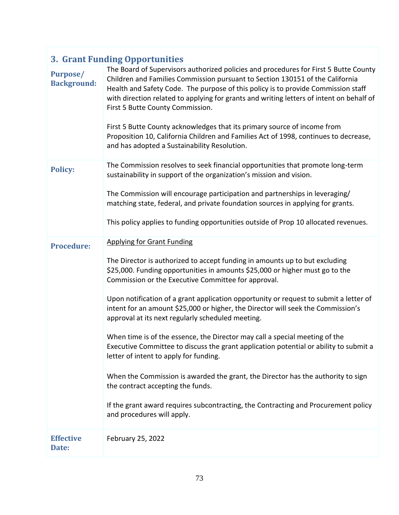| <b>3. Grant Funding Opportunities</b> |                                                                                                                                                                                                                                                                                                                                                                                                                                                                                                                                                                                                                                                                                                                                                                                                                                                                                                                                                          |  |
|---------------------------------------|----------------------------------------------------------------------------------------------------------------------------------------------------------------------------------------------------------------------------------------------------------------------------------------------------------------------------------------------------------------------------------------------------------------------------------------------------------------------------------------------------------------------------------------------------------------------------------------------------------------------------------------------------------------------------------------------------------------------------------------------------------------------------------------------------------------------------------------------------------------------------------------------------------------------------------------------------------|--|
| <b>Purpose/</b><br><b>Background:</b> | The Board of Supervisors authorized policies and procedures for First 5 Butte County<br>Children and Families Commission pursuant to Section 130151 of the California<br>Health and Safety Code. The purpose of this policy is to provide Commission staff<br>with direction related to applying for grants and writing letters of intent on behalf of<br>First 5 Butte County Commission.<br>First 5 Butte County acknowledges that its primary source of income from<br>Proposition 10, California Children and Families Act of 1998, continues to decrease,<br>and has adopted a Sustainability Resolution.                                                                                                                                                                                                                                                                                                                                           |  |
| <b>Policy:</b>                        | The Commission resolves to seek financial opportunities that promote long-term<br>sustainability in support of the organization's mission and vision.<br>The Commission will encourage participation and partnerships in leveraging/<br>matching state, federal, and private foundation sources in applying for grants.<br>This policy applies to funding opportunities outside of Prop 10 allocated revenues.                                                                                                                                                                                                                                                                                                                                                                                                                                                                                                                                           |  |
| <b>Procedure:</b>                     | <b>Applying for Grant Funding</b><br>The Director is authorized to accept funding in amounts up to but excluding<br>\$25,000. Funding opportunities in amounts \$25,000 or higher must go to the<br>Commission or the Executive Committee for approval.<br>Upon notification of a grant application opportunity or request to submit a letter of<br>intent for an amount \$25,000 or higher, the Director will seek the Commission's<br>approval at its next regularly scheduled meeting.<br>When time is of the essence, the Director may call a special meeting of the<br>Executive Committee to discuss the grant application potential or ability to submit a<br>letter of intent to apply for funding.<br>When the Commission is awarded the grant, the Director has the authority to sign<br>the contract accepting the funds.<br>If the grant award requires subcontracting, the Contracting and Procurement policy<br>and procedures will apply. |  |
| <b>Effective</b><br>Date:             | February 25, 2022                                                                                                                                                                                                                                                                                                                                                                                                                                                                                                                                                                                                                                                                                                                                                                                                                                                                                                                                        |  |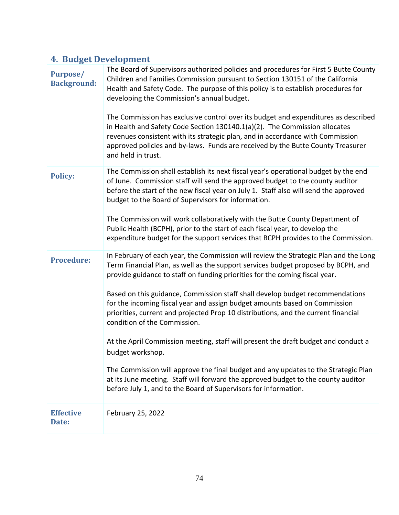| <b>4. Budget Development</b>          |                                                                                                                                                                                                                                                                                                                                                                                                                                                                                                                                                                                                                                                                                                                                                                                                                                                                                                       |
|---------------------------------------|-------------------------------------------------------------------------------------------------------------------------------------------------------------------------------------------------------------------------------------------------------------------------------------------------------------------------------------------------------------------------------------------------------------------------------------------------------------------------------------------------------------------------------------------------------------------------------------------------------------------------------------------------------------------------------------------------------------------------------------------------------------------------------------------------------------------------------------------------------------------------------------------------------|
| <b>Purpose/</b><br><b>Background:</b> | The Board of Supervisors authorized policies and procedures for First 5 Butte County<br>Children and Families Commission pursuant to Section 130151 of the California<br>Health and Safety Code. The purpose of this policy is to establish procedures for<br>developing the Commission's annual budget.<br>The Commission has exclusive control over its budget and expenditures as described<br>in Health and Safety Code Section 130140.1(a)(2). The Commission allocates<br>revenues consistent with its strategic plan, and in accordance with Commission<br>approved policies and by-laws. Funds are received by the Butte County Treasurer<br>and held in trust.                                                                                                                                                                                                                               |
| <b>Policy:</b>                        | The Commission shall establish its next fiscal year's operational budget by the end<br>of June. Commission staff will send the approved budget to the county auditor<br>before the start of the new fiscal year on July 1. Staff also will send the approved<br>budget to the Board of Supervisors for information.<br>The Commission will work collaboratively with the Butte County Department of<br>Public Health (BCPH), prior to the start of each fiscal year, to develop the<br>expenditure budget for the support services that BCPH provides to the Commission.                                                                                                                                                                                                                                                                                                                              |
| <b>Procedure:</b>                     | In February of each year, the Commission will review the Strategic Plan and the Long<br>Term Financial Plan, as well as the support services budget proposed by BCPH, and<br>provide guidance to staff on funding priorities for the coming fiscal year.<br>Based on this guidance, Commission staff shall develop budget recommendations<br>for the incoming fiscal year and assign budget amounts based on Commission<br>priorities, current and projected Prop 10 distributions, and the current financial<br>condition of the Commission.<br>At the April Commission meeting, staff will present the draft budget and conduct a<br>budget workshop.<br>The Commission will approve the final budget and any updates to the Strategic Plan<br>at its June meeting. Staff will forward the approved budget to the county auditor<br>before July 1, and to the Board of Supervisors for information. |
| <b>Effective</b><br>Date:             | February 25, 2022                                                                                                                                                                                                                                                                                                                                                                                                                                                                                                                                                                                                                                                                                                                                                                                                                                                                                     |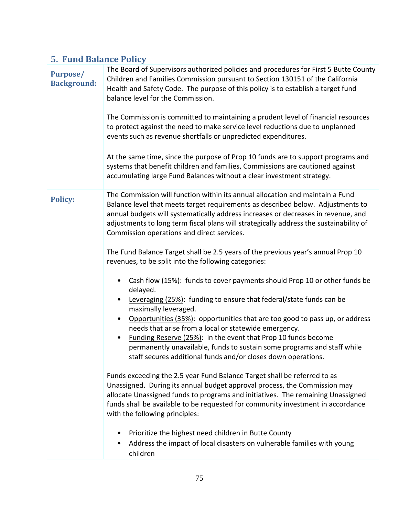| <b>5. Fund Balance Policy</b>         |                                                                                                                                                                                                                                                                                                                                                                                                                                                                                                                                        |  |
|---------------------------------------|----------------------------------------------------------------------------------------------------------------------------------------------------------------------------------------------------------------------------------------------------------------------------------------------------------------------------------------------------------------------------------------------------------------------------------------------------------------------------------------------------------------------------------------|--|
| <b>Purpose/</b><br><b>Background:</b> | The Board of Supervisors authorized policies and procedures for First 5 Butte County<br>Children and Families Commission pursuant to Section 130151 of the California<br>Health and Safety Code. The purpose of this policy is to establish a target fund<br>balance level for the Commission.<br>The Commission is committed to maintaining a prudent level of financial resources<br>to protect against the need to make service level reductions due to unplanned<br>events such as revenue shortfalls or unpredicted expenditures. |  |
|                                       | At the same time, since the purpose of Prop 10 funds are to support programs and<br>systems that benefit children and families, Commissions are cautioned against<br>accumulating large Fund Balances without a clear investment strategy.                                                                                                                                                                                                                                                                                             |  |
| <b>Policy:</b>                        | The Commission will function within its annual allocation and maintain a Fund<br>Balance level that meets target requirements as described below. Adjustments to<br>annual budgets will systematically address increases or decreases in revenue, and<br>adjustments to long term fiscal plans will strategically address the sustainability of<br>Commission operations and direct services.<br>The Fund Balance Target shall be 2.5 years of the previous year's annual Prop 10                                                      |  |
|                                       | revenues, to be split into the following categories:                                                                                                                                                                                                                                                                                                                                                                                                                                                                                   |  |
|                                       | Cash flow (15%): funds to cover payments should Prop 10 or other funds be<br>delayed.<br>Leveraging (25%): funding to ensure that federal/state funds can be<br>$\bullet$                                                                                                                                                                                                                                                                                                                                                              |  |
|                                       | maximally leveraged.<br>Opportunities (35%): opportunities that are too good to pass up, or address<br>$\bullet$<br>needs that arise from a local or statewide emergency.<br>Funding Reserve (25%): in the event that Prop 10 funds become<br>$\bullet$<br>permanently unavailable, funds to sustain some programs and staff while<br>staff secures additional funds and/or closes down operations.                                                                                                                                    |  |
|                                       | Funds exceeding the 2.5 year Fund Balance Target shall be referred to as<br>Unassigned. During its annual budget approval process, the Commission may<br>allocate Unassigned funds to programs and initiatives. The remaining Unassigned<br>funds shall be available to be requested for community investment in accordance<br>with the following principles:                                                                                                                                                                          |  |
|                                       | Prioritize the highest need children in Butte County<br>٠<br>Address the impact of local disasters on vulnerable families with young<br>children                                                                                                                                                                                                                                                                                                                                                                                       |  |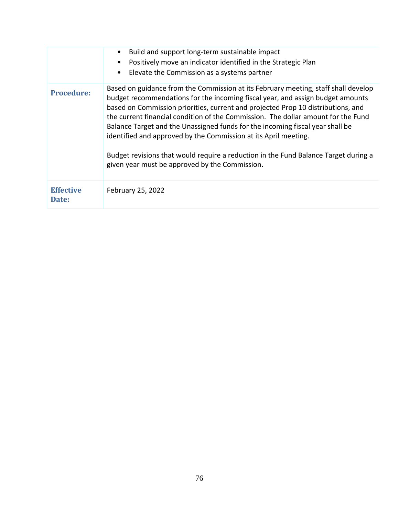|                           | Build and support long-term sustainable impact<br>Positively move an indicator identified in the Strategic Plan<br>$\bullet$<br>Elevate the Commission as a systems partner<br>$\bullet$                                                                                                                                                                                                                                                                                                                                                                                                                                                   |
|---------------------------|--------------------------------------------------------------------------------------------------------------------------------------------------------------------------------------------------------------------------------------------------------------------------------------------------------------------------------------------------------------------------------------------------------------------------------------------------------------------------------------------------------------------------------------------------------------------------------------------------------------------------------------------|
| <b>Procedure:</b>         | Based on guidance from the Commission at its February meeting, staff shall develop<br>budget recommendations for the incoming fiscal year, and assign budget amounts<br>based on Commission priorities, current and projected Prop 10 distributions, and<br>the current financial condition of the Commission. The dollar amount for the Fund<br>Balance Target and the Unassigned funds for the incoming fiscal year shall be<br>identified and approved by the Commission at its April meeting.<br>Budget revisions that would require a reduction in the Fund Balance Target during a<br>given year must be approved by the Commission. |
| <b>Effective</b><br>Date: | February 25, 2022                                                                                                                                                                                                                                                                                                                                                                                                                                                                                                                                                                                                                          |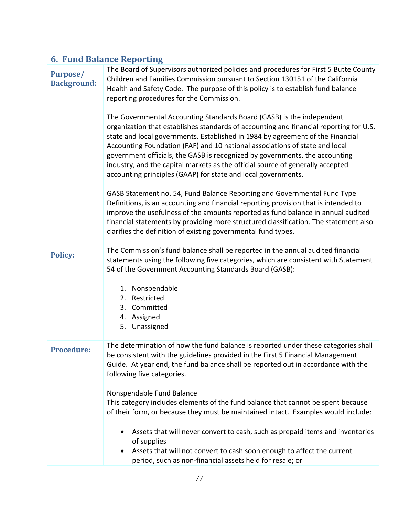| <b>6. Fund Balance Reporting</b>      |                                                                                                                                                                                                                                                                                                                                                                                                                                                                                                                                                                                                                                                                                                                                                                                                                                                                                                                                                                                                                                                                                                                                                                                                                                                                                            |  |
|---------------------------------------|--------------------------------------------------------------------------------------------------------------------------------------------------------------------------------------------------------------------------------------------------------------------------------------------------------------------------------------------------------------------------------------------------------------------------------------------------------------------------------------------------------------------------------------------------------------------------------------------------------------------------------------------------------------------------------------------------------------------------------------------------------------------------------------------------------------------------------------------------------------------------------------------------------------------------------------------------------------------------------------------------------------------------------------------------------------------------------------------------------------------------------------------------------------------------------------------------------------------------------------------------------------------------------------------|--|
| <b>Purpose/</b><br><b>Background:</b> | The Board of Supervisors authorized policies and procedures for First 5 Butte County<br>Children and Families Commission pursuant to Section 130151 of the California<br>Health and Safety Code. The purpose of this policy is to establish fund balance<br>reporting procedures for the Commission.<br>The Governmental Accounting Standards Board (GASB) is the independent<br>organization that establishes standards of accounting and financial reporting for U.S.<br>state and local governments. Established in 1984 by agreement of the Financial<br>Accounting Foundation (FAF) and 10 national associations of state and local<br>government officials, the GASB is recognized by governments, the accounting<br>industry, and the capital markets as the official source of generally accepted<br>accounting principles (GAAP) for state and local governments.<br>GASB Statement no. 54, Fund Balance Reporting and Governmental Fund Type<br>Definitions, is an accounting and financial reporting provision that is intended to<br>improve the usefulness of the amounts reported as fund balance in annual audited<br>financial statements by providing more structured classification. The statement also<br>clarifies the definition of existing governmental fund types. |  |
| <b>Policy:</b>                        | The Commission's fund balance shall be reported in the annual audited financial<br>statements using the following five categories, which are consistent with Statement<br>54 of the Government Accounting Standards Board (GASB):<br>1. Nonspendable<br>2. Restricted<br>3. Committed<br>4. Assigned<br>5. Unassigned                                                                                                                                                                                                                                                                                                                                                                                                                                                                                                                                                                                                                                                                                                                                                                                                                                                                                                                                                                      |  |
| <b>Procedure:</b>                     | The determination of how the fund balance is reported under these categories shall<br>be consistent with the guidelines provided in the First 5 Financial Management<br>Guide. At year end, the fund balance shall be reported out in accordance with the<br>following five categories.<br>Nonspendable Fund Balance<br>This category includes elements of the fund balance that cannot be spent because<br>of their form, or because they must be maintained intact. Examples would include:<br>Assets that will never convert to cash, such as prepaid items and inventories<br>of supplies<br>Assets that will not convert to cash soon enough to affect the current<br>period, such as non-financial assets held for resale; or                                                                                                                                                                                                                                                                                                                                                                                                                                                                                                                                                        |  |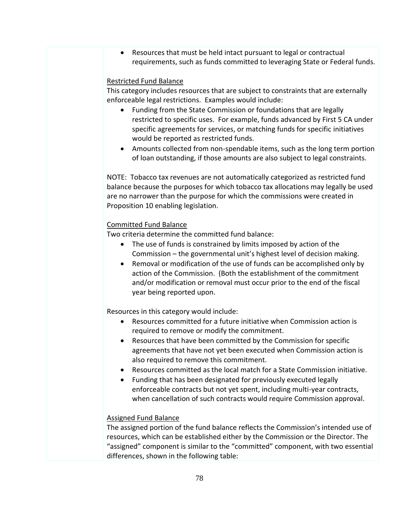• Resources that must be held intact pursuant to legal or contractual requirements, such as funds committed to leveraging State or Federal funds.

## Restricted Fund Balance

This category includes resources that are subject to constraints that are externally enforceable legal restrictions. Examples would include:

- Funding from the State Commission or foundations that are legally restricted to specific uses. For example, funds advanced by First 5 CA under specific agreements for services, or matching funds for specific initiatives would be reported as restricted funds.
- Amounts collected from non-spendable items, such as the long term portion of loan outstanding, if those amounts are also subject to legal constraints.

NOTE: Tobacco tax revenues are not automatically categorized as restricted fund balance because the purposes for which tobacco tax allocations may legally be used are no narrower than the purpose for which the commissions were created in Proposition 10 enabling legislation.

# Committed Fund Balance

Two criteria determine the committed fund balance:

- The use of funds is constrained by limits imposed by action of the Commission – the governmental unit's highest level of decision making.
- Removal or modification of the use of funds can be accomplished only by action of the Commission. (Both the establishment of the commitment and/or modification or removal must occur prior to the end of the fiscal year being reported upon.

Resources in this category would include:

- Resources committed for a future initiative when Commission action is required to remove or modify the commitment.
- Resources that have been committed by the Commission for specific agreements that have not yet been executed when Commission action is also required to remove this commitment.
- Resources committed as the local match for a State Commission initiative.
- Funding that has been designated for previously executed legally enforceable contracts but not yet spent, including multi-year contracts, when cancellation of such contracts would require Commission approval.

## Assigned Fund Balance

The assigned portion of the fund balance reflects the Commission's intended use of resources, which can be established either by the Commission or the Director. The "assigned" component is similar to the "committed" component, with two essential differences, shown in the following table: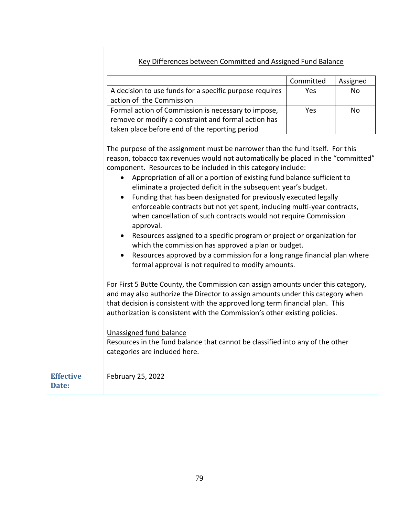# Key Differences between Committed and Assigned Fund Balance

|                                                         | Committed | Assigned       |
|---------------------------------------------------------|-----------|----------------|
| A decision to use funds for a specific purpose requires | Yes       | N <sub>0</sub> |
| action of the Commission                                |           |                |
| Formal action of Commission is necessary to impose,     | Yes       | Nο             |
| remove or modify a constraint and formal action has     |           |                |
| taken place before end of the reporting period          |           |                |

The purpose of the assignment must be narrower than the fund itself. For this reason, tobacco tax revenues would not automatically be placed in the "committed" component. Resources to be included in this category include:

- Appropriation of all or a portion of existing fund balance sufficient to eliminate a projected deficit in the subsequent year's budget.
- Funding that has been designated for previously executed legally enforceable contracts but not yet spent, including multi-year contracts, when cancellation of such contracts would not require Commission approval.
- Resources assigned to a specific program or project or organization for which the commission has approved a plan or budget.
- Resources approved by a commission for a long range financial plan where formal approval is not required to modify amounts.

For First 5 Butte County, the Commission can assign amounts under this category, and may also authorize the Director to assign amounts under this category when that decision is consistent with the approved long term financial plan. This authorization is consistent with the Commission's other existing policies.

## Unassigned fund balance

Resources in the fund balance that cannot be classified into any of the other categories are included here.

| <b>Effective</b> | <b>February 25, 2022</b> |
|------------------|--------------------------|
| Date:            |                          |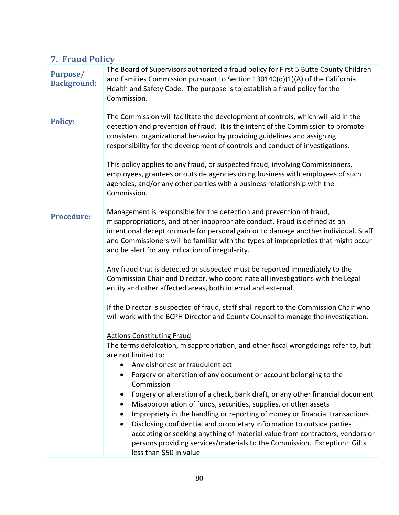| 7. Fraud Policy                       |                                                                                                                                                                                                                                                                                                                                                                                                                                                                                                                                                                                                                                                                                                                                                                                                                                                                                                                                                                                                                                                                                                                                                                                                                                                                                                                                                                                                                                                                                                                                                                                                          |  |
|---------------------------------------|----------------------------------------------------------------------------------------------------------------------------------------------------------------------------------------------------------------------------------------------------------------------------------------------------------------------------------------------------------------------------------------------------------------------------------------------------------------------------------------------------------------------------------------------------------------------------------------------------------------------------------------------------------------------------------------------------------------------------------------------------------------------------------------------------------------------------------------------------------------------------------------------------------------------------------------------------------------------------------------------------------------------------------------------------------------------------------------------------------------------------------------------------------------------------------------------------------------------------------------------------------------------------------------------------------------------------------------------------------------------------------------------------------------------------------------------------------------------------------------------------------------------------------------------------------------------------------------------------------|--|
| <b>Purpose/</b><br><b>Background:</b> | The Board of Supervisors authorized a fraud policy for First 5 Butte County Children<br>and Families Commission pursuant to Section 130140(d)(1)(A) of the California<br>Health and Safety Code. The purpose is to establish a fraud policy for the<br>Commission.                                                                                                                                                                                                                                                                                                                                                                                                                                                                                                                                                                                                                                                                                                                                                                                                                                                                                                                                                                                                                                                                                                                                                                                                                                                                                                                                       |  |
| <b>Policy:</b>                        | The Commission will facilitate the development of controls, which will aid in the<br>detection and prevention of fraud. It is the intent of the Commission to promote<br>consistent organizational behavior by providing guidelines and assigning<br>responsibility for the development of controls and conduct of investigations.<br>This policy applies to any fraud, or suspected fraud, involving Commissioners,<br>employees, grantees or outside agencies doing business with employees of such<br>agencies, and/or any other parties with a business relationship with the<br>Commission.                                                                                                                                                                                                                                                                                                                                                                                                                                                                                                                                                                                                                                                                                                                                                                                                                                                                                                                                                                                                         |  |
| <b>Procedure:</b>                     | Management is responsible for the detection and prevention of fraud,<br>misappropriations, and other inappropriate conduct. Fraud is defined as an<br>intentional deception made for personal gain or to damage another individual. Staff<br>and Commissioners will be familiar with the types of improprieties that might occur<br>and be alert for any indication of irregularity.<br>Any fraud that is detected or suspected must be reported immediately to the<br>Commission Chair and Director, who coordinate all investigations with the Legal<br>entity and other affected areas, both internal and external.<br>If the Director is suspected of fraud, staff shall report to the Commission Chair who<br>will work with the BCPH Director and County Counsel to manage the investigation.<br><b>Actions Constituting Fraud</b><br>The terms defalcation, misappropriation, and other fiscal wrongdoings refer to, but<br>are not limited to:<br>Any dishonest or fraudulent act<br>Forgery or alteration of any document or account belonging to the<br>Commission<br>Forgery or alteration of a check, bank draft, or any other financial document<br>Misappropriation of funds, securities, supplies, or other assets<br>٠<br>Impropriety in the handling or reporting of money or financial transactions<br>٠<br>Disclosing confidential and proprietary information to outside parties<br>$\bullet$<br>accepting or seeking anything of material value from contractors, vendors or<br>persons providing services/materials to the Commission. Exception: Gifts<br>less than \$50 in value |  |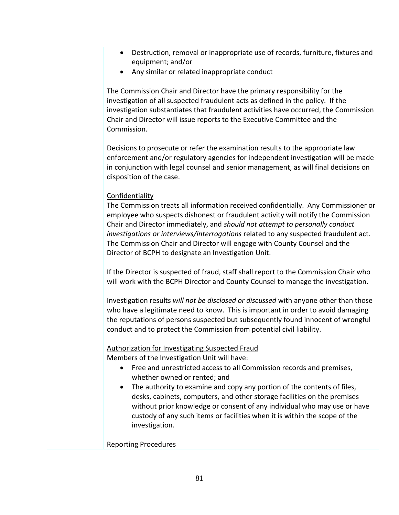- Destruction, removal or inappropriate use of records, furniture, fixtures and equipment; and/or
- Any similar or related inappropriate conduct

The Commission Chair and Director have the primary responsibility for the investigation of all suspected fraudulent acts as defined in the policy. If the investigation substantiates that fraudulent activities have occurred, the Commission Chair and Director will issue reports to the Executive Committee and the Commission.

Decisions to prosecute or refer the examination results to the appropriate law enforcement and/or regulatory agencies for independent investigation will be made in conjunction with legal counsel and senior management, as will final decisions on disposition of the case.

#### **Confidentiality**

The Commission treats all information received confidentially. Any Commissioner or employee who suspects dishonest or fraudulent activity will notify the Commission Chair and Director immediately, and *should not attempt to personally conduct investigations or interviews/interrogations* related to any suspected fraudulent act. The Commission Chair and Director will engage with County Counsel and the Director of BCPH to designate an Investigation Unit.

If the Director is suspected of fraud, staff shall report to the Commission Chair who will work with the BCPH Director and County Counsel to manage the investigation.

Investigation results *will not be disclosed or discussed* with anyone other than those who have a legitimate need to know. This is important in order to avoid damaging the reputations of persons suspected but subsequently found innocent of wrongful conduct and to protect the Commission from potential civil liability.

#### Authorization for Investigating Suspected Fraud

Members of the Investigation Unit will have:

- Free and unrestricted access to all Commission records and premises, whether owned or rented; and
- The authority to examine and copy any portion of the contents of files, desks, cabinets, computers, and other storage facilities on the premises without prior knowledge or consent of any individual who may use or have custody of any such items or facilities when it is within the scope of the investigation.

#### Reporting Procedures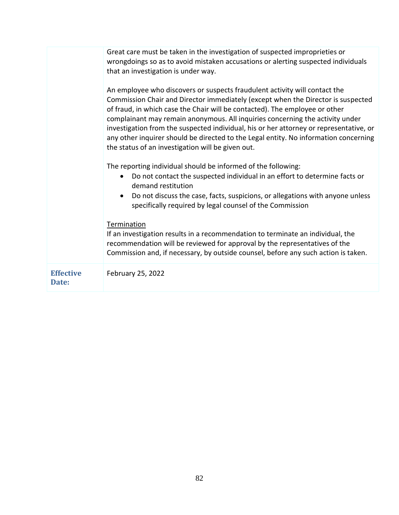|                           | Great care must be taken in the investigation of suspected improprieties or<br>wrongdoings so as to avoid mistaken accusations or alerting suspected individuals<br>that an investigation is under way.<br>An employee who discovers or suspects fraudulent activity will contact the<br>Commission Chair and Director immediately (except when the Director is suspected<br>of fraud, in which case the Chair will be contacted). The employee or other<br>complainant may remain anonymous. All inquiries concerning the activity under<br>investigation from the suspected individual, his or her attorney or representative, or |
|---------------------------|-------------------------------------------------------------------------------------------------------------------------------------------------------------------------------------------------------------------------------------------------------------------------------------------------------------------------------------------------------------------------------------------------------------------------------------------------------------------------------------------------------------------------------------------------------------------------------------------------------------------------------------|
|                           | any other inquirer should be directed to the Legal entity. No information concerning<br>the status of an investigation will be given out.<br>The reporting individual should be informed of the following:                                                                                                                                                                                                                                                                                                                                                                                                                          |
|                           | Do not contact the suspected individual in an effort to determine facts or<br>demand restitution<br>Do not discuss the case, facts, suspicions, or allegations with anyone unless<br>specifically required by legal counsel of the Commission                                                                                                                                                                                                                                                                                                                                                                                       |
|                           | Termination<br>If an investigation results in a recommendation to terminate an individual, the<br>recommendation will be reviewed for approval by the representatives of the<br>Commission and, if necessary, by outside counsel, before any such action is taken.                                                                                                                                                                                                                                                                                                                                                                  |
| <b>Effective</b><br>Date: | February 25, 2022                                                                                                                                                                                                                                                                                                                                                                                                                                                                                                                                                                                                                   |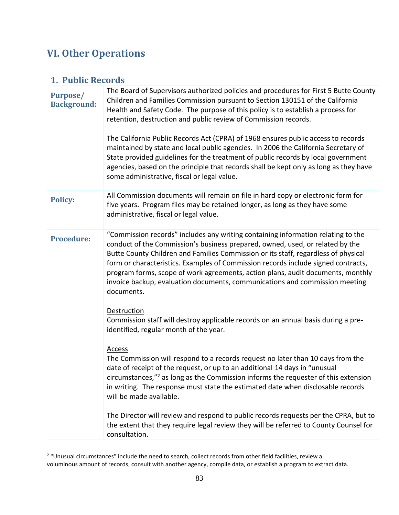# **VI. Other Operations**

| <b>1. Public Records</b>              |                                                                                                                                                                                                                                                                                                                                                                                                                                                                                                                                                                                                                                                                                                                                      |  |
|---------------------------------------|--------------------------------------------------------------------------------------------------------------------------------------------------------------------------------------------------------------------------------------------------------------------------------------------------------------------------------------------------------------------------------------------------------------------------------------------------------------------------------------------------------------------------------------------------------------------------------------------------------------------------------------------------------------------------------------------------------------------------------------|--|
| <b>Purpose/</b><br><b>Background:</b> | The Board of Supervisors authorized policies and procedures for First 5 Butte County<br>Children and Families Commission pursuant to Section 130151 of the California<br>Health and Safety Code. The purpose of this policy is to establish a process for<br>retention, destruction and public review of Commission records.<br>The California Public Records Act (CPRA) of 1968 ensures public access to records<br>maintained by state and local public agencies. In 2006 the California Secretary of<br>State provided guidelines for the treatment of public records by local government<br>agencies, based on the principle that records shall be kept only as long as they have<br>some administrative, fiscal or legal value. |  |
| <b>Policy:</b>                        | All Commission documents will remain on file in hard copy or electronic form for<br>five years. Program files may be retained longer, as long as they have some<br>administrative, fiscal or legal value.                                                                                                                                                                                                                                                                                                                                                                                                                                                                                                                            |  |
| <b>Procedure:</b>                     | "Commission records" includes any writing containing information relating to the<br>conduct of the Commission's business prepared, owned, used, or related by the<br>Butte County Children and Families Commission or its staff, regardless of physical<br>form or characteristics. Examples of Commission records include signed contracts,<br>program forms, scope of work agreements, action plans, audit documents, monthly<br>invoice backup, evaluation documents, communications and commission meeting<br>documents.                                                                                                                                                                                                         |  |
|                                       | <b>Destruction</b><br>Commission staff will destroy applicable records on an annual basis during a pre-<br>identified, regular month of the year.                                                                                                                                                                                                                                                                                                                                                                                                                                                                                                                                                                                    |  |
|                                       | Access<br>The Commission will respond to a records request no later than 10 days from the<br>date of receipt of the request, or up to an additional 14 days in "unusual<br>circumstances, $^{\prime\prime}$ as long as the Commission informs the requester of this extension<br>in writing. The response must state the estimated date when disclosable records<br>will be made available.                                                                                                                                                                                                                                                                                                                                          |  |
|                                       | The Director will review and respond to public records requests per the CPRA, but to<br>the extent that they require legal review they will be referred to County Counsel for<br>consultation.                                                                                                                                                                                                                                                                                                                                                                                                                                                                                                                                       |  |

<sup>&</sup>lt;sup>2</sup> "Unusual circumstances" include the need to search, collect records from other field facilities, review a voluminous amount of records, consult with another agency, compile data, or establish a program to extract data.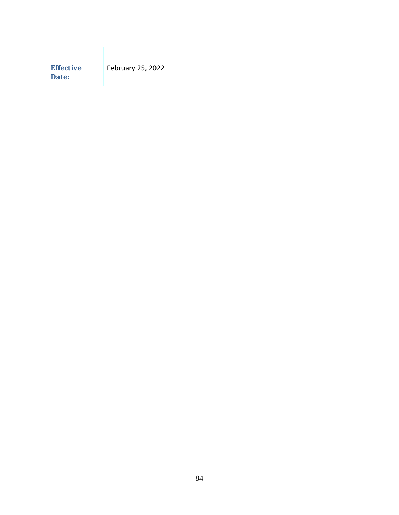| <b>Effective</b><br>Date: | February 25, 2022 |
|---------------------------|-------------------|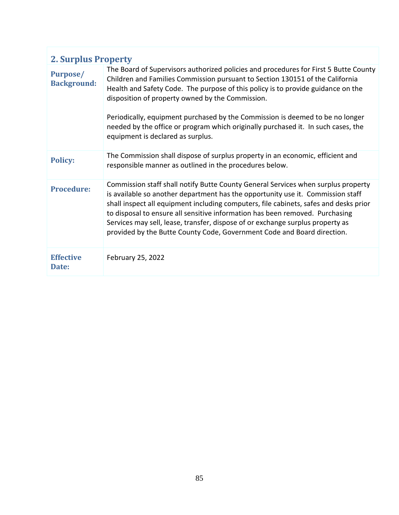| <b>2. Surplus Property</b>            |                                                                                                                                                                                                                                                                                                                                                                                                                                                                                                                          |  |
|---------------------------------------|--------------------------------------------------------------------------------------------------------------------------------------------------------------------------------------------------------------------------------------------------------------------------------------------------------------------------------------------------------------------------------------------------------------------------------------------------------------------------------------------------------------------------|--|
| <b>Purpose/</b><br><b>Background:</b> | The Board of Supervisors authorized policies and procedures for First 5 Butte County<br>Children and Families Commission pursuant to Section 130151 of the California<br>Health and Safety Code. The purpose of this policy is to provide guidance on the<br>disposition of property owned by the Commission.<br>Periodically, equipment purchased by the Commission is deemed to be no longer<br>needed by the office or program which originally purchased it. In such cases, the<br>equipment is declared as surplus. |  |
| <b>Policy:</b>                        | The Commission shall dispose of surplus property in an economic, efficient and<br>responsible manner as outlined in the procedures below.                                                                                                                                                                                                                                                                                                                                                                                |  |
| <b>Procedure:</b>                     | Commission staff shall notify Butte County General Services when surplus property<br>is available so another department has the opportunity use it. Commission staff<br>shall inspect all equipment including computers, file cabinets, safes and desks prior<br>to disposal to ensure all sensitive information has been removed. Purchasing<br>Services may sell, lease, transfer, dispose of or exchange surplus property as<br>provided by the Butte County Code, Government Code and Board direction.               |  |
| <b>Effective</b><br>Date:             | February 25, 2022                                                                                                                                                                                                                                                                                                                                                                                                                                                                                                        |  |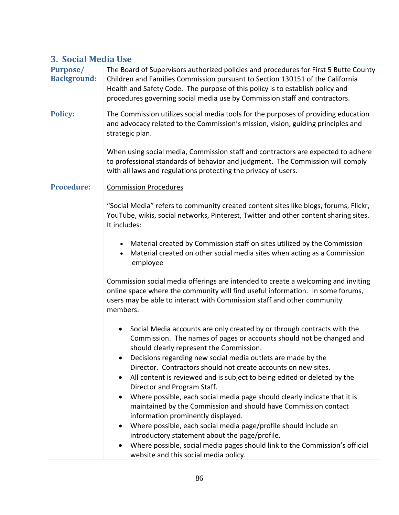| 3. Social Media Use            |                                                                                                                                                                                                                                                                                                                                                                 |  |
|--------------------------------|-----------------------------------------------------------------------------------------------------------------------------------------------------------------------------------------------------------------------------------------------------------------------------------------------------------------------------------------------------------------|--|
| Purpose/<br><b>Background:</b> | The Board of Supervisors authorized policies and procedures for First 5 Butte County<br>Children and Families Commission pursuant to Section 130151 of the California<br>Health and Safety Code. The purpose of this policy is to establish policy and<br>procedures governing social media use by Commission staff and contractors.                            |  |
| <b>Policy:</b>                 | The Commission utilizes social media tools for the purposes of providing education<br>and advocacy related to the Commission's mission, vision, guiding principles and<br>strategic plan.<br>When using social media, Commission staff and contractors are expected to adhere<br>to professional standards of behavior and judgment. The Commission will comply |  |
|                                | with all laws and regulations protecting the privacy of users.                                                                                                                                                                                                                                                                                                  |  |
| <b>Procedure:</b>              | <b>Commission Procedures</b>                                                                                                                                                                                                                                                                                                                                    |  |
|                                | "Social Media" refers to community created content sites like blogs, forums, Flickr,<br>YouTube, wikis, social networks, Pinterest, Twitter and other content sharing sites.<br>It includes:                                                                                                                                                                    |  |
|                                | Material created by Commission staff on sites utilized by the Commission<br>$\bullet$<br>Material created on other social media sites when acting as a Commission<br>employee                                                                                                                                                                                   |  |
|                                | Commission social media offerings are intended to create a welcoming and inviting<br>online space where the community will find useful information. In some forums,<br>users may be able to interact with Commission staff and other community<br>members.                                                                                                      |  |
|                                | Social Media accounts are only created by or through contracts with the<br>$\bullet$<br>Commission. The names of pages or accounts should not be changed and<br>should clearly represent the Commission.                                                                                                                                                        |  |
|                                | Decisions regarding new social media outlets are made by the<br>$\bullet$                                                                                                                                                                                                                                                                                       |  |
|                                | Director. Contractors should not create accounts on new sites.<br>All content is reviewed and is subject to being edited or deleted by the<br>$\bullet$<br>Director and Program Staff.                                                                                                                                                                          |  |
|                                | Where possible, each social media page should clearly indicate that it is<br>$\bullet$<br>maintained by the Commission and should have Commission contact<br>information prominently displayed.                                                                                                                                                                 |  |
|                                | Where possible, each social media page/profile should include an<br>٠                                                                                                                                                                                                                                                                                           |  |
|                                | introductory statement about the page/profile.<br>Where possible, social media pages should link to the Commission's official<br>٠                                                                                                                                                                                                                              |  |
|                                | website and this social media policy.                                                                                                                                                                                                                                                                                                                           |  |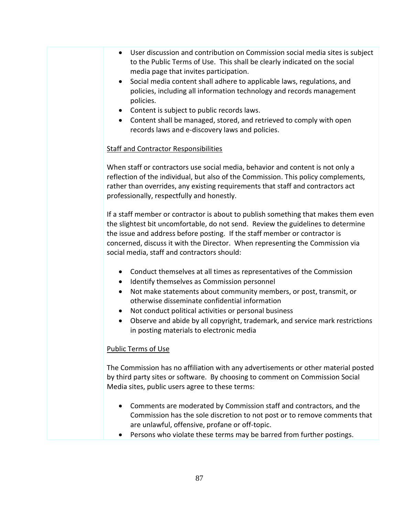- User discussion and contribution on Commission social media sites is subject to the [Public Terms of Use.](http://www.hcpl.net/about/social-media-policy#Public) This shall be clearly indicated on the social media page that invites participation.
- Social media content shall adhere to applicable laws, regulations, and policies, including all information technology and records management policies.
- Content is subject to public records laws.
- Content shall be managed, stored, and retrieved to comply with open records laws and e-discovery laws and policies.

# Staff and Contractor Responsibilities

When staff or contractors use social media, behavior and content is not only a reflection of the individual, but also of the Commission. This policy complements, rather than overrides, any existing requirements that staff and contractors act professionally, respectfully and honestly.

If a staff member or contractor is about to publish something that makes them even the slightest bit uncomfortable, do not send. Review the guidelines to determine the issue and address before posting. If the staff member or contractor is concerned, discuss it with the Director. When representing the Commission via social media, staff and contractors should:

- Conduct themselves at all times as representatives of the Commission
- Identify themselves as Commission personnel
- Not make statements about community members, or post, transmit, or otherwise disseminate confidential information
- Not conduct political activities or personal business
- Observe and abide by all copyright, trademark, and service mark restrictions in posting materials to electronic media

## Public Terms of Use

The Commission has no affiliation with any advertisements or other material posted by third party sites or software. By choosing to comment on Commission Social Media sites, public users agree to these terms:

- Comments are moderated by Commission staff and contractors, and the Commission has the sole discretion to not post or to remove comments that are unlawful, offensive, profane or off-topic.
- Persons who violate these terms may be barred from further postings.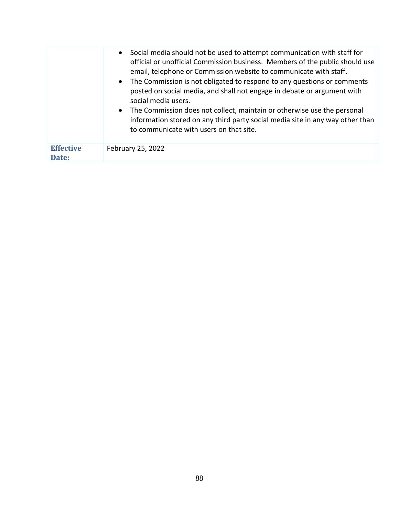|                           | Social media should not be used to attempt communication with staff for<br>$\bullet$<br>official or unofficial Commission business. Members of the public should use<br>email, telephone or Commission website to communicate with staff.<br>The Commission is not obligated to respond to any questions or comments<br>$\bullet$<br>posted on social media, and shall not engage in debate or argument with<br>social media users.<br>The Commission does not collect, maintain or otherwise use the personal<br>$\bullet$<br>information stored on any third party social media site in any way other than<br>to communicate with users on that site. |
|---------------------------|---------------------------------------------------------------------------------------------------------------------------------------------------------------------------------------------------------------------------------------------------------------------------------------------------------------------------------------------------------------------------------------------------------------------------------------------------------------------------------------------------------------------------------------------------------------------------------------------------------------------------------------------------------|
| <b>Effective</b><br>Date: | February 25, 2022                                                                                                                                                                                                                                                                                                                                                                                                                                                                                                                                                                                                                                       |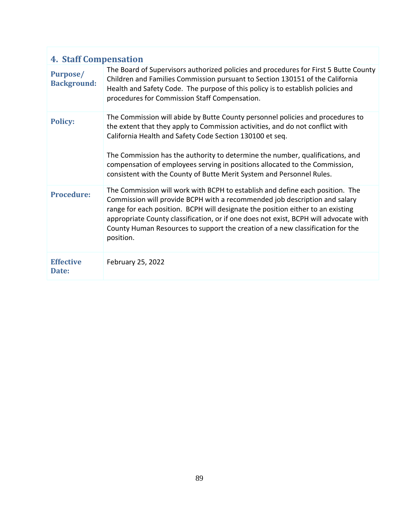| <b>4. Staff Compensation</b>   |                                                                                                                                                                                                                                                                                                                                                                                                                                                                      |  |
|--------------------------------|----------------------------------------------------------------------------------------------------------------------------------------------------------------------------------------------------------------------------------------------------------------------------------------------------------------------------------------------------------------------------------------------------------------------------------------------------------------------|--|
| Purpose/<br><b>Background:</b> | The Board of Supervisors authorized policies and procedures for First 5 Butte County<br>Children and Families Commission pursuant to Section 130151 of the California<br>Health and Safety Code. The purpose of this policy is to establish policies and<br>procedures for Commission Staff Compensation.                                                                                                                                                            |  |
| <b>Policy:</b>                 | The Commission will abide by Butte County personnel policies and procedures to<br>the extent that they apply to Commission activities, and do not conflict with<br>California Health and Safety Code Section 130100 et seq.<br>The Commission has the authority to determine the number, qualifications, and<br>compensation of employees serving in positions allocated to the Commission,<br>consistent with the County of Butte Merit System and Personnel Rules. |  |
| <b>Procedure:</b>              | The Commission will work with BCPH to establish and define each position. The<br>Commission will provide BCPH with a recommended job description and salary<br>range for each position. BCPH will designate the position either to an existing<br>appropriate County classification, or if one does not exist, BCPH will advocate with<br>County Human Resources to support the creation of a new classification for the<br>position.                                |  |
| <b>Effective</b><br>Date:      | February 25, 2022                                                                                                                                                                                                                                                                                                                                                                                                                                                    |  |